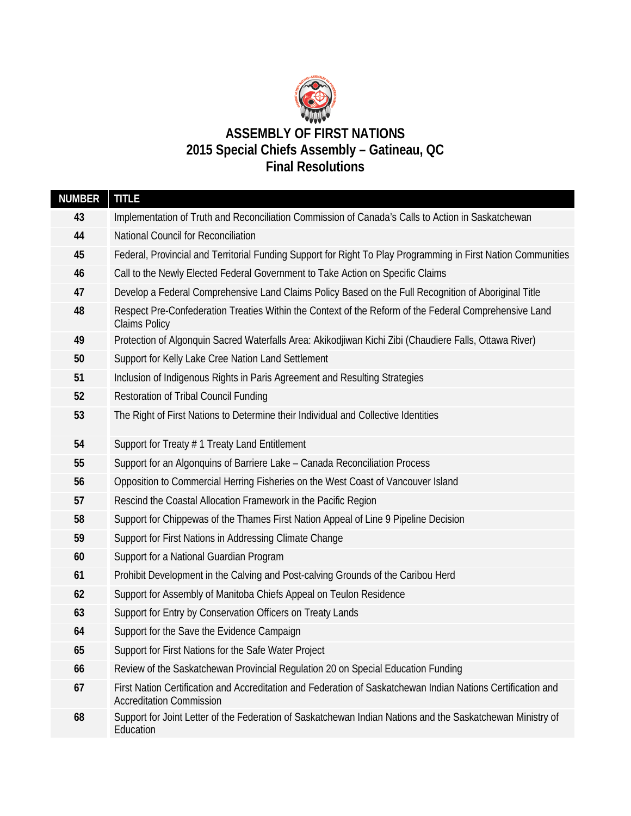

| <b>NUMBER</b> | <b>TITLE</b>                                                                                                                                    |  |  |
|---------------|-------------------------------------------------------------------------------------------------------------------------------------------------|--|--|
| 43            | Implementation of Truth and Reconciliation Commission of Canada's Calls to Action in Saskatchewan                                               |  |  |
| 44            | National Council for Reconciliation                                                                                                             |  |  |
| 45            | Federal, Provincial and Territorial Funding Support for Right To Play Programming in First Nation Communities                                   |  |  |
| 46            | Call to the Newly Elected Federal Government to Take Action on Specific Claims                                                                  |  |  |
| 47            | Develop a Federal Comprehensive Land Claims Policy Based on the Full Recognition of Aboriginal Title                                            |  |  |
| 48            | Respect Pre-Confederation Treaties Within the Context of the Reform of the Federal Comprehensive Land<br><b>Claims Policy</b>                   |  |  |
| 49            | Protection of Algonquin Sacred Waterfalls Area: Akikodjiwan Kichi Zibi (Chaudiere Falls, Ottawa River)                                          |  |  |
| 50            | Support for Kelly Lake Cree Nation Land Settlement                                                                                              |  |  |
| 51            | Inclusion of Indigenous Rights in Paris Agreement and Resulting Strategies                                                                      |  |  |
| 52            | Restoration of Tribal Council Funding                                                                                                           |  |  |
| 53            | The Right of First Nations to Determine their Individual and Collective Identities                                                              |  |  |
| 54            | Support for Treaty # 1 Treaty Land Entitlement                                                                                                  |  |  |
| 55            | Support for an Algonquins of Barriere Lake - Canada Reconciliation Process                                                                      |  |  |
| 56            | Opposition to Commercial Herring Fisheries on the West Coast of Vancouver Island                                                                |  |  |
| 57            | Rescind the Coastal Allocation Framework in the Pacific Region                                                                                  |  |  |
| 58            | Support for Chippewas of the Thames First Nation Appeal of Line 9 Pipeline Decision                                                             |  |  |
| 59            | Support for First Nations in Addressing Climate Change                                                                                          |  |  |
| 60            | Support for a National Guardian Program                                                                                                         |  |  |
| 61            | Prohibit Development in the Calving and Post-calving Grounds of the Caribou Herd                                                                |  |  |
| 62            | Support for Assembly of Manitoba Chiefs Appeal on Teulon Residence                                                                              |  |  |
| 63            | Support for Entry by Conservation Officers on Treaty Lands                                                                                      |  |  |
| 64            | Support for the Save the Evidence Campaign                                                                                                      |  |  |
| 65            | Support for First Nations for the Safe Water Project                                                                                            |  |  |
| 66            | Review of the Saskatchewan Provincial Regulation 20 on Special Education Funding                                                                |  |  |
| 67            | First Nation Certification and Accreditation and Federation of Saskatchewan Indian Nations Certification and<br><b>Accreditation Commission</b> |  |  |
| 68            | Support for Joint Letter of the Federation of Saskatchewan Indian Nations and the Saskatchewan Ministry of<br>Education                         |  |  |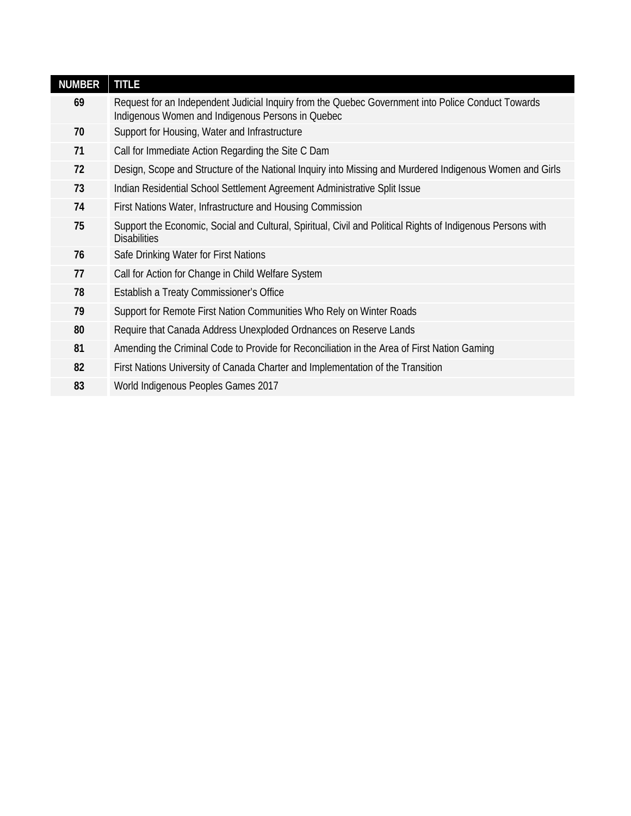| <b>NUMBER</b> | <b>TITLE</b>                                                                                                                                            |
|---------------|---------------------------------------------------------------------------------------------------------------------------------------------------------|
| 69            | Request for an Independent Judicial Inquiry from the Quebec Government into Police Conduct Towards<br>Indigenous Women and Indigenous Persons in Quebec |
| 70            | Support for Housing, Water and Infrastructure                                                                                                           |
| 71            | Call for Immediate Action Regarding the Site C Dam                                                                                                      |
| 72            | Design, Scope and Structure of the National Inquiry into Missing and Murdered Indigenous Women and Girls                                                |
| 73            | Indian Residential School Settlement Agreement Administrative Split Issue                                                                               |
| 74            | First Nations Water, Infrastructure and Housing Commission                                                                                              |
| 75            | Support the Economic, Social and Cultural, Spiritual, Civil and Political Rights of Indigenous Persons with<br><b>Disabilities</b>                      |
| 76            | Safe Drinking Water for First Nations                                                                                                                   |
| 77            | Call for Action for Change in Child Welfare System                                                                                                      |
| 78            | Establish a Treaty Commissioner's Office                                                                                                                |
| 79            | Support for Remote First Nation Communities Who Rely on Winter Roads                                                                                    |
| 80            | Require that Canada Address Unexploded Ordnances on Reserve Lands                                                                                       |
| 81            | Amending the Criminal Code to Provide for Reconciliation in the Area of First Nation Gaming                                                             |
| 82            | First Nations University of Canada Charter and Implementation of the Transition                                                                         |
| 83            | World Indigenous Peoples Games 2017                                                                                                                     |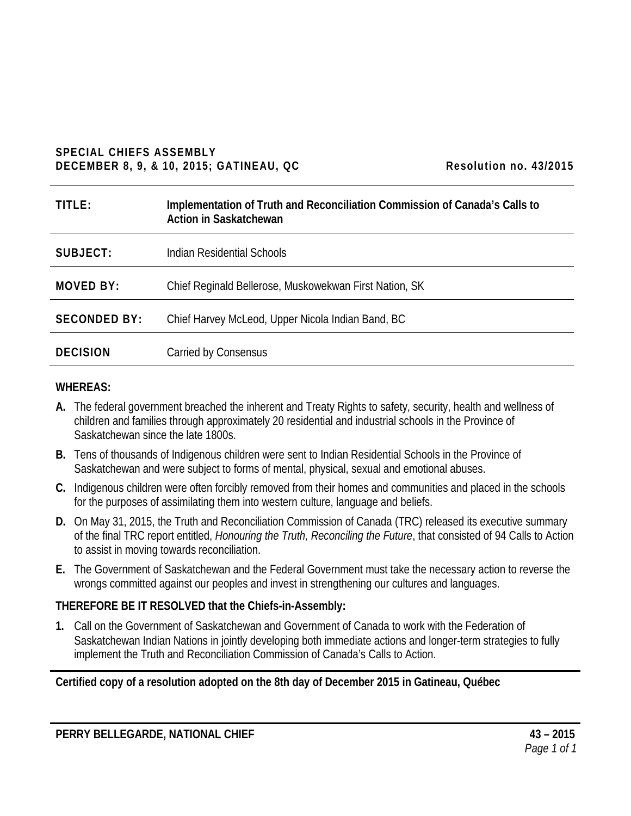#### **SPECIAL CHIEFS ASSEMBLY DECEMBER 8, 9, & 10, 2015; GATINEAU, QC** Resolution no. 43/2015

| TITLE:              | Implementation of Truth and Reconciliation Commission of Canada's Calls to<br>Action in Saskatchewan |
|---------------------|------------------------------------------------------------------------------------------------------|
| SUBJECT:            | Indian Residential Schools                                                                           |
| MOVED BY:           | Chief Reginald Bellerose, Muskowekwan First Nation, SK                                               |
| <b>SECONDED BY:</b> | Chief Harvey McLeod, Upper Nicola Indian Band, BC                                                    |
| <b>DECISION</b>     | Carried by Consensus                                                                                 |

#### **WHEREAS:**

- **A.** The federal government breached the inherent and Treaty Rights to safety, security, health and wellness of children and families through approximately 20 residential and industrial schools in the Province of Saskatchewan since the late 1800s.
- **B.** Tens of thousands of Indigenous children were sent to Indian Residential Schools in the Province of Saskatchewan and were subject to forms of mental, physical, sexual and emotional abuses.
- **C.** Indigenous children were often forcibly removed from their homes and communities and placed in the schools for the purposes of assimilating them into western culture, language and beliefs.
- **D.** On May 31, 2015, the Truth and Reconciliation Commission of Canada (TRC) released its executive summary of the final TRC report entitled, *Honouring the Truth, Reconciling the Future*, that consisted of 94 Calls to Action to assist in moving towards reconciliation.
- **E.** The Government of Saskatchewan and the Federal Government must take the necessary action to reverse the wrongs committed against our peoples and invest in strengthening our cultures and languages.

# **THEREFORE BE IT RESOLVED that the Chiefs-in-Assembly:**

**1.** Call on the Government of Saskatchewan and Government of Canada to work with the Federation of Saskatchewan Indian Nations in jointly developing both immediate actions and longer-term strategies to fully implement the Truth and Reconciliation Commission of Canada's Calls to Action.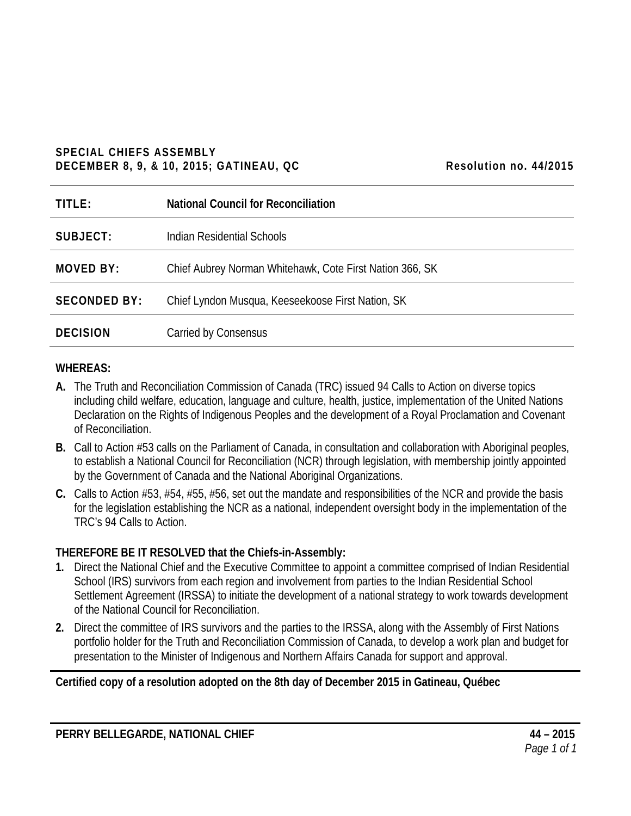### **SPECIAL CHIEFS ASSEMBLY DECEMBER 8, 9, & 10, 2015; GATINEAU, QC Resolution no. 44/2015**

| Resolution no. 44/2015 |  |
|------------------------|--|
|------------------------|--|

| TITLE:              | <b>National Council for Reconciliation</b>               |
|---------------------|----------------------------------------------------------|
| SUBJECT:            | Indian Residential Schools                               |
| <b>MOVED BY:</b>    | Chief Aubrey Norman Whitehawk, Cote First Nation 366, SK |
| <b>SECONDED BY:</b> | Chief Lyndon Musqua, Keeseekoose First Nation, SK        |
| <b>DECISION</b>     | Carried by Consensus                                     |

# **WHEREAS:**

- **A.** The Truth and Reconciliation Commission of Canada (TRC) issued 94 Calls to Action on diverse topics including child welfare, education, language and culture, health, justice, implementation of the United Nations Declaration on the Rights of Indigenous Peoples and the development of a Royal Proclamation and Covenant of Reconciliation.
- **B.** Call to Action #53 calls on the Parliament of Canada, in consultation and collaboration with Aboriginal peoples, to establish a National Council for Reconciliation (NCR) through legislation, with membership jointly appointed by the Government of Canada and the National Aboriginal Organizations.
- **C.** Calls to Action #53, #54, #55, #56, set out the mandate and responsibilities of the NCR and provide the basis for the legislation establishing the NCR as a national, independent oversight body in the implementation of the TRC's 94 Calls to Action.

# **THEREFORE BE IT RESOLVED that the Chiefs-in-Assembly:**

- **1.** Direct the National Chief and the Executive Committee to appoint a committee comprised of Indian Residential School (IRS) survivors from each region and involvement from parties to the Indian Residential School Settlement Agreement (IRSSA) to initiate the development of a national strategy to work towards development of the National Council for Reconciliation.
- **2.** Direct the committee of IRS survivors and the parties to the IRSSA, along with the Assembly of First Nations portfolio holder for the Truth and Reconciliation Commission of Canada, to develop a work plan and budget for presentation to the Minister of Indigenous and Northern Affairs Canada for support and approval.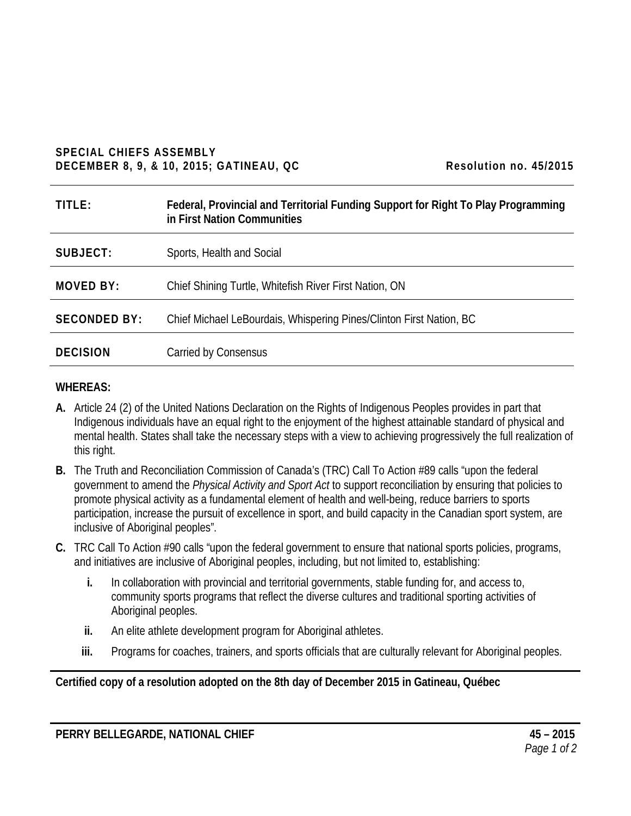#### **SPECIAL CHIEFS ASSEMBLY DECEMBER 8, 9, & 10, 2015; GATINEAU, QC Resolution no. 45/2015**

| TITLE:              | Federal, Provincial and Territorial Funding Support for Right To Play Programming<br>in First Nation Communities |
|---------------------|------------------------------------------------------------------------------------------------------------------|
| SUBJECT:            | Sports, Health and Social                                                                                        |
| <b>MOVED BY:</b>    | Chief Shining Turtle, Whitefish River First Nation, ON                                                           |
| <b>SECONDED BY:</b> | Chief Michael LeBourdais, Whispering Pines/Clinton First Nation, BC                                              |
| <b>DECISION</b>     | Carried by Consensus                                                                                             |

# **WHEREAS:**

- **A.** Article 24 (2) of the United Nations Declaration on the Rights of Indigenous Peoples provides in part that Indigenous individuals have an equal right to the enjoyment of the highest attainable standard of physical and mental health. States shall take the necessary steps with a view to achieving progressively the full realization of this right.
- **B.** The Truth and Reconciliation Commission of Canada's (TRC) Call To Action #89 calls "upon the federal government to amend the *Physical Activity and Sport Act* to support reconciliation by ensuring that policies to promote physical activity as a fundamental element of health and well-being, reduce barriers to sports participation, increase the pursuit of excellence in sport, and build capacity in the Canadian sport system, are inclusive of Aboriginal peoples".
- **C.** TRC Call To Action #90 calls "upon the federal government to ensure that national sports policies, programs, and initiatives are inclusive of Aboriginal peoples, including, but not limited to, establishing:
	- **i.** In collaboration with provincial and territorial governments, stable funding for, and access to, community sports programs that reflect the diverse cultures and traditional sporting activities of Aboriginal peoples.
	- **ii.** An elite athlete development program for Aboriginal athletes.
	- **iii.** Programs for coaches, trainers, and sports officials that are culturally relevant for Aboriginal peoples.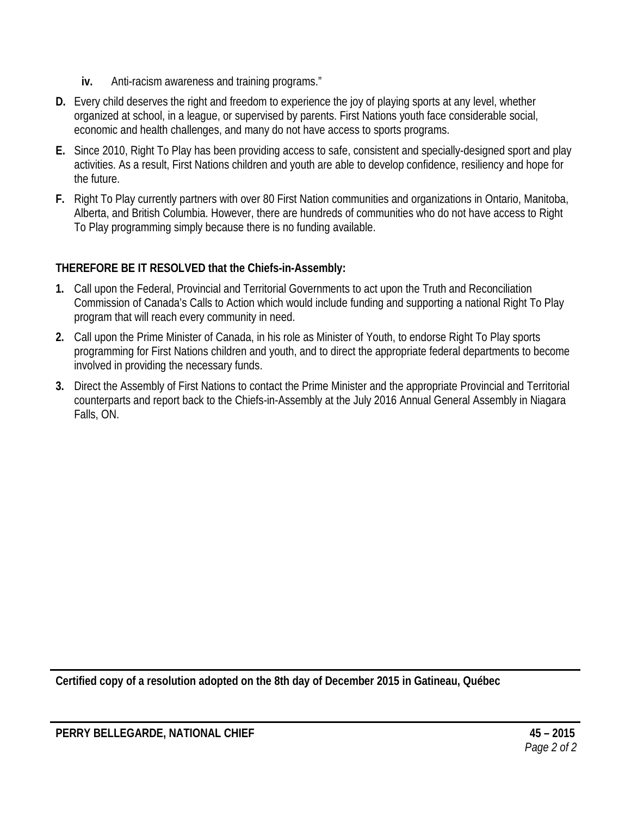- **iv.** Anti-racism awareness and training programs."
- **D.** Every child deserves the right and freedom to experience the joy of playing sports at any level, whether organized at school, in a league, or supervised by parents. First Nations youth face considerable social, economic and health challenges, and many do not have access to sports programs.
- **E.** Since 2010, Right To Play has been providing access to safe, consistent and specially-designed sport and play activities. As a result, First Nations children and youth are able to develop confidence, resiliency and hope for the future.
- **F.** Right To Play currently partners with over 80 First Nation communities and organizations in Ontario, Manitoba, Alberta, and British Columbia. However, there are hundreds of communities who do not have access to Right To Play programming simply because there is no funding available.

- **1.** Call upon the Federal, Provincial and Territorial Governments to act upon the Truth and Reconciliation Commission of Canada's Calls to Action which would include funding and supporting a national Right To Play program that will reach every community in need.
- **2.** Call upon the Prime Minister of Canada, in his role as Minister of Youth, to endorse Right To Play sports programming for First Nations children and youth, and to direct the appropriate federal departments to become involved in providing the necessary funds.
- **3.** Direct the Assembly of First Nations to contact the Prime Minister and the appropriate Provincial and Territorial counterparts and report back to the Chiefs-in-Assembly at the July 2016 Annual General Assembly in Niagara Falls, ON.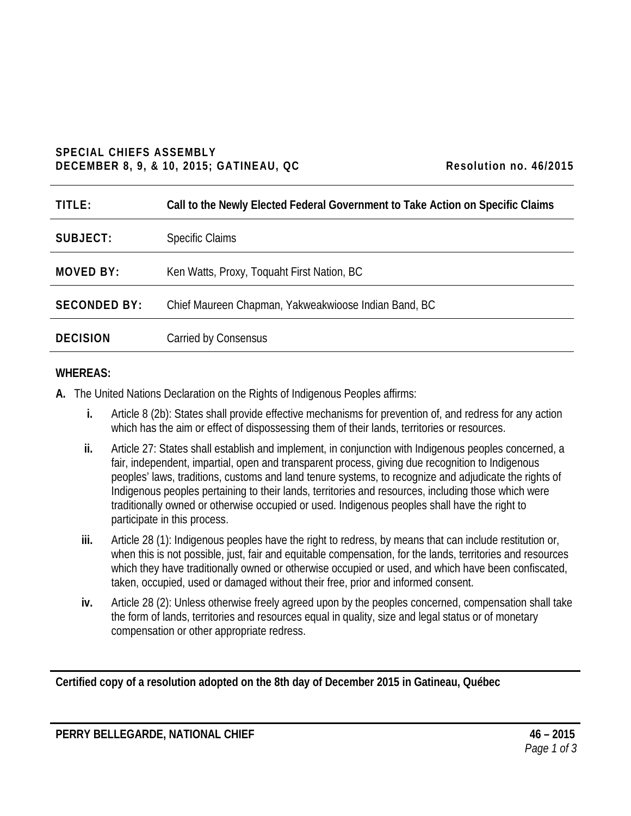# **SPECIAL CHIEFS ASSEMBLY DECEMBER 8, 9, & 10, 2015; GATINEAU, QC Resolution no. 46/2015**

| TITLE:              | Call to the Newly Elected Federal Government to Take Action on Specific Claims |
|---------------------|--------------------------------------------------------------------------------|
| SUBJECT:            | <b>Specific Claims</b>                                                         |
| <b>MOVED BY:</b>    | Ken Watts, Proxy, Toquaht First Nation, BC                                     |
| <b>SECONDED BY:</b> | Chief Maureen Chapman, Yakweakwioose Indian Band, BC                           |
| <b>DECISION</b>     | Carried by Consensus                                                           |

# **WHEREAS:**

**A.** The United Nations Declaration on the Rights of Indigenous Peoples affirms:

- **i.** Article 8 (2b): States shall provide effective mechanisms for prevention of, and redress for any action which has the aim or effect of dispossessing them of their lands, territories or resources.
- **ii.** Article 27: States shall establish and implement, in conjunction with Indigenous peoples concerned, a fair, independent, impartial, open and transparent process, giving due recognition to Indigenous peoples' laws, traditions, customs and land tenure systems, to recognize and adjudicate the rights of Indigenous peoples pertaining to their lands, territories and resources, including those which were traditionally owned or otherwise occupied or used. Indigenous peoples shall have the right to participate in this process.
- **iii.** Article 28 (1): Indigenous peoples have the right to redress, by means that can include restitution or, when this is not possible, just, fair and equitable compensation, for the lands, territories and resources which they have traditionally owned or otherwise occupied or used, and which have been confiscated, taken, occupied, used or damaged without their free, prior and informed consent.
- **iv.** Article 28 (2): Unless otherwise freely agreed upon by the peoples concerned, compensation shall take the form of lands, territories and resources equal in quality, size and legal status or of monetary compensation or other appropriate redress.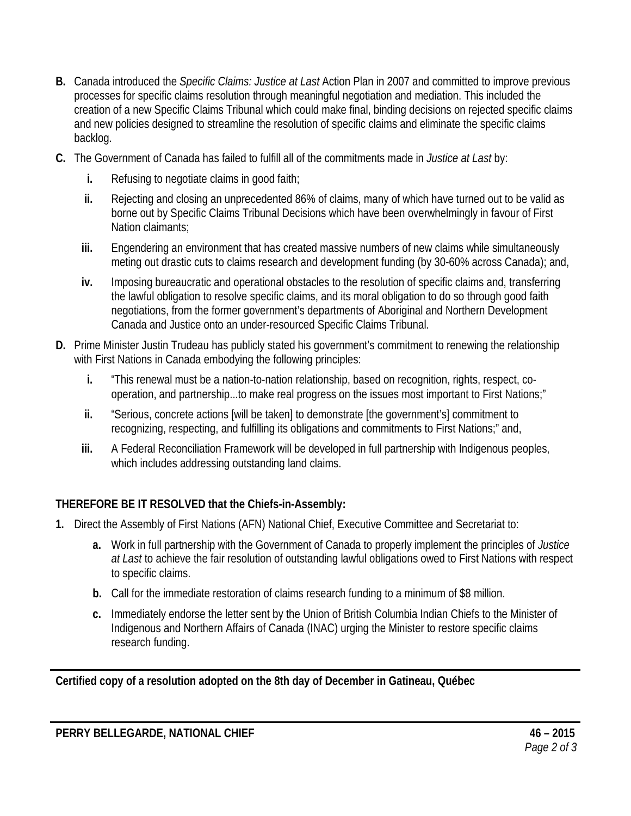- **B.** Canada introduced the *Specific Claims: Justice at Last* Action Plan in 2007 and committed to improve previous processes for specific claims resolution through meaningful negotiation and mediation. This included the creation of a new Specific Claims Tribunal which could make final, binding decisions on rejected specific claims and new policies designed to streamline the resolution of specific claims and eliminate the specific claims backlog.
- **C.** The Government of Canada has failed to fulfill all of the commitments made in *Justice at Last* by:
	- **i.** Refusing to negotiate claims in good faith;
	- **ii.** Rejecting and closing an unprecedented 86% of claims, many of which have turned out to be valid as borne out by Specific Claims Tribunal Decisions which have been overwhelmingly in favour of First Nation claimants;
	- **iii.** Engendering an environment that has created massive numbers of new claims while simultaneously meting out drastic cuts to claims research and development funding (by 30-60% across Canada); and,
	- **iv.** Imposing bureaucratic and operational obstacles to the resolution of specific claims and, transferring the lawful obligation to resolve specific claims, and its moral obligation to do so through good faith negotiations, from the former government's departments of Aboriginal and Northern Development Canada and Justice onto an under-resourced Specific Claims Tribunal.
- **D.** Prime Minister Justin Trudeau has publicly stated his government's commitment to renewing the relationship with First Nations in Canada embodying the following principles:
	- **i.** "This renewal must be a nation-to-nation relationship, based on recognition, rights, respect, cooperation, and partnership...to make real progress on the issues most important to First Nations;"
	- **ii.** "Serious, concrete actions [will be taken] to demonstrate [the government's] commitment to recognizing, respecting, and fulfilling its obligations and commitments to First Nations;" and,
	- **iii.** A Federal Reconciliation Framework will be developed in full partnership with Indigenous peoples, which includes addressing outstanding land claims.

- **1.** Direct the Assembly of First Nations (AFN) National Chief, Executive Committee and Secretariat to:
	- **a.** Work in full partnership with the Government of Canada to properly implement the principles of *Justice at Last* to achieve the fair resolution of outstanding lawful obligations owed to First Nations with respect to specific claims.
	- **b.** Call for the immediate restoration of claims research funding to a minimum of \$8 million.
	- **c.** Immediately endorse the letter sent by the Union of British Columbia Indian Chiefs to the Minister of Indigenous and Northern Affairs of Canada (INAC) urging the Minister to restore specific claims research funding.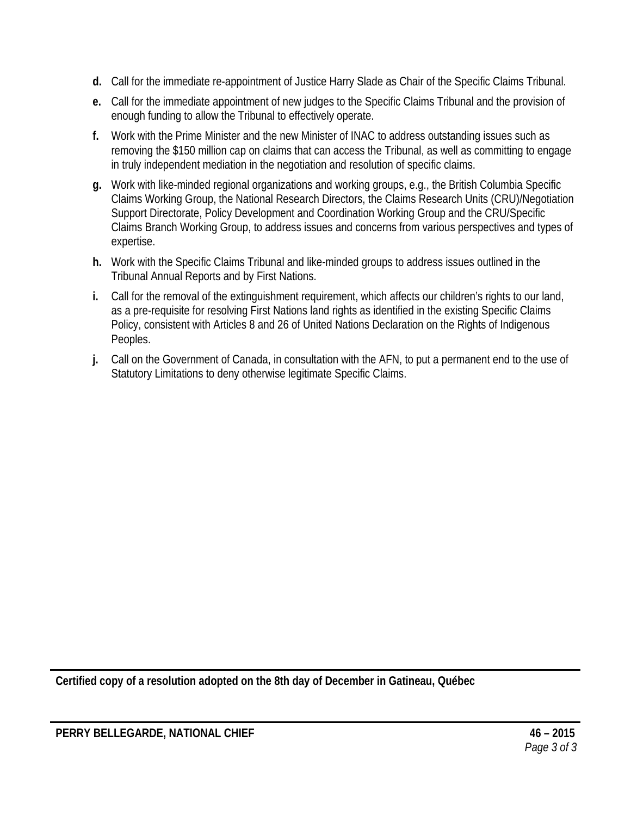- **d.** Call for the immediate re-appointment of Justice Harry Slade as Chair of the Specific Claims Tribunal.
- **e.** Call for the immediate appointment of new judges to the Specific Claims Tribunal and the provision of enough funding to allow the Tribunal to effectively operate.
- **f.** Work with the Prime Minister and the new Minister of INAC to address outstanding issues such as removing the \$150 million cap on claims that can access the Tribunal, as well as committing to engage in truly independent mediation in the negotiation and resolution of specific claims.
- **g.** Work with like-minded regional organizations and working groups, e.g., the British Columbia Specific Claims Working Group, the National Research Directors, the Claims Research Units (CRU)/Negotiation Support Directorate, Policy Development and Coordination Working Group and the CRU/Specific Claims Branch Working Group, to address issues and concerns from various perspectives and types of expertise.
- **h.** Work with the Specific Claims Tribunal and like-minded groups to address issues outlined in the Tribunal Annual Reports and by First Nations.
- **i.** Call for the removal of the extinguishment requirement, which affects our children's rights to our land, as a pre-requisite for resolving First Nations land rights as identified in the existing Specific Claims Policy, consistent with Articles 8 and 26 of United Nations Declaration on the Rights of Indigenous Peoples.
- **j.** Call on the Government of Canada, in consultation with the AFN, to put a permanent end to the use of Statutory Limitations to deny otherwise legitimate Specific Claims.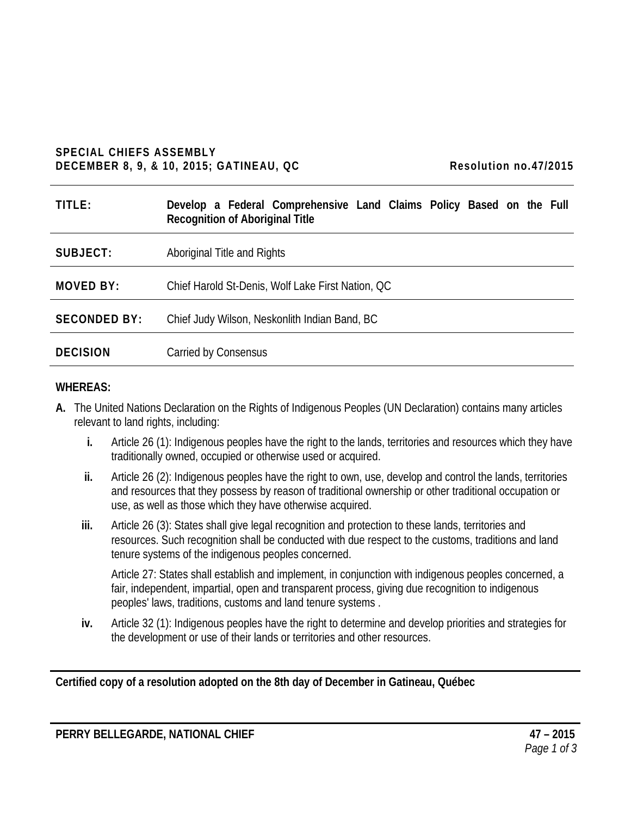#### **SPECIAL CHIEFS ASSEMBLY DECEMBER 8, 9, & 10, 2015; GATINEAU, QC Resolution no.47/2015**

| TITLE:              | Develop a Federal Comprehensive Land Claims Policy Based on the Full<br><b>Recognition of Aboriginal Title</b> |
|---------------------|----------------------------------------------------------------------------------------------------------------|
| SUBJECT:            | Aboriginal Title and Rights                                                                                    |
| MOVED BY:           | Chief Harold St-Denis, Wolf Lake First Nation, QC                                                              |
| <b>SECONDED BY:</b> | Chief Judy Wilson, Neskonlith Indian Band, BC                                                                  |
| <b>DECISION</b>     | Carried by Consensus                                                                                           |

#### **WHEREAS:**

- **A.** The United Nations Declaration on the Rights of Indigenous Peoples (UN Declaration) contains many articles relevant to land rights, including:
	- **i.** Article 26 (1): Indigenous peoples have the right to the lands, territories and resources which they have traditionally owned, occupied or otherwise used or acquired.
	- **ii.** Article 26 (2): Indigenous peoples have the right to own, use, develop and control the lands, territories and resources that they possess by reason of traditional ownership or other traditional occupation or use, as well as those which they have otherwise acquired.
	- **iii.** Article 26 (3): States shall give legal recognition and protection to these lands, territories and resources. Such recognition shall be conducted with due respect to the customs, traditions and land tenure systems of the indigenous peoples concerned.

Article 27: States shall establish and implement, in conjunction with indigenous peoples concerned, a fair, independent, impartial, open and transparent process, giving due recognition to indigenous peoples' laws, traditions, customs and land tenure systems .

**iv.** Article 32 (1): Indigenous peoples have the right to determine and develop priorities and strategies for the development or use of their lands or territories and other resources.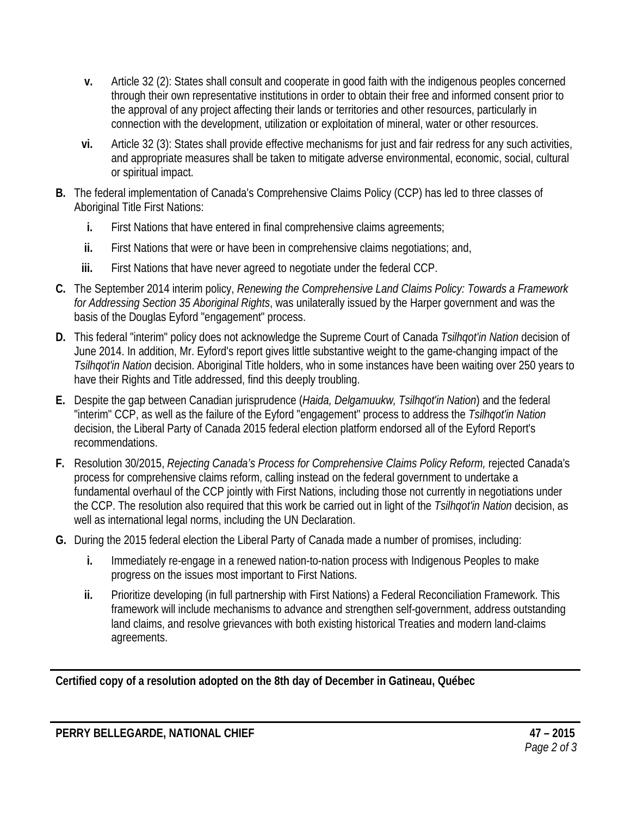- **v.** Article 32 (2): States shall consult and cooperate in good faith with the indigenous peoples concerned through their own representative institutions in order to obtain their free and informed consent prior to the approval of any project affecting their lands or territories and other resources, particularly in connection with the development, utilization or exploitation of mineral, water or other resources.
- **vi.** Article 32 (3): States shall provide effective mechanisms for just and fair redress for any such activities, and appropriate measures shall be taken to mitigate adverse environmental, economic, social, cultural or spiritual impact.
- **B.** The federal implementation of Canada's Comprehensive Claims Policy (CCP) has led to three classes of Aboriginal Title First Nations:
	- **i.** First Nations that have entered in final comprehensive claims agreements;
	- **ii.** First Nations that were or have been in comprehensive claims negotiations; and,
	- **iii.** First Nations that have never agreed to negotiate under the federal CCP.
- **C.** The September 2014 interim policy, *Renewing the Comprehensive Land Claims Policy: Towards a Framework for Addressing Section 35 Aboriginal Rights*, was unilaterally issued by the Harper government and was the basis of the Douglas Eyford "engagement" process.
- **D.** This federal "interim" policy does not acknowledge the Supreme Court of Canada *Tsilhqot'in Nation* decision of June 2014. In addition, Mr. Eyford's report gives little substantive weight to the game-changing impact of the *Tsilhqot'in Nation* decision. Aboriginal Title holders, who in some instances have been waiting over 250 years to have their Rights and Title addressed, find this deeply troubling.
- **E.** Despite the gap between Canadian jurisprudence (*Haida, Delgamuukw, Tsilhqot'in Nation*) and the federal "interim" CCP, as well as the failure of the Eyford "engagement" process to address the *Tsilhqot'in Nation* decision, the Liberal Party of Canada 2015 federal election platform endorsed all of the Eyford Report's recommendations.
- **F.** Resolution 30/2015, *Rejecting Canada's Process for Comprehensive Claims Policy Reform,* rejected Canada's process for comprehensive claims reform, calling instead on the federal government to undertake a fundamental overhaul of the CCP jointly with First Nations, including those not currently in negotiations under the CCP. The resolution also required that this work be carried out in light of the *Tsilhqot'in Nation* decision, as well as international legal norms, including the UN Declaration.
- **G.** During the 2015 federal election the Liberal Party of Canada made a number of promises, including:
	- **i.** Immediately re-engage in a renewed nation-to-nation process with Indigenous Peoples to make progress on the issues most important to First Nations.
	- **ii.** Prioritize developing (in full partnership with First Nations) a Federal Reconciliation Framework. This framework will include mechanisms to advance and strengthen self-government, address outstanding land claims, and resolve grievances with both existing historical Treaties and modern land-claims agreements.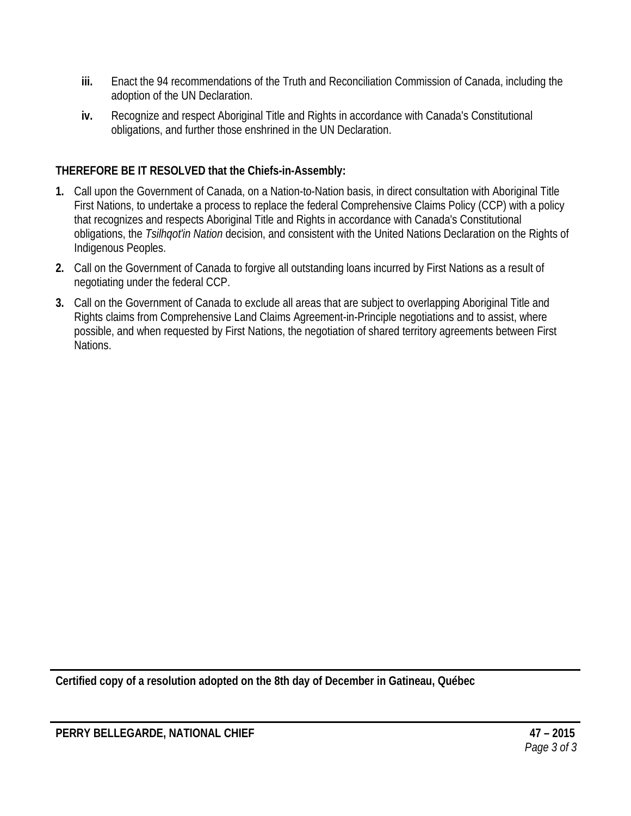- **iii.** Enact the 94 recommendations of the Truth and Reconciliation Commission of Canada, including the adoption of the UN Declaration.
- **iv.** Recognize and respect Aboriginal Title and Rights in accordance with Canada's Constitutional obligations, and further those enshrined in the UN Declaration.

- **1.** Call upon the Government of Canada, on a Nation-to-Nation basis, in direct consultation with Aboriginal Title First Nations, to undertake a process to replace the federal Comprehensive Claims Policy (CCP) with a policy that recognizes and respects Aboriginal Title and Rights in accordance with Canada's Constitutional obligations, the *Tsilhqot'in Nation* decision, and consistent with the United Nations Declaration on the Rights of Indigenous Peoples.
- **2.** Call on the Government of Canada to forgive all outstanding loans incurred by First Nations as a result of negotiating under the federal CCP.
- **3.** Call on the Government of Canada to exclude all areas that are subject to overlapping Aboriginal Title and Rights claims from Comprehensive Land Claims Agreement-in-Principle negotiations and to assist, where possible, and when requested by First Nations, the negotiation of shared territory agreements between First Nations.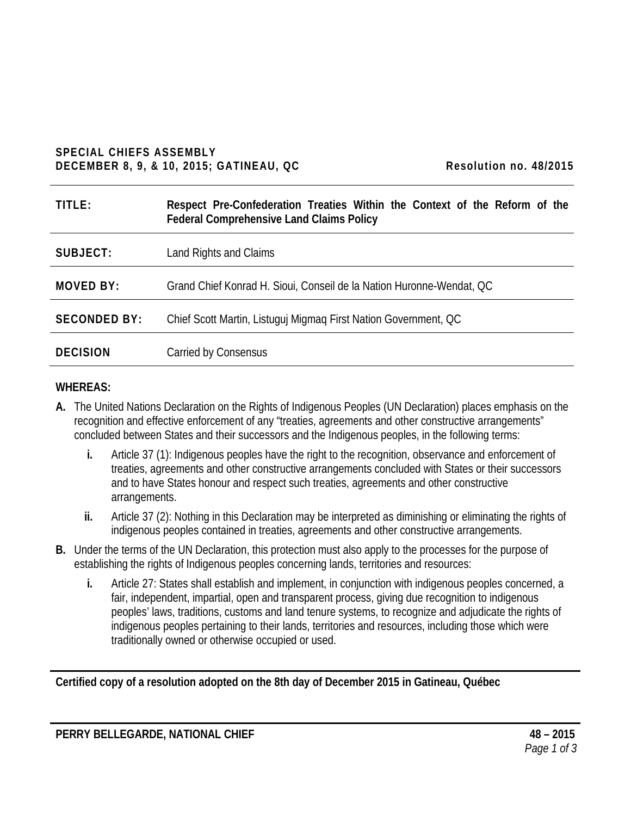### **SPECIAL CHIEFS ASSEMBLY DECEMBER 8, 9, & 10, 2015; GATINEAU, QC Resolution no. 48/2015**

| TITLE:              | Respect Pre-Confederation Treaties Within the Context of the Reform of the<br><b>Federal Comprehensive Land Claims Policy</b> |
|---------------------|-------------------------------------------------------------------------------------------------------------------------------|
| SUBJECT:            | Land Rights and Claims                                                                                                        |
| MOVED BY:           | Grand Chief Konrad H. Sioui, Conseil de la Nation Huronne-Wendat, QC                                                          |
| <b>SECONDED BY:</b> | Chief Scott Martin, Listuguj Migmag First Nation Government, QC                                                               |
| <b>DECISION</b>     | Carried by Consensus                                                                                                          |

#### **WHEREAS:**

- **A.** The United Nations Declaration on the Rights of Indigenous Peoples (UN Declaration) places emphasis on the recognition and effective enforcement of any "treaties, agreements and other constructive arrangements" concluded between States and their successors and the Indigenous peoples, in the following terms:
	- **i.** Article 37 (1): Indigenous peoples have the right to the recognition, observance and enforcement of treaties, agreements and other constructive arrangements concluded with States or their successors and to have States honour and respect such treaties, agreements and other constructive arrangements.
	- **ii.** Article 37 (2): Nothing in this Declaration may be interpreted as diminishing or eliminating the rights of indigenous peoples contained in treaties, agreements and other constructive arrangements.
- **B.** Under the terms of the UN Declaration, this protection must also apply to the processes for the purpose of establishing the rights of Indigenous peoples concerning lands, territories and resources:
	- **i.** Article 27: States shall establish and implement, in conjunction with indigenous peoples concerned, a fair, independent, impartial, open and transparent process, giving due recognition to indigenous peoples' laws, traditions, customs and land tenure systems, to recognize and adjudicate the rights of indigenous peoples pertaining to their lands, territories and resources, including those which were traditionally owned or otherwise occupied or used.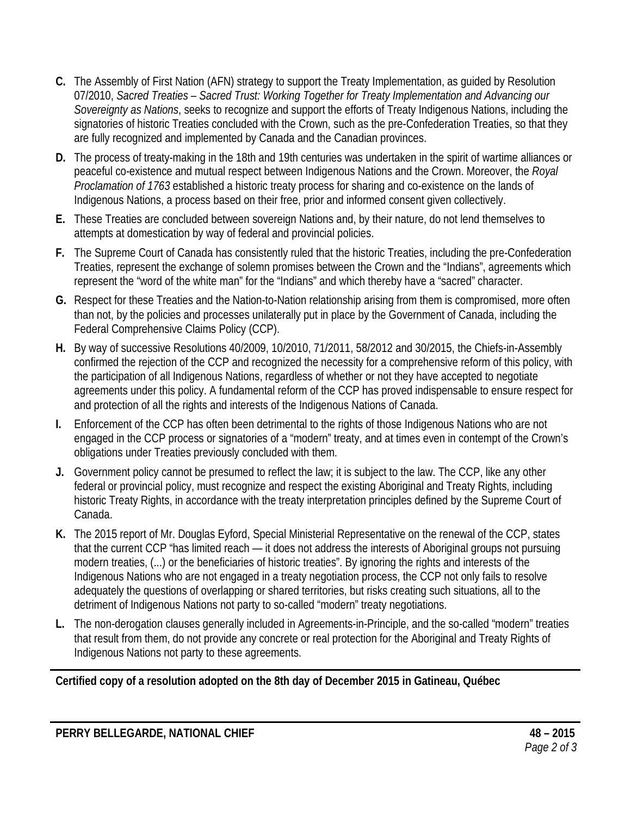- **C.** The Assembly of First Nation (AFN) strategy to support the Treaty Implementation, as guided by Resolution 07/2010, *Sacred Treaties – Sacred Trust: Working Together for Treaty Implementation and Advancing our Sovereignty as Nations*, seeks to recognize and support the efforts of Treaty Indigenous Nations, including the signatories of historic Treaties concluded with the Crown, such as the pre-Confederation Treaties, so that they are fully recognized and implemented by Canada and the Canadian provinces.
- **D.** The process of treaty-making in the 18th and 19th centuries was undertaken in the spirit of wartime alliances or peaceful co-existence and mutual respect between Indigenous Nations and the Crown. Moreover, the *Royal Proclamation of 1763* established a historic treaty process for sharing and co-existence on the lands of Indigenous Nations, a process based on their free, prior and informed consent given collectively.
- **E.** These Treaties are concluded between sovereign Nations and, by their nature, do not lend themselves to attempts at domestication by way of federal and provincial policies.
- **F.** The Supreme Court of Canada has consistently ruled that the historic Treaties, including the pre-Confederation Treaties, represent the exchange of solemn promises between the Crown and the "Indians", agreements which represent the "word of the white man" for the "Indians" and which thereby have a "sacred" character.
- **G.** Respect for these Treaties and the Nation-to-Nation relationship arising from them is compromised, more often than not, by the policies and processes unilaterally put in place by the Government of Canada, including the Federal Comprehensive Claims Policy (CCP).
- **H.** By way of successive Resolutions 40/2009, 10/2010, 71/2011, 58/2012 and 30/2015, the Chiefs-in-Assembly confirmed the rejection of the CCP and recognized the necessity for a comprehensive reform of this policy, with the participation of all Indigenous Nations, regardless of whether or not they have accepted to negotiate agreements under this policy. A fundamental reform of the CCP has proved indispensable to ensure respect for and protection of all the rights and interests of the Indigenous Nations of Canada.
- **I.** Enforcement of the CCP has often been detrimental to the rights of those Indigenous Nations who are not engaged in the CCP process or signatories of a "modern" treaty, and at times even in contempt of the Crown's obligations under Treaties previously concluded with them.
- **J.** Government policy cannot be presumed to reflect the law; it is subject to the law. The CCP, like any other federal or provincial policy, must recognize and respect the existing Aboriginal and Treaty Rights, including historic Treaty Rights, in accordance with the treaty interpretation principles defined by the Supreme Court of Canada.
- **K.** The 2015 report of Mr. Douglas Eyford, Special Ministerial Representative on the renewal of the CCP, states that the current CCP "has limited reach — it does not address the interests of Aboriginal groups not pursuing modern treaties, (...) or the beneficiaries of historic treaties". By ignoring the rights and interests of the Indigenous Nations who are not engaged in a treaty negotiation process, the CCP not only fails to resolve adequately the questions of overlapping or shared territories, but risks creating such situations, all to the detriment of Indigenous Nations not party to so-called "modern" treaty negotiations.
- **L.** The non-derogation clauses generally included in Agreements-in-Principle, and the so-called "modern" treaties that result from them, do not provide any concrete or real protection for the Aboriginal and Treaty Rights of Indigenous Nations not party to these agreements.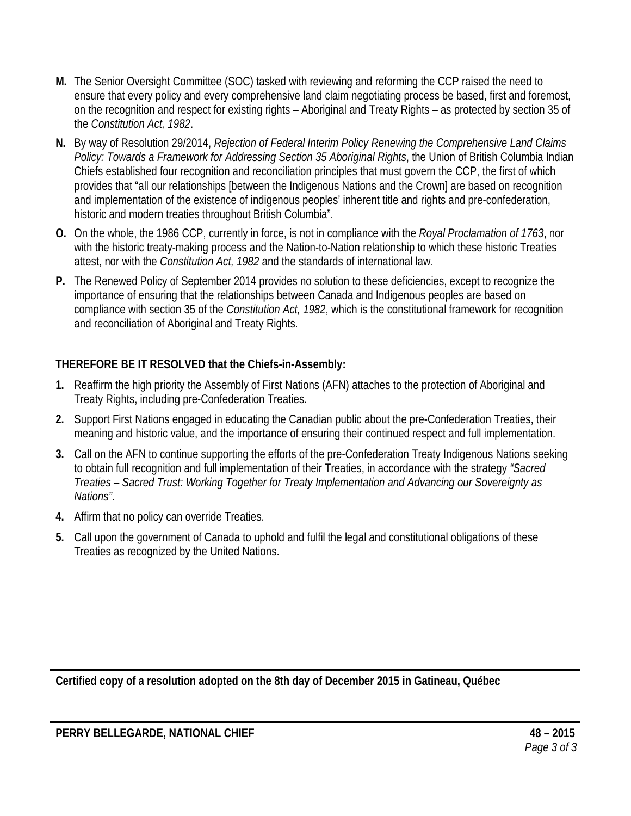- **M.** The Senior Oversight Committee (SOC) tasked with reviewing and reforming the CCP raised the need to ensure that every policy and every comprehensive land claim negotiating process be based, first and foremost, on the recognition and respect for existing rights – Aboriginal and Treaty Rights – as protected by section 35 of the *Constitution Act, 1982*.
- **N.** By way of Resolution 29/2014, *Rejection of Federal Interim Policy Renewing the Comprehensive Land Claims Policy: Towards a Framework for Addressing Section 35 Aboriginal Rights*, the Union of British Columbia Indian Chiefs established four recognition and reconciliation principles that must govern the CCP, the first of which provides that "all our relationships [between the Indigenous Nations and the Crown] are based on recognition and implementation of the existence of indigenous peoples' inherent title and rights and pre-confederation, historic and modern treaties throughout British Columbia".
- **O.** On the whole, the 1986 CCP, currently in force, is not in compliance with the *Royal Proclamation of 1763*, nor with the historic treaty-making process and the Nation-to-Nation relationship to which these historic Treaties attest, nor with the *Constitution Act, 1982* and the standards of international law.
- **P.** The Renewed Policy of September 2014 provides no solution to these deficiencies, except to recognize the importance of ensuring that the relationships between Canada and Indigenous peoples are based on compliance with section 35 of the *Constitution Act, 1982*, which is the constitutional framework for recognition and reconciliation of Aboriginal and Treaty Rights.

- **1.** Reaffirm the high priority the Assembly of First Nations (AFN) attaches to the protection of Aboriginal and Treaty Rights, including pre-Confederation Treaties.
- **2.** Support First Nations engaged in educating the Canadian public about the pre-Confederation Treaties, their meaning and historic value, and the importance of ensuring their continued respect and full implementation.
- **3.** Call on the AFN to continue supporting the efforts of the pre-Confederation Treaty Indigenous Nations seeking to obtain full recognition and full implementation of their Treaties, in accordance with the strategy *"Sacred Treaties – Sacred Trust: Working Together for Treaty Implementation and Advancing our Sovereignty as Nations"*.
- **4.** Affirm that no policy can override Treaties.
- **5.** Call upon the government of Canada to uphold and fulfil the legal and constitutional obligations of these Treaties as recognized by the United Nations.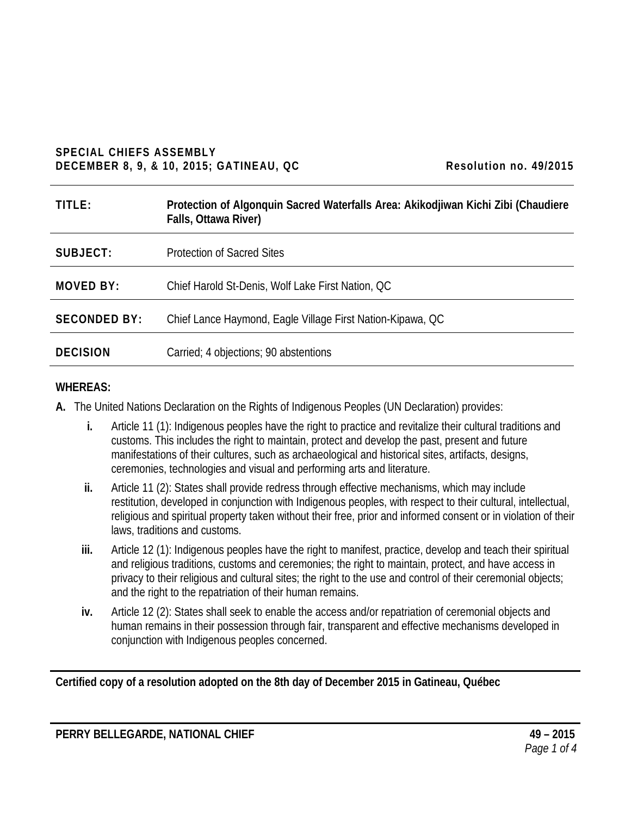#### **SPECIAL CHIEFS ASSEMBLY DECEMBER 8, 9, & 10, 2015; GATINEAU, QC Resolution no. 49/2015**

| TITLE:              | Protection of Algonquin Sacred Waterfalls Area: Akikodjiwan Kichi Zibi (Chaudiere<br>Falls, Ottawa River) |
|---------------------|-----------------------------------------------------------------------------------------------------------|
| SUBJECT:            | <b>Protection of Sacred Sites</b>                                                                         |
| MOVED BY:           | Chief Harold St-Denis, Wolf Lake First Nation, QC                                                         |
| <b>SECONDED BY:</b> | Chief Lance Haymond, Eagle Village First Nation-Kipawa, QC                                                |
| <b>DECISION</b>     | Carried; 4 objections; 90 abstentions                                                                     |

#### **WHEREAS:**

- **A.** The United Nations Declaration on the Rights of Indigenous Peoples (UN Declaration) provides:
	- **i.** Article 11 (1): Indigenous peoples have the right to practice and revitalize their cultural traditions and customs. This includes the right to maintain, protect and develop the past, present and future manifestations of their cultures, such as archaeological and historical sites, artifacts, designs, ceremonies, technologies and visual and performing arts and literature.
	- **ii.** Article 11 (2): States shall provide redress through effective mechanisms, which may include restitution, developed in conjunction with Indigenous peoples, with respect to their cultural, intellectual, religious and spiritual property taken without their free, prior and informed consent or in violation of their laws, traditions and customs.
	- **iii.** Article 12 (1): Indigenous peoples have the right to manifest, practice, develop and teach their spiritual and religious traditions, customs and ceremonies; the right to maintain, protect, and have access in privacy to their religious and cultural sites; the right to the use and control of their ceremonial objects; and the right to the repatriation of their human remains.
	- **iv.** Article 12 (2): States shall seek to enable the access and/or repatriation of ceremonial objects and human remains in their possession through fair, transparent and effective mechanisms developed in conjunction with Indigenous peoples concerned.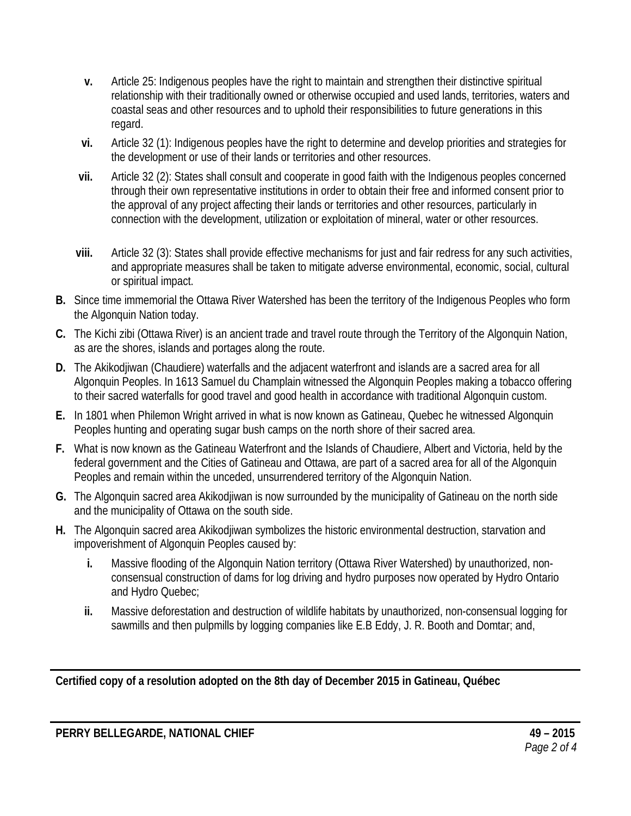- **v.** Article 25: Indigenous peoples have the right to maintain and strengthen their distinctive spiritual relationship with their traditionally owned or otherwise occupied and used lands, territories, waters and coastal seas and other resources and to uphold their responsibilities to future generations in this regard.
- **vi.** Article 32 (1): Indigenous peoples have the right to determine and develop priorities and strategies for the development or use of their lands or territories and other resources.
- **vii.** Article 32 (2): States shall consult and cooperate in good faith with the Indigenous peoples concerned through their own representative institutions in order to obtain their free and informed consent prior to the approval of any project affecting their lands or territories and other resources, particularly in connection with the development, utilization or exploitation of mineral, water or other resources.
- **viii.** Article 32 (3): States shall provide effective mechanisms for just and fair redress for any such activities, and appropriate measures shall be taken to mitigate adverse environmental, economic, social, cultural or spiritual impact.
- **B.** Since time immemorial the Ottawa River Watershed has been the territory of the Indigenous Peoples who form the Algonquin Nation today.
- **C.** The Kichi zibi (Ottawa River) is an ancient trade and travel route through the Territory of the Algonquin Nation, as are the shores, islands and portages along the route.
- **D.** The Akikodjiwan (Chaudiere) waterfalls and the adjacent waterfront and islands are a sacred area for all Algonquin Peoples. In 1613 Samuel du Champlain witnessed the Algonquin Peoples making a tobacco offering to their sacred waterfalls for good travel and good health in accordance with traditional Algonquin custom.
- **E.** In 1801 when Philemon Wright arrived in what is now known as Gatineau, Quebec he witnessed Algonquin Peoples hunting and operating sugar bush camps on the north shore of their sacred area.
- **F.** What is now known as the Gatineau Waterfront and the Islands of Chaudiere, Albert and Victoria, held by the federal government and the Cities of Gatineau and Ottawa, are part of a sacred area for all of the Algonquin Peoples and remain within the unceded, unsurrendered territory of the Algonquin Nation.
- **G.** The Algonquin sacred area Akikodjiwan is now surrounded by the municipality of Gatineau on the north side and the municipality of Ottawa on the south side.
- **H.** The Algonquin sacred area Akikodjiwan symbolizes the historic environmental destruction, starvation and impoverishment of Algonquin Peoples caused by:
	- **i.** Massive flooding of the Algonquin Nation territory (Ottawa River Watershed) by unauthorized, nonconsensual construction of dams for log driving and hydro purposes now operated by Hydro Ontario and Hydro Quebec;
	- **ii.** Massive deforestation and destruction of wildlife habitats by unauthorized, non-consensual logging for sawmills and then pulpmills by logging companies like E.B Eddy, J. R. Booth and Domtar; and,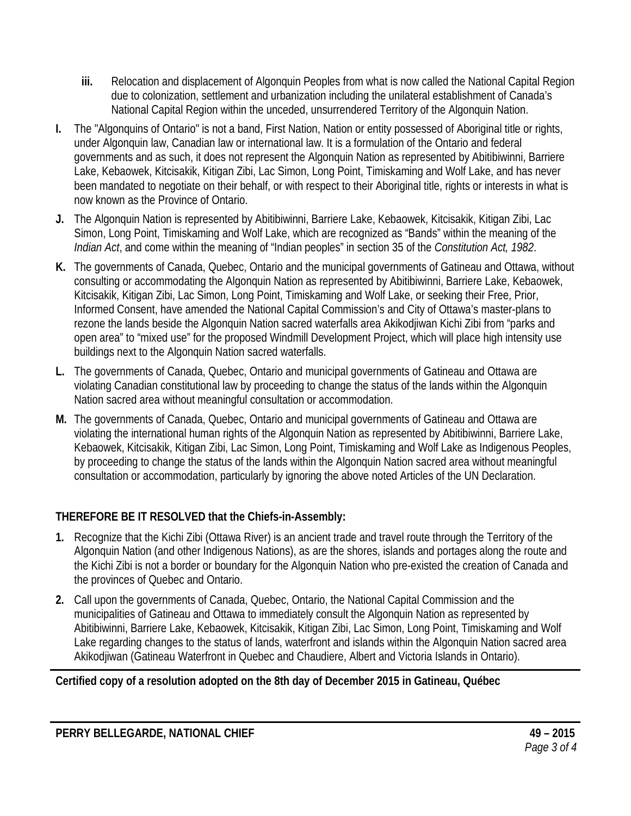- **iii.** Relocation and displacement of Algonquin Peoples from what is now called the National Capital Region due to colonization, settlement and urbanization including the unilateral establishment of Canada's National Capital Region within the unceded, unsurrendered Territory of the Algonquin Nation.
- **I.** The "Algonquins of Ontario" is not a band, First Nation, Nation or entity possessed of Aboriginal title or rights, under Algonquin law, Canadian law or international law. It is a formulation of the Ontario and federal governments and as such, it does not represent the Algonquin Nation as represented by Abitibiwinni, Barriere Lake, Kebaowek, Kitcisakik, Kitigan Zibi, Lac Simon, Long Point, Timiskaming and Wolf Lake, and has never been mandated to negotiate on their behalf, or with respect to their Aboriginal title, rights or interests in what is now known as the Province of Ontario.
- **J.** The Algonquin Nation is represented by Abitibiwinni, Barriere Lake, Kebaowek, Kitcisakik, Kitigan Zibi, Lac Simon, Long Point, Timiskaming and Wolf Lake, which are recognized as "Bands" within the meaning of the *Indian Act*, and come within the meaning of "Indian peoples" in section 35 of the *Constitution Act, 1982*.
- **K.** The governments of Canada, Quebec, Ontario and the municipal governments of Gatineau and Ottawa, without consulting or accommodating the Algonquin Nation as represented by Abitibiwinni, Barriere Lake, Kebaowek, Kitcisakik, Kitigan Zibi, Lac Simon, Long Point, Timiskaming and Wolf Lake, or seeking their Free, Prior, Informed Consent, have amended the National Capital Commission's and City of Ottawa's master-plans to rezone the lands beside the Algonquin Nation sacred waterfalls area Akikodjiwan Kichi Zibi from "parks and open area" to "mixed use" for the proposed Windmill Development Project, which will place high intensity use buildings next to the Algonquin Nation sacred waterfalls.
- **L.** The governments of Canada, Quebec, Ontario and municipal governments of Gatineau and Ottawa are violating Canadian constitutional law by proceeding to change the status of the lands within the Algonquin Nation sacred area without meaningful consultation or accommodation.
- **M.** The governments of Canada, Quebec, Ontario and municipal governments of Gatineau and Ottawa are violating the international human rights of the Algonquin Nation as represented by Abitibiwinni, Barriere Lake, Kebaowek, Kitcisakik, Kitigan Zibi, Lac Simon, Long Point, Timiskaming and Wolf Lake as Indigenous Peoples, by proceeding to change the status of the lands within the Algonquin Nation sacred area without meaningful consultation or accommodation, particularly by ignoring the above noted Articles of the UN Declaration.

- **1.** Recognize that the Kichi Zibi (Ottawa River) is an ancient trade and travel route through the Territory of the Algonquin Nation (and other Indigenous Nations), as are the shores, islands and portages along the route and the Kichi Zibi is not a border or boundary for the Algonquin Nation who pre-existed the creation of Canada and the provinces of Quebec and Ontario.
- **2.** Call upon the governments of Canada, Quebec, Ontario, the National Capital Commission and the municipalities of Gatineau and Ottawa to immediately consult the Algonquin Nation as represented by Abitibiwinni, Barriere Lake, Kebaowek, Kitcisakik, Kitigan Zibi, Lac Simon, Long Point, Timiskaming and Wolf Lake regarding changes to the status of lands, waterfront and islands within the Algonquin Nation sacred area Akikodjiwan (Gatineau Waterfront in Quebec and Chaudiere, Albert and Victoria Islands in Ontario).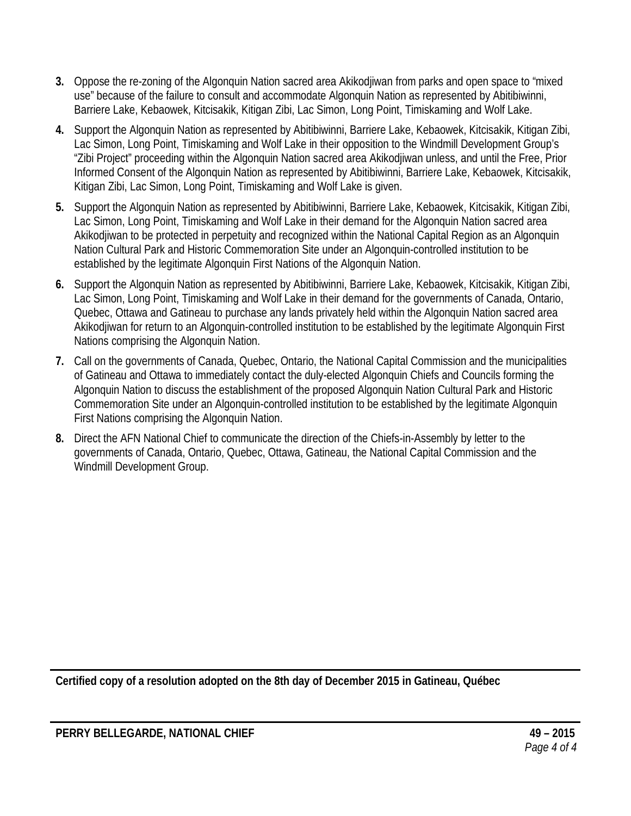- **3.** Oppose the re-zoning of the Algonquin Nation sacred area Akikodjiwan from parks and open space to "mixed use" because of the failure to consult and accommodate Algonquin Nation as represented by Abitibiwinni, Barriere Lake, Kebaowek, Kitcisakik, Kitigan Zibi, Lac Simon, Long Point, Timiskaming and Wolf Lake.
- **4.** Support the Algonquin Nation as represented by Abitibiwinni, Barriere Lake, Kebaowek, Kitcisakik, Kitigan Zibi, Lac Simon, Long Point, Timiskaming and Wolf Lake in their opposition to the Windmill Development Group's "Zibi Project" proceeding within the Algonquin Nation sacred area Akikodjiwan unless, and until the Free, Prior Informed Consent of the Algonquin Nation as represented by Abitibiwinni, Barriere Lake, Kebaowek, Kitcisakik, Kitigan Zibi, Lac Simon, Long Point, Timiskaming and Wolf Lake is given.
- **5.** Support the Algonquin Nation as represented by Abitibiwinni, Barriere Lake, Kebaowek, Kitcisakik, Kitigan Zibi, Lac Simon, Long Point, Timiskaming and Wolf Lake in their demand for the Algonquin Nation sacred area Akikodjiwan to be protected in perpetuity and recognized within the National Capital Region as an Algonquin Nation Cultural Park and Historic Commemoration Site under an Algonquin-controlled institution to be established by the legitimate Algonquin First Nations of the Algonquin Nation.
- **6.** Support the Algonquin Nation as represented by Abitibiwinni, Barriere Lake, Kebaowek, Kitcisakik, Kitigan Zibi, Lac Simon, Long Point, Timiskaming and Wolf Lake in their demand for the governments of Canada, Ontario, Quebec, Ottawa and Gatineau to purchase any lands privately held within the Algonquin Nation sacred area Akikodjiwan for return to an Algonquin-controlled institution to be established by the legitimate Algonquin First Nations comprising the Algonquin Nation.
- **7.** Call on the governments of Canada, Quebec, Ontario, the National Capital Commission and the municipalities of Gatineau and Ottawa to immediately contact the duly-elected Algonquin Chiefs and Councils forming the Algonquin Nation to discuss the establishment of the proposed Algonquin Nation Cultural Park and Historic Commemoration Site under an Algonquin-controlled institution to be established by the legitimate Algonquin First Nations comprising the Algonquin Nation.
- **8.** Direct the AFN National Chief to communicate the direction of the Chiefs-in-Assembly by letter to the governments of Canada, Ontario, Quebec, Ottawa, Gatineau, the National Capital Commission and the Windmill Development Group.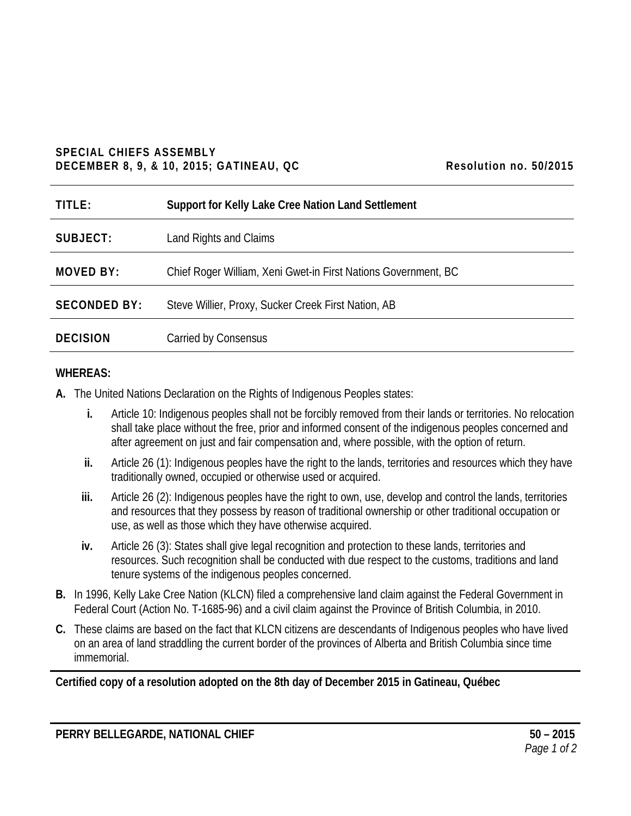# **SPECIAL CHIEFS ASSEMBLY DECEMBER 8, 9, & 10, 2015; GATINEAU, QC Resolution no. 50/2015**

| Resolution no. 50/2015 |  |  |
|------------------------|--|--|
|------------------------|--|--|

| TITLE:              | <b>Support for Kelly Lake Cree Nation Land Settlement</b>      |
|---------------------|----------------------------------------------------------------|
| SUBJECT:            | Land Rights and Claims                                         |
| <b>MOVED BY:</b>    | Chief Roger William, Xeni Gwet-in First Nations Government, BC |
| <b>SECONDED BY:</b> | Steve Willier, Proxy, Sucker Creek First Nation, AB            |
| <b>DECISION</b>     | Carried by Consensus                                           |

# **WHEREAS:**

- **A.** The United Nations Declaration on the Rights of Indigenous Peoples states:
	- **i.** Article 10: Indigenous peoples shall not be forcibly removed from their lands or territories. No relocation shall take place without the free, prior and informed consent of the indigenous peoples concerned and after agreement on just and fair compensation and, where possible, with the option of return.
	- **ii.** Article 26 (1): Indigenous peoples have the right to the lands, territories and resources which they have traditionally owned, occupied or otherwise used or acquired.
	- **iii.** Article 26 (2): Indigenous peoples have the right to own, use, develop and control the lands, territories and resources that they possess by reason of traditional ownership or other traditional occupation or use, as well as those which they have otherwise acquired.
	- **iv.** Article 26 (3): States shall give legal recognition and protection to these lands, territories and resources. Such recognition shall be conducted with due respect to the customs, traditions and land tenure systems of the indigenous peoples concerned.
- **B.** In 1996, Kelly Lake Cree Nation (KLCN) filed a comprehensive land claim against the Federal Government in Federal Court (Action No. T-1685-96) and a civil claim against the Province of British Columbia, in 2010.
- **C.** These claims are based on the fact that KLCN citizens are descendants of Indigenous peoples who have lived on an area of land straddling the current border of the provinces of Alberta and British Columbia since time immemorial.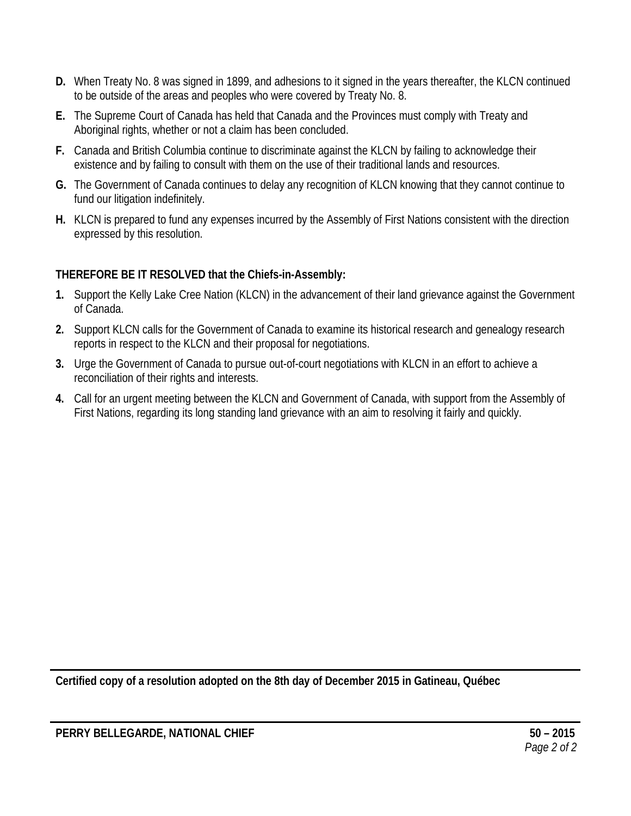- **D.** When Treaty No. 8 was signed in 1899, and adhesions to it signed in the years thereafter, the KLCN continued to be outside of the areas and peoples who were covered by Treaty No. 8.
- **E.** The Supreme Court of Canada has held that Canada and the Provinces must comply with Treaty and Aboriginal rights, whether or not a claim has been concluded.
- **F.** Canada and British Columbia continue to discriminate against the KLCN by failing to acknowledge their existence and by failing to consult with them on the use of their traditional lands and resources.
- **G.** The Government of Canada continues to delay any recognition of KLCN knowing that they cannot continue to fund our litigation indefinitely.
- **H.** KLCN is prepared to fund any expenses incurred by the Assembly of First Nations consistent with the direction expressed by this resolution.

- **1.** Support the Kelly Lake Cree Nation (KLCN) in the advancement of their land grievance against the Government of Canada.
- **2.** Support KLCN calls for the Government of Canada to examine its historical research and genealogy research reports in respect to the KLCN and their proposal for negotiations.
- **3.** Urge the Government of Canada to pursue out-of-court negotiations with KLCN in an effort to achieve a reconciliation of their rights and interests.
- **4.** Call for an urgent meeting between the KLCN and Government of Canada, with support from the Assembly of First Nations, regarding its long standing land grievance with an aim to resolving it fairly and quickly.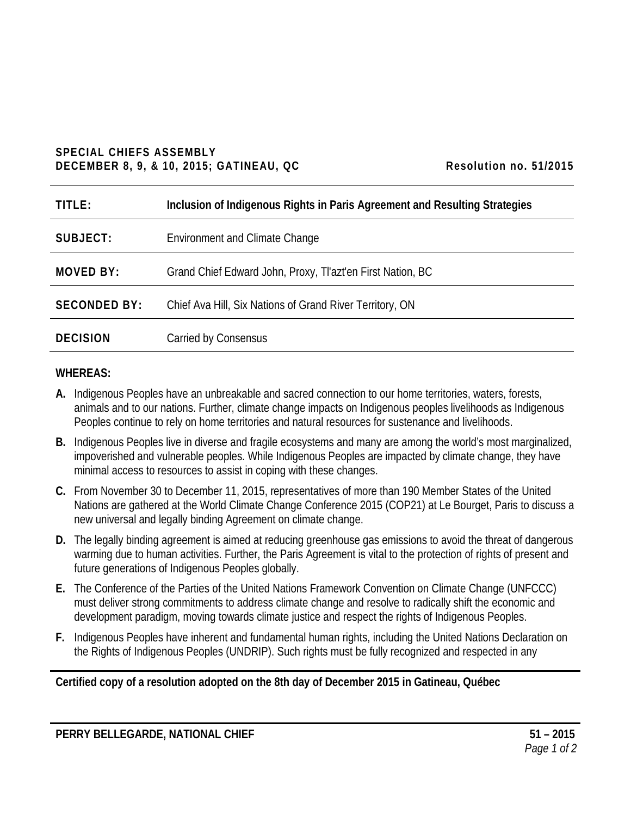# **SPECIAL CHIEFS ASSEMBLY DECEMBER 8, 9, & 10, 2015; GATINEAU, QC Resolution no. 51/2015**

| Resolution no. 51/2015 |  |  |
|------------------------|--|--|
|------------------------|--|--|

| TITLE:              | Inclusion of Indigenous Rights in Paris Agreement and Resulting Strategies |
|---------------------|----------------------------------------------------------------------------|
| SUBJECT:            | <b>Environment and Climate Change</b>                                      |
| <b>MOVED BY:</b>    | Grand Chief Edward John, Proxy, Tl'azt'en First Nation, BC                 |
| <b>SECONDED BY:</b> | Chief Ava Hill, Six Nations of Grand River Territory, ON                   |
| <b>DECISION</b>     | Carried by Consensus                                                       |

# **WHEREAS:**

- **A.** Indigenous Peoples have an unbreakable and sacred connection to our home territories, waters, forests, animals and to our nations. Further, climate change impacts on Indigenous peoples livelihoods as Indigenous Peoples continue to rely on home territories and natural resources for sustenance and livelihoods.
- **B.** Indigenous Peoples live in diverse and fragile ecosystems and many are among the world's most marginalized, impoverished and vulnerable peoples. While Indigenous Peoples are impacted by climate change, they have minimal access to resources to assist in coping with these changes.
- **C.** From November 30 to December 11, 2015, representatives of more than 190 Member States of the United Nations are gathered at the World Climate Change Conference 2015 (COP21) at Le Bourget, Paris to discuss a new universal and legally binding Agreement on climate change.
- **D.** The legally binding agreement is aimed at reducing greenhouse gas emissions to avoid the threat of dangerous warming due to human activities. Further, the Paris Agreement is vital to the protection of rights of present and future generations of Indigenous Peoples globally.
- **E.** The Conference of the Parties of the United Nations Framework Convention on Climate Change (UNFCCC) must deliver strong commitments to address climate change and resolve to radically shift the economic and development paradigm, moving towards climate justice and respect the rights of Indigenous Peoples.
- **F.** Indigenous Peoples have inherent and fundamental human rights, including the United Nations Declaration on the Rights of Indigenous Peoples (UNDRIP). Such rights must be fully recognized and respected in any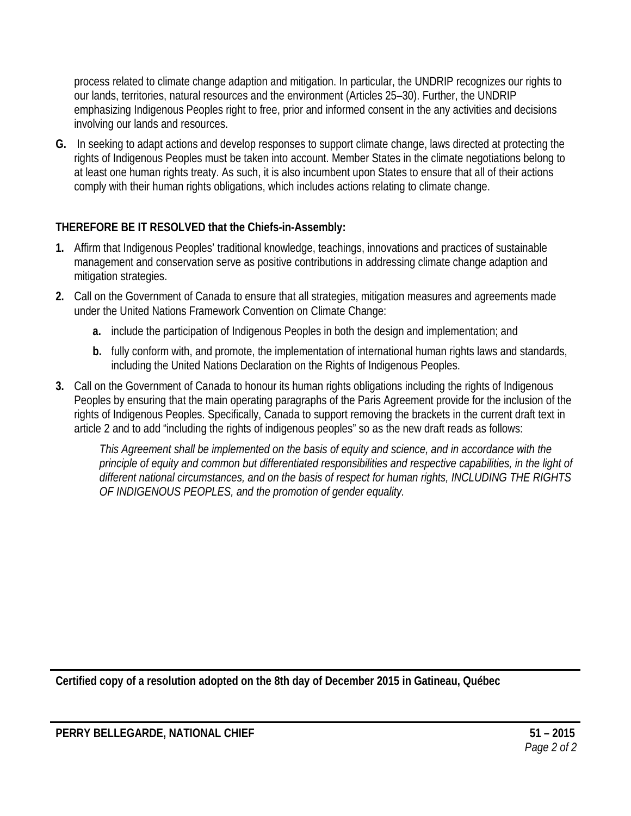process related to climate change adaption and mitigation. In particular, the UNDRIP recognizes our rights to our lands, territories, natural resources and the environment (Articles 25–30). Further, the UNDRIP emphasizing Indigenous Peoples right to free, prior and informed consent in the any activities and decisions involving our lands and resources.

**G.** In seeking to adapt actions and develop responses to support climate change, laws directed at protecting the rights of Indigenous Peoples must be taken into account. Member States in the climate negotiations belong to at least one human rights treaty. As such, it is also incumbent upon States to ensure that all of their actions comply with their human rights obligations, which includes actions relating to climate change.

# **THEREFORE BE IT RESOLVED that the Chiefs-in-Assembly:**

- **1.** Affirm that Indigenous Peoples' traditional knowledge, teachings, innovations and practices of sustainable management and conservation serve as positive contributions in addressing climate change adaption and mitigation strategies.
- **2.** Call on the Government of Canada to ensure that all strategies, mitigation measures and agreements made under the United Nations Framework Convention on Climate Change:
	- **a.** include the participation of Indigenous Peoples in both the design and implementation; and
	- **b.** fully conform with, and promote, the implementation of international human rights laws and standards, including the United Nations Declaration on the Rights of Indigenous Peoples.
- **3.** Call on the Government of Canada to honour its human rights obligations including the rights of Indigenous Peoples by ensuring that the main operating paragraphs of the Paris Agreement provide for the inclusion of the rights of Indigenous Peoples. Specifically, Canada to support removing the brackets in the current draft text in article 2 and to add "including the rights of indigenous peoples" so as the new draft reads as follows:

*This Agreement shall be implemented on the basis of equity and science, and in accordance with the principle of equity and common but differentiated responsibilities and respective capabilities, in the light of different national circumstances, and on the basis of respect for human rights, INCLUDING THE RIGHTS OF INDIGENOUS PEOPLES, and the promotion of gender equality.*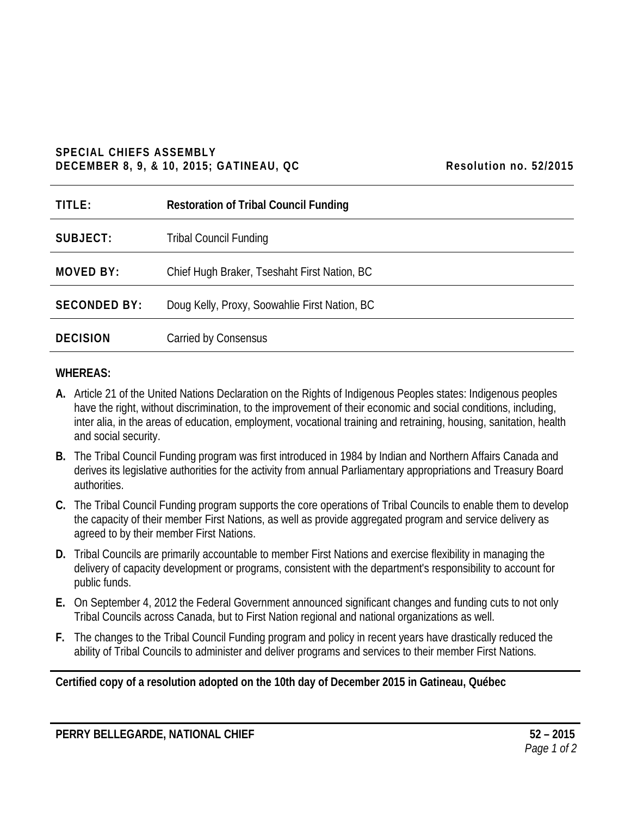# **SPECIAL CHIEFS ASSEMBLY DECEMBER 8, 9, & 10, 2015; GATINEAU, QC Resolution no. 52/2015**

| Resolution no. 52/2015 |  |  |
|------------------------|--|--|
|------------------------|--|--|

| TITLE:              | <b>Restoration of Tribal Council Funding</b>  |
|---------------------|-----------------------------------------------|
| SUBJECT:            | <b>Tribal Council Funding</b>                 |
| <b>MOVED BY:</b>    | Chief Hugh Braker, Tseshaht First Nation, BC  |
| <b>SECONDED BY:</b> | Doug Kelly, Proxy, Soowahlie First Nation, BC |
| <b>DECISION</b>     | Carried by Consensus                          |

# **WHEREAS:**

- **A.** Article 21 of the United Nations Declaration on the Rights of Indigenous Peoples states: Indigenous peoples have the right, without discrimination, to the improvement of their economic and social conditions, including, inter alia, in the areas of education, employment, vocational training and retraining, housing, sanitation, health and social security.
- **B.** The Tribal Council Funding program was first introduced in 1984 by Indian and Northern Affairs Canada and derives its legislative authorities for the activity from annual Parliamentary appropriations and Treasury Board authorities.
- **C.** The Tribal Council Funding program supports the core operations of Tribal Councils to enable them to develop the capacity of their member First Nations, as well as provide aggregated program and service delivery as agreed to by their member First Nations.
- **D.** Tribal Councils are primarily accountable to member First Nations and exercise flexibility in managing the delivery of capacity development or programs, consistent with the department's responsibility to account for public funds.
- **E.** On September 4, 2012 the Federal Government announced significant changes and funding cuts to not only Tribal Councils across Canada, but to First Nation regional and national organizations as well.
- **F.** The changes to the Tribal Council Funding program and policy in recent years have drastically reduced the ability of Tribal Councils to administer and deliver programs and services to their member First Nations.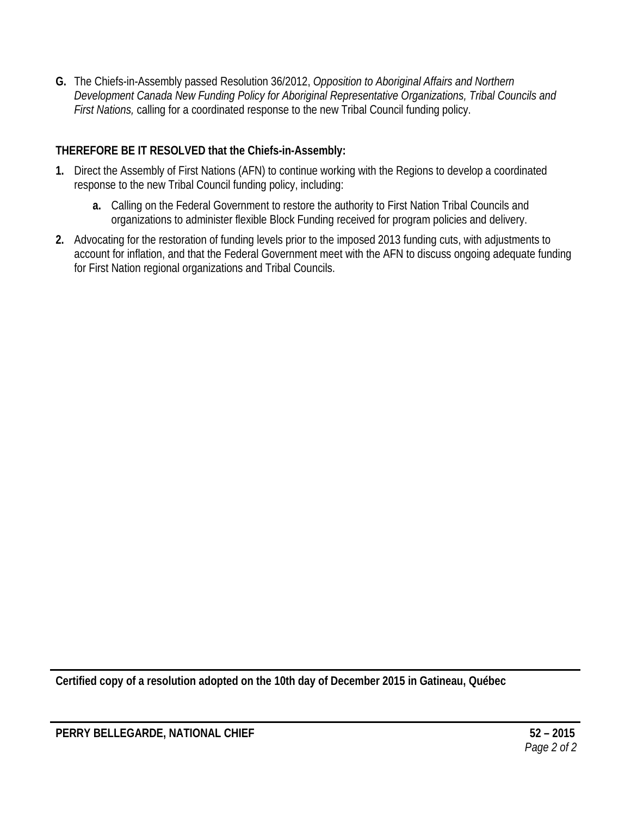**G.** The Chiefs-in-Assembly passed Resolution 36/2012, *Opposition to Aboriginal Affairs and Northern Development Canada New Funding Policy for Aboriginal Representative Organizations, Tribal Councils and First Nations,* calling for a coordinated response to the new Tribal Council funding policy.

# **THEREFORE BE IT RESOLVED that the Chiefs-in-Assembly:**

- **1.** Direct the Assembly of First Nations (AFN) to continue working with the Regions to develop a coordinated response to the new Tribal Council funding policy, including:
	- **a.** Calling on the Federal Government to restore the authority to First Nation Tribal Councils and organizations to administer flexible Block Funding received for program policies and delivery.
- **2.** Advocating for the restoration of funding levels prior to the imposed 2013 funding cuts, with adjustments to account for inflation, and that the Federal Government meet with the AFN to discuss ongoing adequate funding for First Nation regional organizations and Tribal Councils.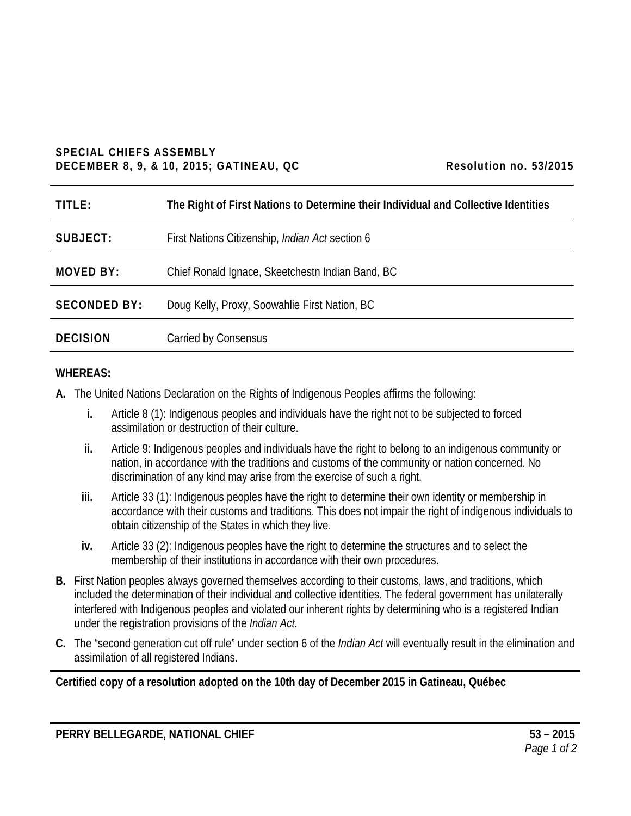# **SPECIAL CHIEFS ASSEMBLY DECEMBER 8, 9, & 10, 2015; GATINEAU, QC Resolution no. 53/2015**

| Resolution no. 53/2015 |  |  |
|------------------------|--|--|
|------------------------|--|--|

| TITLE:              | The Right of First Nations to Determine their Individual and Collective Identities |
|---------------------|------------------------------------------------------------------------------------|
| SUBJECT:            | First Nations Citizenship, Indian Act section 6                                    |
| <b>MOVED BY:</b>    | Chief Ronald Ignace, Skeetchestn Indian Band, BC                                   |
| <b>SECONDED BY:</b> | Doug Kelly, Proxy, Soowahlie First Nation, BC                                      |
| <b>DECISION</b>     | Carried by Consensus                                                               |

# **WHEREAS:**

- **A.** The United Nations Declaration on the Rights of Indigenous Peoples affirms the following:
	- **i.** Article 8 (1): Indigenous peoples and individuals have the right not to be subjected to forced assimilation or destruction of their culture.
	- **ii.** Article 9: Indigenous peoples and individuals have the right to belong to an indigenous community or nation, in accordance with the traditions and customs of the community or nation concerned. No discrimination of any kind may arise from the exercise of such a right.
	- **iii.** Article 33 (1): Indigenous peoples have the right to determine their own identity or membership in accordance with their customs and traditions. This does not impair the right of indigenous individuals to obtain citizenship of the States in which they live.
	- **iv.** Article 33 (2): Indigenous peoples have the right to determine the structures and to select the membership of their institutions in accordance with their own procedures.
- **B.** First Nation peoples always governed themselves according to their customs, laws, and traditions, which included the determination of their individual and collective identities. The federal government has unilaterally interfered with Indigenous peoples and violated our inherent rights by determining who is a registered Indian under the registration provisions of the *Indian Act.*
- **C.** The "second generation cut off rule" under section 6 of the *Indian Act* will eventually result in the elimination and assimilation of all registered Indians.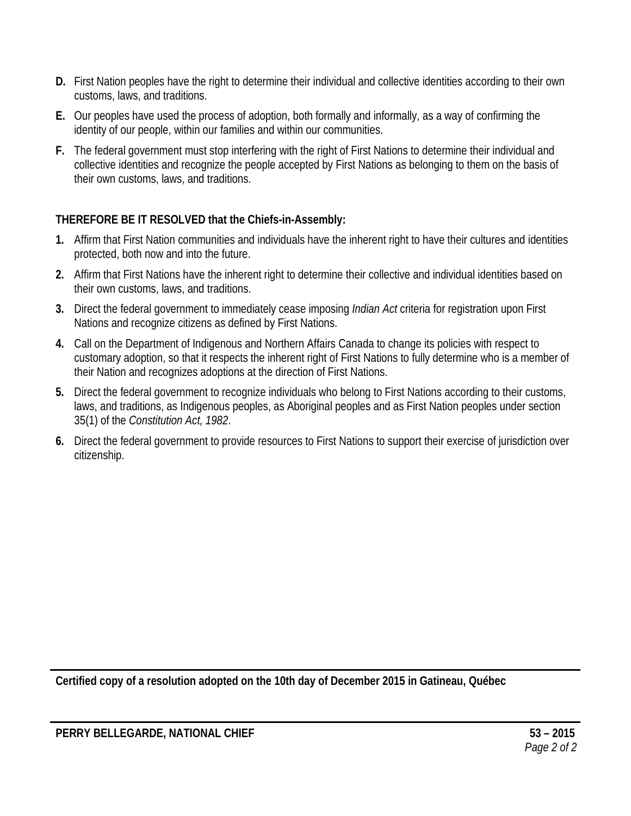- **D.** First Nation peoples have the right to determine their individual and collective identities according to their own customs, laws, and traditions.
- **E.** Our peoples have used the process of adoption, both formally and informally, as a way of confirming the identity of our people, within our families and within our communities.
- **F.** The federal government must stop interfering with the right of First Nations to determine their individual and collective identities and recognize the people accepted by First Nations as belonging to them on the basis of their own customs, laws, and traditions.

- **1.** Affirm that First Nation communities and individuals have the inherent right to have their cultures and identities protected, both now and into the future.
- **2.** Affirm that First Nations have the inherent right to determine their collective and individual identities based on their own customs, laws, and traditions.
- **3.** Direct the federal government to immediately cease imposing *Indian Act* criteria for registration upon First Nations and recognize citizens as defined by First Nations.
- **4.** Call on the Department of Indigenous and Northern Affairs Canada to change its policies with respect to customary adoption, so that it respects the inherent right of First Nations to fully determine who is a member of their Nation and recognizes adoptions at the direction of First Nations.
- **5.** Direct the federal government to recognize individuals who belong to First Nations according to their customs, laws, and traditions, as Indigenous peoples, as Aboriginal peoples and as First Nation peoples under section 35(1) of the *Constitution Act, 1982*.
- **6.** Direct the federal government to provide resources to First Nations to support their exercise of jurisdiction over citizenship.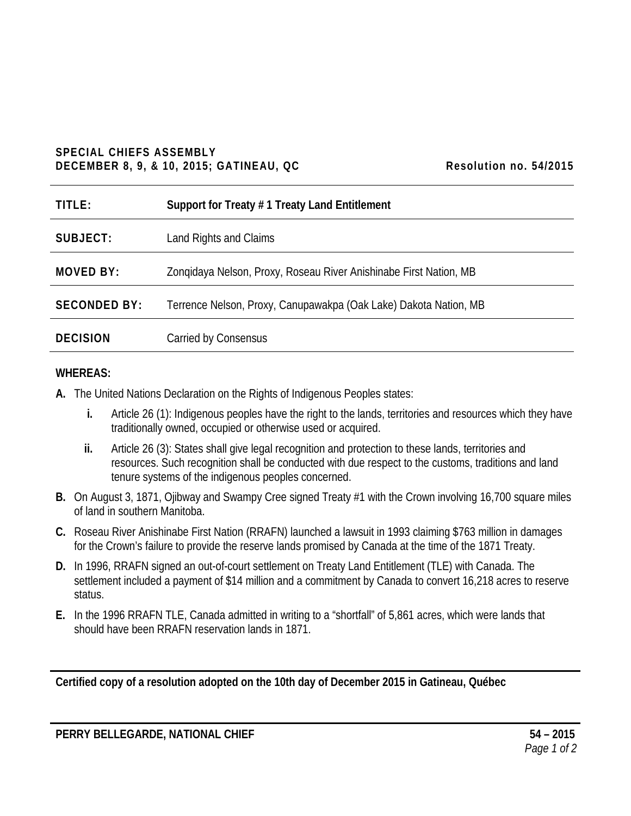# **SPECIAL CHIEFS ASSEMBLY DECEMBER 8, 9, & 10, 2015; GATINEAU, QC Resolution no. 54/2015**

| Resolution no. 54/2015 |  |  |
|------------------------|--|--|
|------------------------|--|--|

| TITLE:              | Support for Treaty #1 Treaty Land Entitlement                     |
|---------------------|-------------------------------------------------------------------|
| SUBJECT:            | Land Rights and Claims                                            |
| <b>MOVED BY:</b>    | Zongidaya Nelson, Proxy, Roseau River Anishinabe First Nation, MB |
| <b>SECONDED BY:</b> | Terrence Nelson, Proxy, Canupawakpa (Oak Lake) Dakota Nation, MB  |
| <b>DECISION</b>     | Carried by Consensus                                              |

# **WHEREAS:**

- **A.** The United Nations Declaration on the Rights of Indigenous Peoples states:
	- **i.** Article 26 (1): Indigenous peoples have the right to the lands, territories and resources which they have traditionally owned, occupied or otherwise used or acquired.
	- **ii.** Article 26 (3): States shall give legal recognition and protection to these lands, territories and resources. Such recognition shall be conducted with due respect to the customs, traditions and land tenure systems of the indigenous peoples concerned.
- **B.** On August 3, 1871, Ojibway and Swampy Cree signed Treaty #1 with the Crown involving 16,700 square miles of land in southern Manitoba.
- **C.** Roseau River Anishinabe First Nation (RRAFN) launched a lawsuit in 1993 claiming \$763 million in damages for the Crown's failure to provide the reserve lands promised by Canada at the time of the 1871 Treaty.
- **D.** In 1996, RRAFN signed an out-of-court settlement on Treaty Land Entitlement (TLE) with Canada. The settlement included a payment of \$14 million and a commitment by Canada to convert 16,218 acres to reserve status.
- **E.** In the 1996 RRAFN TLE, Canada admitted in writing to a "shortfall" of 5,861 acres, which were lands that should have been RRAFN reservation lands in 1871.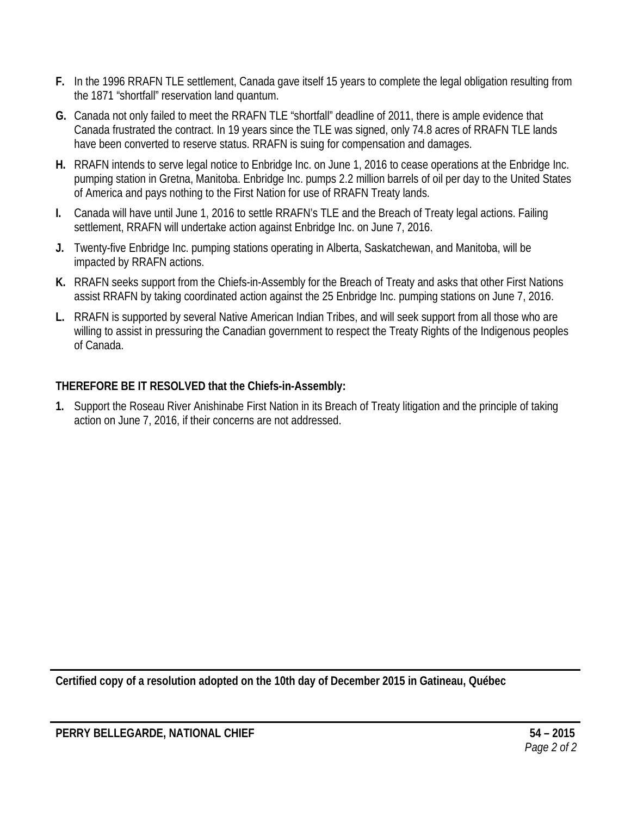- **F.** In the 1996 RRAFN TLE settlement, Canada gave itself 15 years to complete the legal obligation resulting from the 1871 "shortfall" reservation land quantum.
- **G.** Canada not only failed to meet the RRAFN TLE "shortfall" deadline of 2011, there is ample evidence that Canada frustrated the contract. In 19 years since the TLE was signed, only 74.8 acres of RRAFN TLE lands have been converted to reserve status. RRAFN is suing for compensation and damages.
- **H.** RRAFN intends to serve legal notice to Enbridge Inc. on June 1, 2016 to cease operations at the Enbridge Inc. pumping station in Gretna, Manitoba. Enbridge Inc. pumps 2.2 million barrels of oil per day to the United States of America and pays nothing to the First Nation for use of RRAFN Treaty lands.
- **I.** Canada will have until June 1, 2016 to settle RRAFN's TLE and the Breach of Treaty legal actions. Failing settlement, RRAFN will undertake action against Enbridge Inc. on June 7, 2016.
- **J.** Twenty-five Enbridge Inc. pumping stations operating in Alberta, Saskatchewan, and Manitoba, will be impacted by RRAFN actions.
- **K.** RRAFN seeks support from the Chiefs-in-Assembly for the Breach of Treaty and asks that other First Nations assist RRAFN by taking coordinated action against the 25 Enbridge Inc. pumping stations on June 7, 2016.
- **L.** RRAFN is supported by several Native American Indian Tribes, and will seek support from all those who are willing to assist in pressuring the Canadian government to respect the Treaty Rights of the Indigenous peoples of Canada.

**1.** Support the Roseau River Anishinabe First Nation in its Breach of Treaty litigation and the principle of taking action on June 7, 2016, if their concerns are not addressed.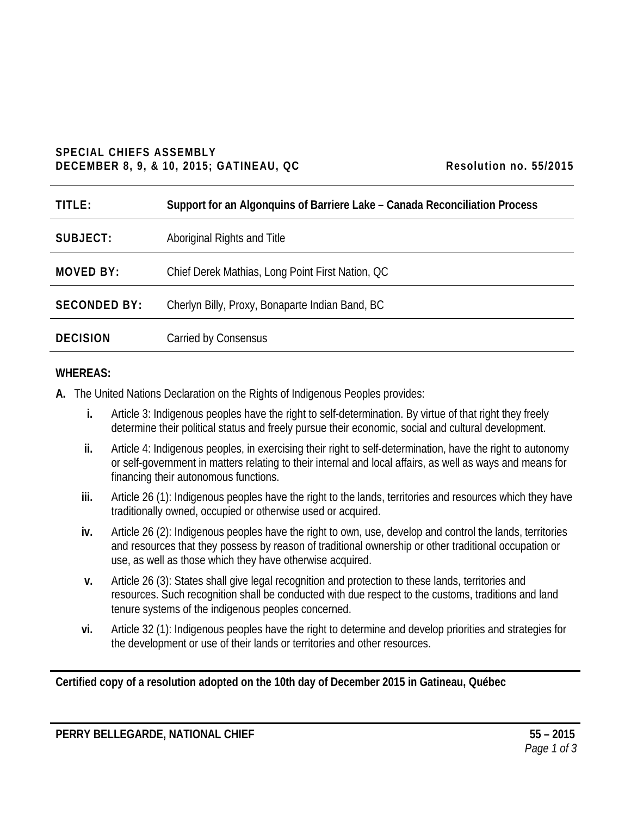# **SPECIAL CHIEFS ASSEMBLY DECEMBER 8, 9, & 10, 2015; GATINEAU, QC Resolution no. 55/2015**

| Resolution no. 55/2015 |  |  |
|------------------------|--|--|
|------------------------|--|--|

| TITLE:              | Support for an Algonquins of Barriere Lake – Canada Reconciliation Process |
|---------------------|----------------------------------------------------------------------------|
| SUBJECT:            | Aboriginal Rights and Title                                                |
| <b>MOVED BY:</b>    | Chief Derek Mathias, Long Point First Nation, QC                           |
| <b>SECONDED BY:</b> | Cherlyn Billy, Proxy, Bonaparte Indian Band, BC                            |
| <b>DECISION</b>     | Carried by Consensus                                                       |

# **WHEREAS:**

- **A.** The United Nations Declaration on the Rights of Indigenous Peoples provides:
	- **i.** Article 3: Indigenous peoples have the right to self-determination. By virtue of that right they freely determine their political status and freely pursue their economic, social and cultural development.
	- **ii.** Article 4: Indigenous peoples, in exercising their right to self-determination, have the right to autonomy or self-government in matters relating to their internal and local affairs, as well as ways and means for financing their autonomous functions.
	- **iii.** Article 26 (1): Indigenous peoples have the right to the lands, territories and resources which they have traditionally owned, occupied or otherwise used or acquired.
	- **iv.** Article 26 (2): Indigenous peoples have the right to own, use, develop and control the lands, territories and resources that they possess by reason of traditional ownership or other traditional occupation or use, as well as those which they have otherwise acquired.
	- **v.** Article 26 (3): States shall give legal recognition and protection to these lands, territories and resources. Such recognition shall be conducted with due respect to the customs, traditions and land tenure systems of the indigenous peoples concerned.
	- **vi.** Article 32 (1): Indigenous peoples have the right to determine and develop priorities and strategies for the development or use of their lands or territories and other resources.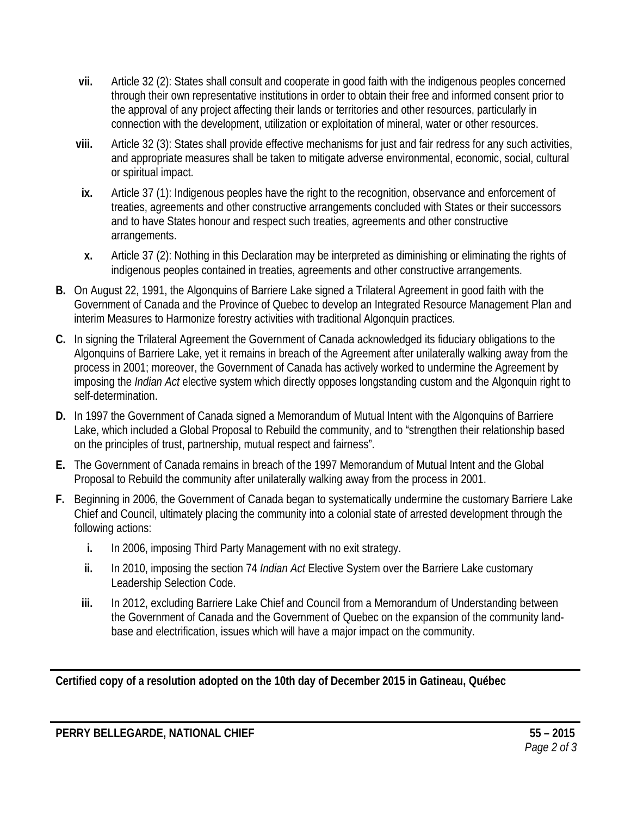- **vii.** Article 32 (2): States shall consult and cooperate in good faith with the indigenous peoples concerned through their own representative institutions in order to obtain their free and informed consent prior to the approval of any project affecting their lands or territories and other resources, particularly in connection with the development, utilization or exploitation of mineral, water or other resources.
- **viii.** Article 32 (3): States shall provide effective mechanisms for just and fair redress for any such activities, and appropriate measures shall be taken to mitigate adverse environmental, economic, social, cultural or spiritual impact.
- **ix.** Article 37 (1): Indigenous peoples have the right to the recognition, observance and enforcement of treaties, agreements and other constructive arrangements concluded with States or their successors and to have States honour and respect such treaties, agreements and other constructive arrangements.
- **x.** Article 37 (2): Nothing in this Declaration may be interpreted as diminishing or eliminating the rights of indigenous peoples contained in treaties, agreements and other constructive arrangements.
- **B.** On August 22, 1991, the Algonquins of Barriere Lake signed a Trilateral Agreement in good faith with the Government of Canada and the Province of Quebec to develop an Integrated Resource Management Plan and interim Measures to Harmonize forestry activities with traditional Algonquin practices.
- **C.** In signing the Trilateral Agreement the Government of Canada acknowledged its fiduciary obligations to the Algonquins of Barriere Lake, yet it remains in breach of the Agreement after unilaterally walking away from the process in 2001; moreover, the Government of Canada has actively worked to undermine the Agreement by imposing the *Indian Act* elective system which directly opposes longstanding custom and the Algonquin right to self-determination.
- **D.** In 1997 the Government of Canada signed a Memorandum of Mutual Intent with the Algonquins of Barriere Lake, which included a Global Proposal to Rebuild the community, and to "strengthen their relationship based on the principles of trust, partnership, mutual respect and fairness".
- **E.** The Government of Canada remains in breach of the 1997 Memorandum of Mutual Intent and the Global Proposal to Rebuild the community after unilaterally walking away from the process in 2001.
- **F.** Beginning in 2006, the Government of Canada began to systematically undermine the customary Barriere Lake Chief and Council, ultimately placing the community into a colonial state of arrested development through the following actions:
	- **i.** In 2006, imposing Third Party Management with no exit strategy.
	- **ii.** In 2010, imposing the section 74 *Indian Act* Elective System over the Barriere Lake customary Leadership Selection Code.
	- **iii.** In 2012, excluding Barriere Lake Chief and Council from a Memorandum of Understanding between the Government of Canada and the Government of Quebec on the expansion of the community landbase and electrification, issues which will have a major impact on the community.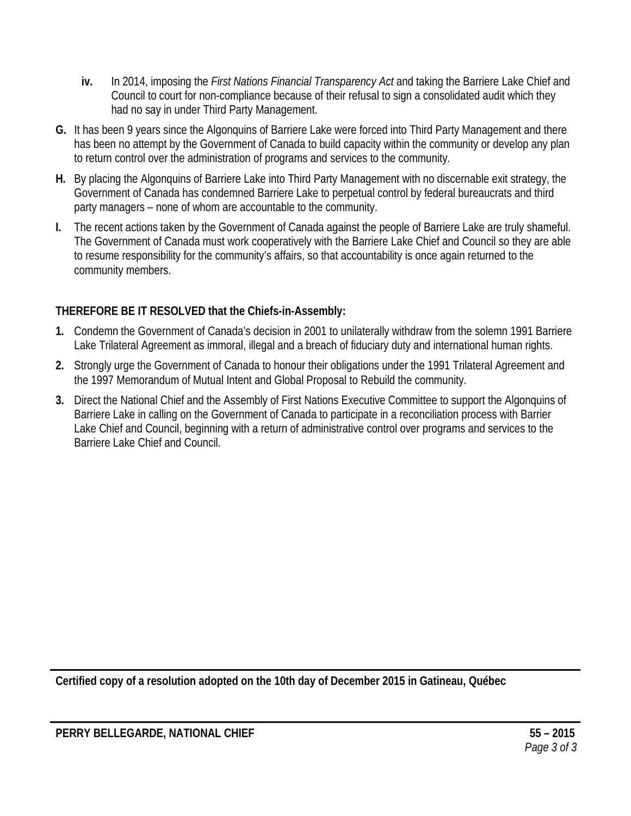- **iv.** In 2014, imposing the *First Nations Financial Transparency Act* and taking the Barriere Lake Chief and Council to court for non-compliance because of their refusal to sign a consolidated audit which they had no say in under Third Party Management.
- **G.** It has been 9 years since the Algonquins of Barriere Lake were forced into Third Party Management and there has been no attempt by the Government of Canada to build capacity within the community or develop any plan to return control over the administration of programs and services to the community.
- **H.** By placing the Algonquins of Barriere Lake into Third Party Management with no discernable exit strategy, the Government of Canada has condemned Barriere Lake to perpetual control by federal bureaucrats and third party managers – none of whom are accountable to the community.
- **I.** The recent actions taken by the Government of Canada against the people of Barriere Lake are truly shameful. The Government of Canada must work cooperatively with the Barriere Lake Chief and Council so they are able to resume responsibility for the community's affairs, so that accountability is once again returned to the community members.

- **1.** Condemn the Government of Canada's decision in 2001 to unilaterally withdraw from the solemn 1991 Barriere Lake Trilateral Agreement as immoral, illegal and a breach of fiduciary duty and international human rights.
- **2.** Strongly urge the Government of Canada to honour their obligations under the 1991 Trilateral Agreement and the 1997 Memorandum of Mutual Intent and Global Proposal to Rebuild the community.
- **3.** Direct the National Chief and the Assembly of First Nations Executive Committee to support the Algonquins of Barriere Lake in calling on the Government of Canada to participate in a reconciliation process with Barrier Lake Chief and Council, beginning with a return of administrative control over programs and services to the Barriere Lake Chief and Council.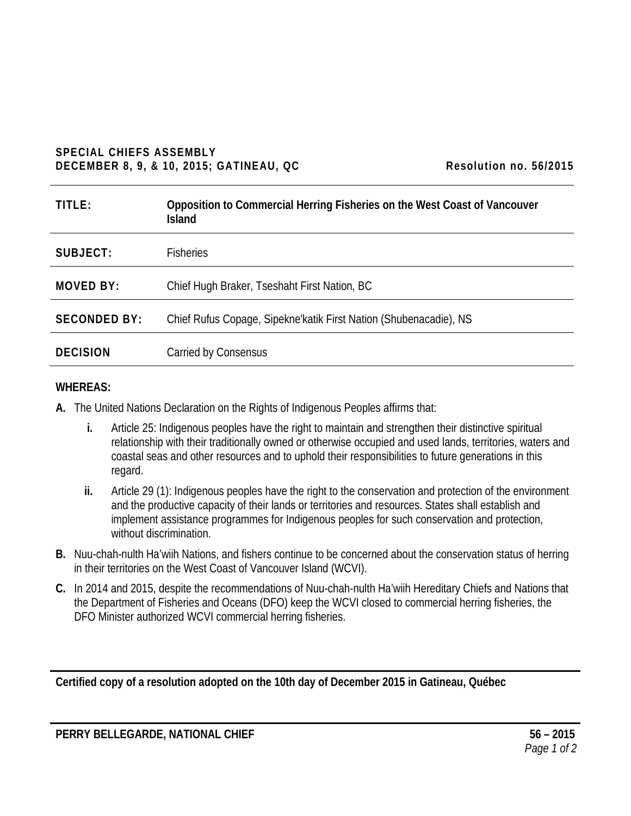#### **SPECIAL CHIEFS ASSEMBLY DECEMBER 8, 9, & 10, 2015; GATINEAU, QC** Resolution no. 56/2015

| TITLE:              | Opposition to Commercial Herring Fisheries on the West Coast of Vancouver<br><b>Island</b> |
|---------------------|--------------------------------------------------------------------------------------------|
| SUBJECT:            | <b>Fisheries</b>                                                                           |
| <b>MOVED BY:</b>    | Chief Hugh Braker, Tseshaht First Nation, BC                                               |
| <b>SECONDED BY:</b> | Chief Rufus Copage, Sipekne'katik First Nation (Shubenacadie), NS                          |
| <b>DECISION</b>     | Carried by Consensus                                                                       |

#### **WHEREAS:**

**A.** The United Nations Declaration on the Rights of Indigenous Peoples affirms that:

- **i.** Article 25: Indigenous peoples have the right to maintain and strengthen their distinctive spiritual relationship with their traditionally owned or otherwise occupied and used lands, territories, waters and coastal seas and other resources and to uphold their responsibilities to future generations in this regard.
- **ii.** Article 29 (1): Indigenous peoples have the right to the conservation and protection of the environment and the productive capacity of their lands or territories and resources. States shall establish and implement assistance programmes for Indigenous peoples for such conservation and protection, without discrimination.
- **B.** Nuu-chah-nulth Ha'wiih Nations, and fishers continue to be concerned about the conservation status of herring in their territories on the West Coast of Vancouver Island (WCVI).
- **C.** In 2014 and 2015, despite the recommendations of Nuu-chah-nulth Ha'wiih Hereditary Chiefs and Nations that the Department of Fisheries and Oceans (DFO) keep the WCVI closed to commercial herring fisheries, the DFO Minister authorized WCVI commercial herring fisheries.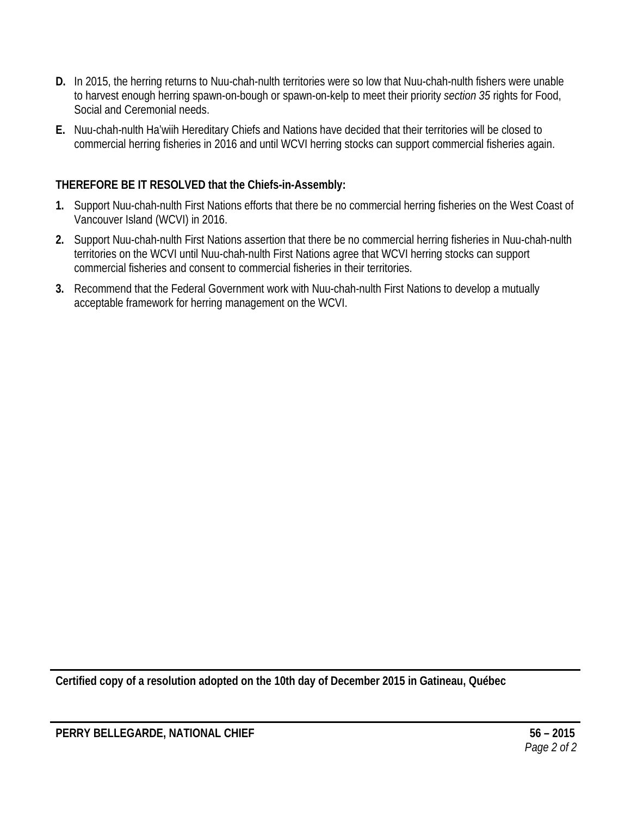- **D.** In 2015, the herring returns to Nuu-chah-nulth territories were so low that Nuu-chah-nulth fishers were unable to harvest enough herring spawn-on-bough or spawn-on-kelp to meet their priority *section 35* rights for Food, Social and Ceremonial needs.
- **E.** Nuu-chah-nulth Ha'wiih Hereditary Chiefs and Nations have decided that their territories will be closed to commercial herring fisheries in 2016 and until WCVI herring stocks can support commercial fisheries again.

- **1.** Support Nuu-chah-nulth First Nations efforts that there be no commercial herring fisheries on the West Coast of Vancouver Island (WCVI) in 2016.
- **2.** Support Nuu-chah-nulth First Nations assertion that there be no commercial herring fisheries in Nuu-chah-nulth territories on the WCVI until Nuu-chah-nulth First Nations agree that WCVI herring stocks can support commercial fisheries and consent to commercial fisheries in their territories.
- **3.** Recommend that the Federal Government work with Nuu-chah-nulth First Nations to develop a mutually acceptable framework for herring management on the WCVI.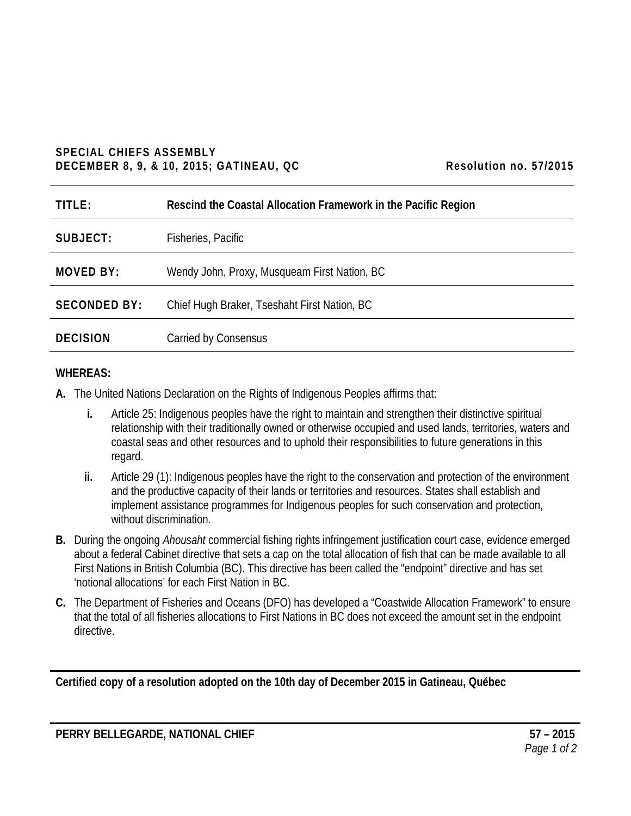# **SPECIAL CHIEFS ASSEMBLY DECEMBER 8, 9, & 10, 2015; GATINEAU, QC** Resolution no. 57/2015

| TITLE:              | Rescind the Coastal Allocation Framework in the Pacific Region |
|---------------------|----------------------------------------------------------------|
| SUBJECT:            | Fisheries, Pacific                                             |
| <b>MOVED BY:</b>    | Wendy John, Proxy, Musqueam First Nation, BC                   |
| <b>SECONDED BY:</b> | Chief Hugh Braker, Tseshaht First Nation, BC                   |
| <b>DECISION</b>     | Carried by Consensus                                           |

# **WHEREAS:**

- **A.** The United Nations Declaration on the Rights of Indigenous Peoples affirms that:
	- **i.** Article 25: Indigenous peoples have the right to maintain and strengthen their distinctive spiritual relationship with their traditionally owned or otherwise occupied and used lands, territories, waters and coastal seas and other resources and to uphold their responsibilities to future generations in this regard.
	- **ii.** Article 29 (1): Indigenous peoples have the right to the conservation and protection of the environment and the productive capacity of their lands or territories and resources. States shall establish and implement assistance programmes for Indigenous peoples for such conservation and protection, without discrimination.
- **B.** During the ongoing *Ahousaht* commercial fishing rights infringement justification court case, evidence emerged about a federal Cabinet directive that sets a cap on the total allocation of fish that can be made available to all First Nations in British Columbia (BC). This directive has been called the "endpoint" directive and has set 'notional allocations' for each First Nation in BC.
- **C.** The Department of Fisheries and Oceans (DFO) has developed a "Coastwide Allocation Framework" to ensure that the total of all fisheries allocations to First Nations in BC does not exceed the amount set in the endpoint directive.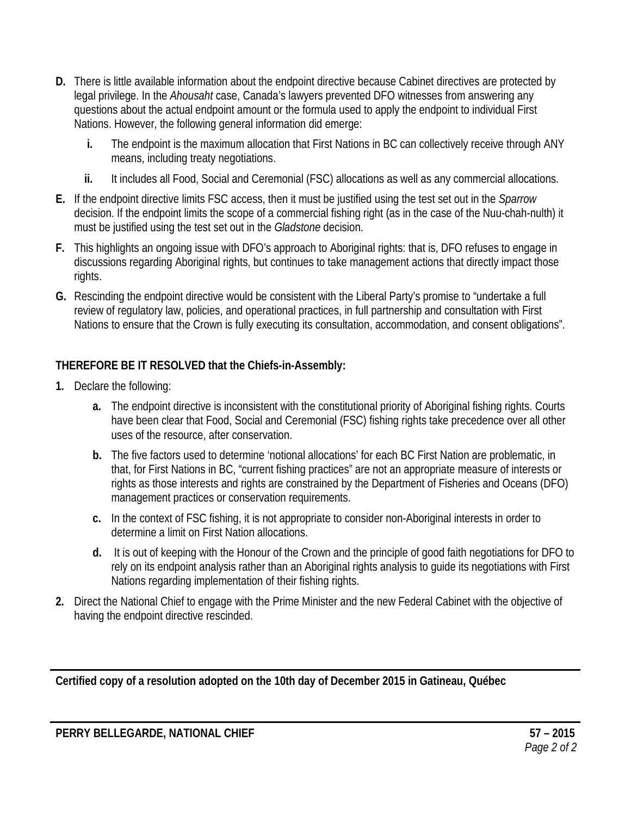- **D.** There is little available information about the endpoint directive because Cabinet directives are protected by legal privilege. In the *Ahousaht* case, Canada's lawyers prevented DFO witnesses from answering any questions about the actual endpoint amount or the formula used to apply the endpoint to individual First Nations. However, the following general information did emerge:
	- **i.** The endpoint is the maximum allocation that First Nations in BC can collectively receive through ANY means, including treaty negotiations.
	- **ii.** It includes all Food, Social and Ceremonial (FSC) allocations as well as any commercial allocations.
- **E.** If the endpoint directive limits FSC access, then it must be justified using the test set out in the *Sparrow*  decision. If the endpoint limits the scope of a commercial fishing right (as in the case of the Nuu-chah-nulth) it must be justified using the test set out in the *Gladstone* decision.
- **F.** This highlights an ongoing issue with DFO's approach to Aboriginal rights: that is, DFO refuses to engage in discussions regarding Aboriginal rights, but continues to take management actions that directly impact those rights.
- **G.** Rescinding the endpoint directive would be consistent with the Liberal Party's promise to "undertake a full review of regulatory law, policies, and operational practices, in full partnership and consultation with First Nations to ensure that the Crown is fully executing its consultation, accommodation, and consent obligations".

- **1.** Declare the following:
	- **a.** The endpoint directive is inconsistent with the constitutional priority of Aboriginal fishing rights. Courts have been clear that Food, Social and Ceremonial (FSC) fishing rights take precedence over all other uses of the resource, after conservation.
	- **b.** The five factors used to determine 'notional allocations' for each BC First Nation are problematic, in that, for First Nations in BC, "current fishing practices" are not an appropriate measure of interests or rights as those interests and rights are constrained by the Department of Fisheries and Oceans (DFO) management practices or conservation requirements.
	- **c.** In the context of FSC fishing, it is not appropriate to consider non-Aboriginal interests in order to determine a limit on First Nation allocations.
	- **d.** It is out of keeping with the Honour of the Crown and the principle of good faith negotiations for DFO to rely on its endpoint analysis rather than an Aboriginal rights analysis to guide its negotiations with First Nations regarding implementation of their fishing rights.
- **2.** Direct the National Chief to engage with the Prime Minister and the new Federal Cabinet with the objective of having the endpoint directive rescinded.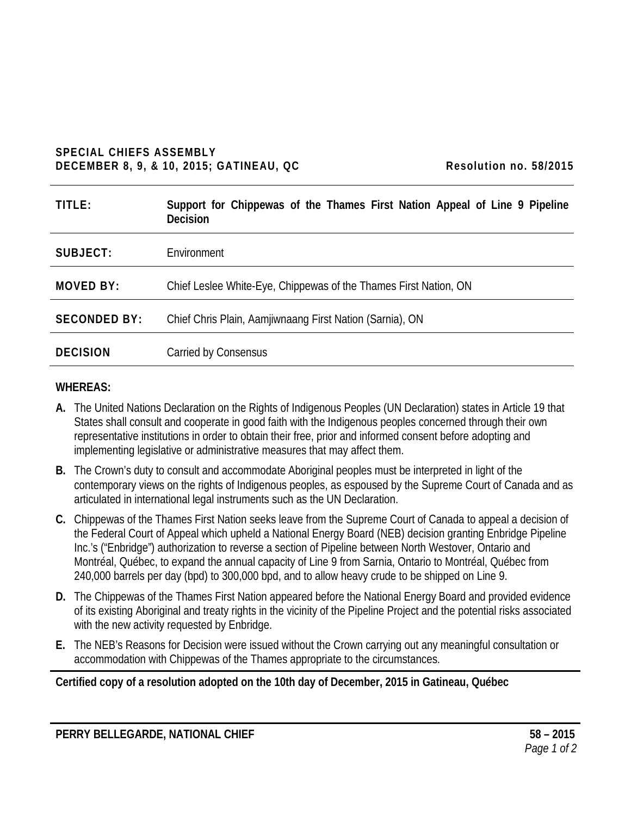#### **SPECIAL CHIEFS ASSEMBLY DECEMBER 8, 9, & 10, 2015; GATINEAU, QC Resolution no. 58/2015**

| Resolution no. 58/2015 |  |  |
|------------------------|--|--|
|------------------------|--|--|

| TITLE:              | Support for Chippewas of the Thames First Nation Appeal of Line 9 Pipeline<br><b>Decision</b> |
|---------------------|-----------------------------------------------------------------------------------------------|
| SUBJECT:            | Environment                                                                                   |
| <b>MOVED BY:</b>    | Chief Leslee White-Eye, Chippewas of the Thames First Nation, ON                              |
| <b>SECONDED BY:</b> | Chief Chris Plain, Aamjiwnaang First Nation (Sarnia), ON                                      |
| <b>DECISION</b>     | Carried by Consensus                                                                          |

#### **WHEREAS:**

- **A.** The United Nations Declaration on the Rights of Indigenous Peoples (UN Declaration) states in Article 19 that States shall consult and cooperate in good faith with the Indigenous peoples concerned through their own representative institutions in order to obtain their free, prior and informed consent before adopting and implementing legislative or administrative measures that may affect them.
- **B.** The Crown's duty to consult and accommodate Aboriginal peoples must be interpreted in light of the contemporary views on the rights of Indigenous peoples, as espoused by the Supreme Court of Canada and as articulated in international legal instruments such as the UN Declaration.
- **C.** Chippewas of the Thames First Nation seeks leave from the Supreme Court of Canada to appeal a decision of the Federal Court of Appeal which upheld a National Energy Board (NEB) decision granting Enbridge Pipeline Inc.'s ("Enbridge") authorization to reverse a section of Pipeline between North Westover, Ontario and Montréal, Québec, to expand the annual capacity of Line 9 from Sarnia, Ontario to Montréal, Québec from 240,000 barrels per day (bpd) to 300,000 bpd, and to allow heavy crude to be shipped on Line 9.
- **D.** The Chippewas of the Thames First Nation appeared before the National Energy Board and provided evidence of its existing Aboriginal and treaty rights in the vicinity of the Pipeline Project and the potential risks associated with the new activity requested by Enbridge.
- **E.** The NEB's Reasons for Decision were issued without the Crown carrying out any meaningful consultation or accommodation with Chippewas of the Thames appropriate to the circumstances.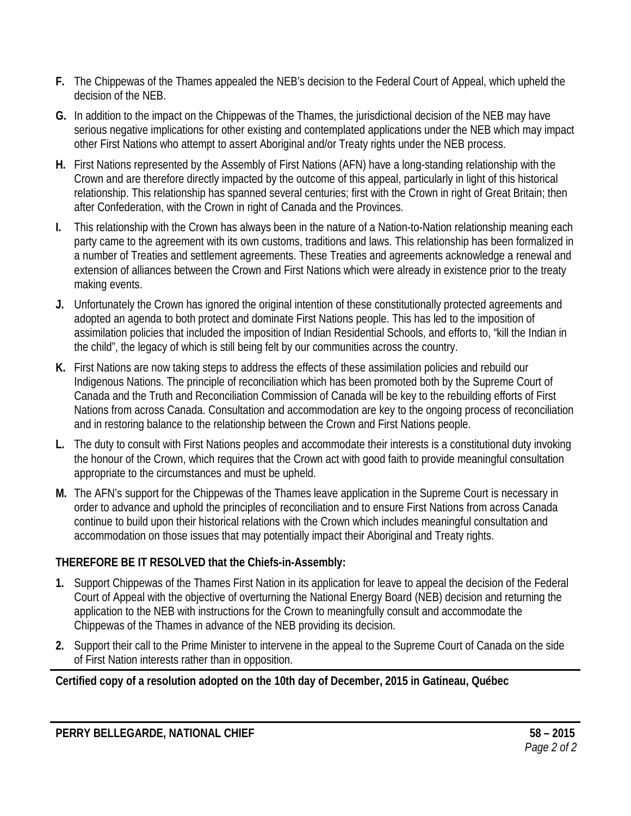- **F.** The Chippewas of the Thames appealed the NEB's decision to the Federal Court of Appeal, which upheld the decision of the NEB.
- **G.** In addition to the impact on the Chippewas of the Thames, the jurisdictional decision of the NEB may have serious negative implications for other existing and contemplated applications under the NEB which may impact other First Nations who attempt to assert Aboriginal and/or Treaty rights under the NEB process.
- **H.** First Nations represented by the Assembly of First Nations (AFN) have a long-standing relationship with the Crown and are therefore directly impacted by the outcome of this appeal, particularly in light of this historical relationship. This relationship has spanned several centuries; first with the Crown in right of Great Britain; then after Confederation, with the Crown in right of Canada and the Provinces.
- **I.** This relationship with the Crown has always been in the nature of a Nation-to-Nation relationship meaning each party came to the agreement with its own customs, traditions and laws. This relationship has been formalized in a number of Treaties and settlement agreements. These Treaties and agreements acknowledge a renewal and extension of alliances between the Crown and First Nations which were already in existence prior to the treaty making events.
- **J.** Unfortunately the Crown has ignored the original intention of these constitutionally protected agreements and adopted an agenda to both protect and dominate First Nations people. This has led to the imposition of assimilation policies that included the imposition of Indian Residential Schools, and efforts to, "kill the Indian in the child", the legacy of which is still being felt by our communities across the country.
- **K.** First Nations are now taking steps to address the effects of these assimilation policies and rebuild our Indigenous Nations. The principle of reconciliation which has been promoted both by the Supreme Court of Canada and the Truth and Reconciliation Commission of Canada will be key to the rebuilding efforts of First Nations from across Canada. Consultation and accommodation are key to the ongoing process of reconciliation and in restoring balance to the relationship between the Crown and First Nations people.
- **L.** The duty to consult with First Nations peoples and accommodate their interests is a constitutional duty invoking the honour of the Crown, which requires that the Crown act with good faith to provide meaningful consultation appropriate to the circumstances and must be upheld.
- **M.** The AFN's support for the Chippewas of the Thames leave application in the Supreme Court is necessary in order to advance and uphold the principles of reconciliation and to ensure First Nations from across Canada continue to build upon their historical relations with the Crown which includes meaningful consultation and accommodation on those issues that may potentially impact their Aboriginal and Treaty rights.

- **1.** Support Chippewas of the Thames First Nation in its application for leave to appeal the decision of the Federal Court of Appeal with the objective of overturning the National Energy Board (NEB) decision and returning the application to the NEB with instructions for the Crown to meaningfully consult and accommodate the Chippewas of the Thames in advance of the NEB providing its decision.
- **2.** Support their call to the Prime Minister to intervene in the appeal to the Supreme Court of Canada on the side of First Nation interests rather than in opposition.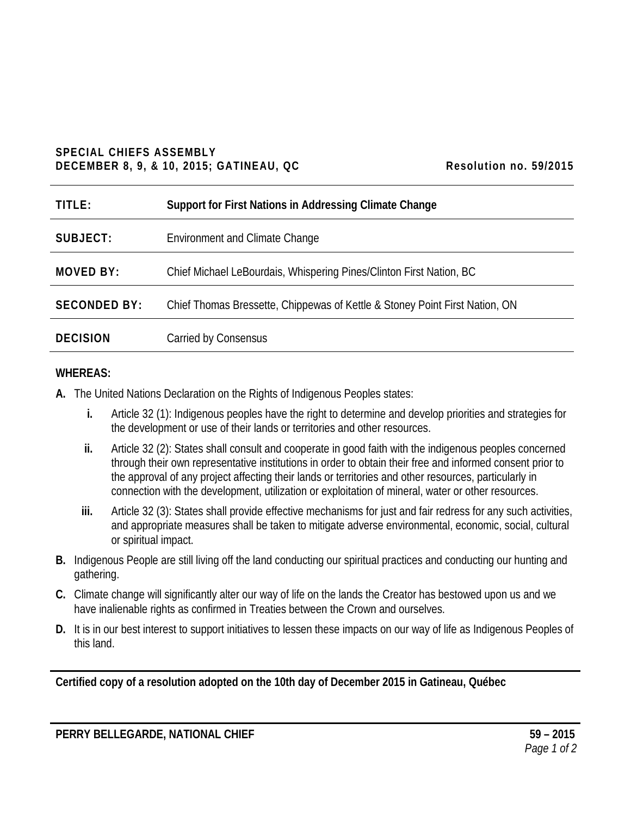#### **SPECIAL CHIEFS ASSEMBLY DECEMBER 8, 9, & 10, 2015; GATINEAU, QC Resolution no. 59/2015**

| TITLE:              | Support for First Nations in Addressing Climate Change                      |
|---------------------|-----------------------------------------------------------------------------|
| SUBJECT:            | <b>Environment and Climate Change</b>                                       |
| <b>MOVED BY:</b>    | Chief Michael LeBourdais, Whispering Pines/Clinton First Nation, BC         |
| <b>SECONDED BY:</b> | Chief Thomas Bressette, Chippewas of Kettle & Stoney Point First Nation, ON |
| <b>DECISION</b>     | Carried by Consensus                                                        |

### **WHEREAS:**

- **A.** The United Nations Declaration on the Rights of Indigenous Peoples states:
	- **i.** Article 32 (1): Indigenous peoples have the right to determine and develop priorities and strategies for the development or use of their lands or territories and other resources.
	- **ii.** Article 32 (2): States shall consult and cooperate in good faith with the indigenous peoples concerned through their own representative institutions in order to obtain their free and informed consent prior to the approval of any project affecting their lands or territories and other resources, particularly in connection with the development, utilization or exploitation of mineral, water or other resources.
	- **iii.** Article 32 (3): States shall provide effective mechanisms for just and fair redress for any such activities, and appropriate measures shall be taken to mitigate adverse environmental, economic, social, cultural or spiritual impact.
- **B.** Indigenous People are still living off the land conducting our spiritual practices and conducting our hunting and gathering.
- **C.** Climate change will significantly alter our way of life on the lands the Creator has bestowed upon us and we have inalienable rights as confirmed in Treaties between the Crown and ourselves.
- **D.** It is in our best interest to support initiatives to lessen these impacts on our way of life as Indigenous Peoples of this land.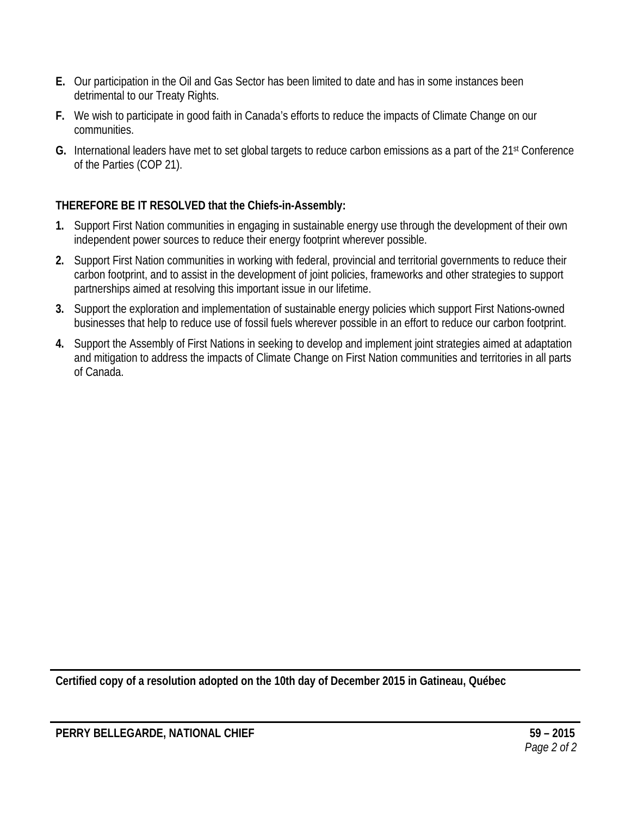- **E.** Our participation in the Oil and Gas Sector has been limited to date and has in some instances been detrimental to our Treaty Rights.
- **F.** We wish to participate in good faith in Canada's efforts to reduce the impacts of Climate Change on our communities.
- **G.** International leaders have met to set global targets to reduce carbon emissions as a part of the 21st Conference of the Parties (COP 21).

- **1.** Support First Nation communities in engaging in sustainable energy use through the development of their own independent power sources to reduce their energy footprint wherever possible.
- **2.** Support First Nation communities in working with federal, provincial and territorial governments to reduce their carbon footprint, and to assist in the development of joint policies, frameworks and other strategies to support partnerships aimed at resolving this important issue in our lifetime.
- **3.** Support the exploration and implementation of sustainable energy policies which support First Nations-owned businesses that help to reduce use of fossil fuels wherever possible in an effort to reduce our carbon footprint.
- **4.** Support the Assembly of First Nations in seeking to develop and implement joint strategies aimed at adaptation and mitigation to address the impacts of Climate Change on First Nation communities and territories in all parts of Canada.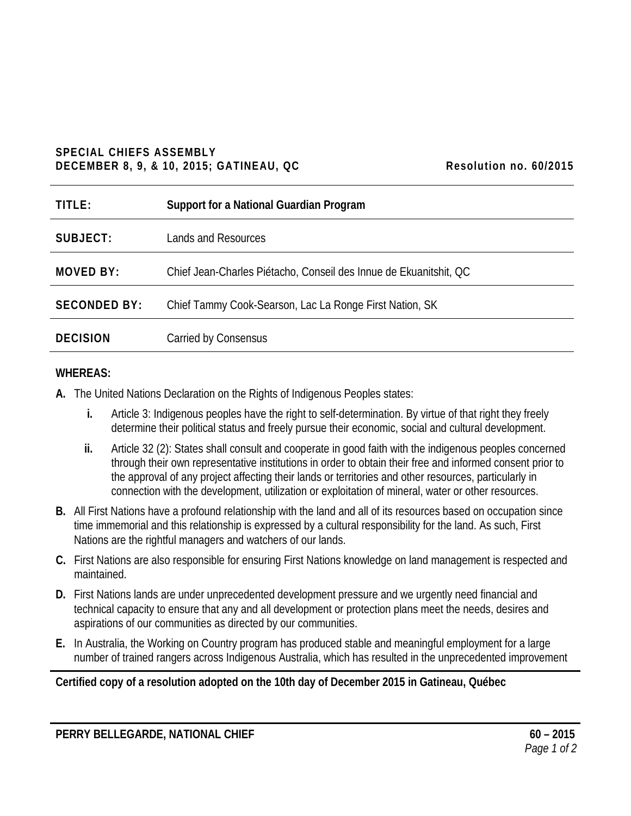#### **SPECIAL CHIEFS ASSEMBLY DECEMBER 8, 9, & 10, 2015; GATINEAU, QC Resolution no. 60/2015**

| TITLE:              | Support for a National Guardian Program                           |
|---------------------|-------------------------------------------------------------------|
| SUBJECT:            | Lands and Resources                                               |
| <b>MOVED BY:</b>    | Chief Jean-Charles Piétacho, Conseil des Innue de Ekuanitshit, QC |
| <b>SECONDED BY:</b> | Chief Tammy Cook-Searson, Lac La Ronge First Nation, SK           |
| <b>DECISION</b>     | Carried by Consensus                                              |

#### **WHEREAS:**

- **A.** The United Nations Declaration on the Rights of Indigenous Peoples states:
	- **i.** Article 3: Indigenous peoples have the right to self-determination. By virtue of that right they freely determine their political status and freely pursue their economic, social and cultural development.
	- **ii.** Article 32 (2): States shall consult and cooperate in good faith with the indigenous peoples concerned through their own representative institutions in order to obtain their free and informed consent prior to the approval of any project affecting their lands or territories and other resources, particularly in connection with the development, utilization or exploitation of mineral, water or other resources.
- **B.** All First Nations have a profound relationship with the land and all of its resources based on occupation since time immemorial and this relationship is expressed by a cultural responsibility for the land. As such, First Nations are the rightful managers and watchers of our lands.
- **C.** First Nations are also responsible for ensuring First Nations knowledge on land management is respected and maintained.
- **D.** First Nations lands are under unprecedented development pressure and we urgently need financial and technical capacity to ensure that any and all development or protection plans meet the needs, desires and aspirations of our communities as directed by our communities.
- **E.** In Australia, the Working on Country program has produced stable and meaningful employment for a large number of trained rangers across Indigenous Australia, which has resulted in the unprecedented improvement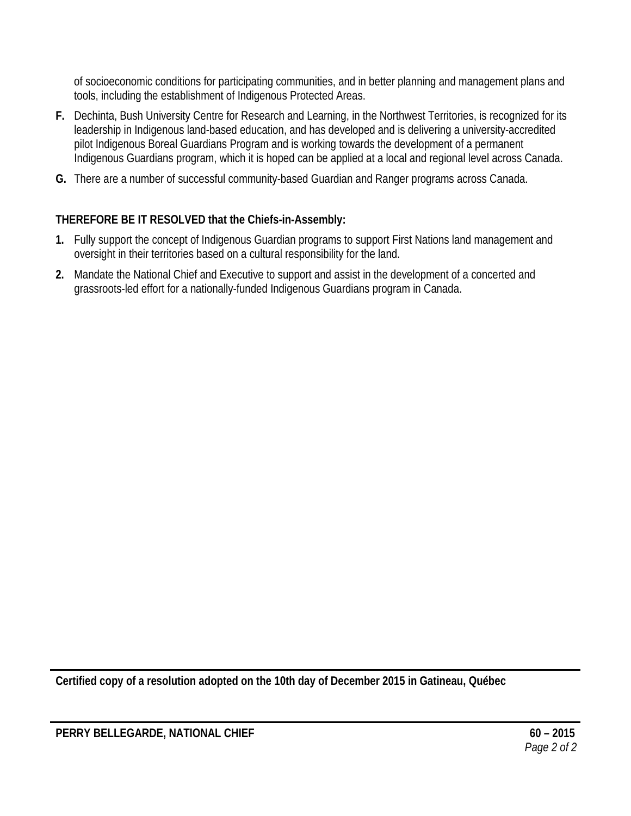of socioeconomic conditions for participating communities, and in better planning and management plans and tools, including the establishment of Indigenous Protected Areas.

- **F.** Dechinta, Bush University Centre for Research and Learning, in the Northwest Territories, is recognized for its leadership in Indigenous land-based education, and has developed and is delivering a university-accredited pilot Indigenous Boreal Guardians Program and is working towards the development of a permanent Indigenous Guardians program, which it is hoped can be applied at a local and regional level across Canada.
- **G.** There are a number of successful community-based Guardian and Ranger programs across Canada.

# **THEREFORE BE IT RESOLVED that the Chiefs-in-Assembly:**

- **1.** Fully support the concept of Indigenous Guardian programs to support First Nations land management and oversight in their territories based on a cultural responsibility for the land.
- **2.** Mandate the National Chief and Executive to support and assist in the development of a concerted and grassroots-led effort for a nationally-funded Indigenous Guardians program in Canada.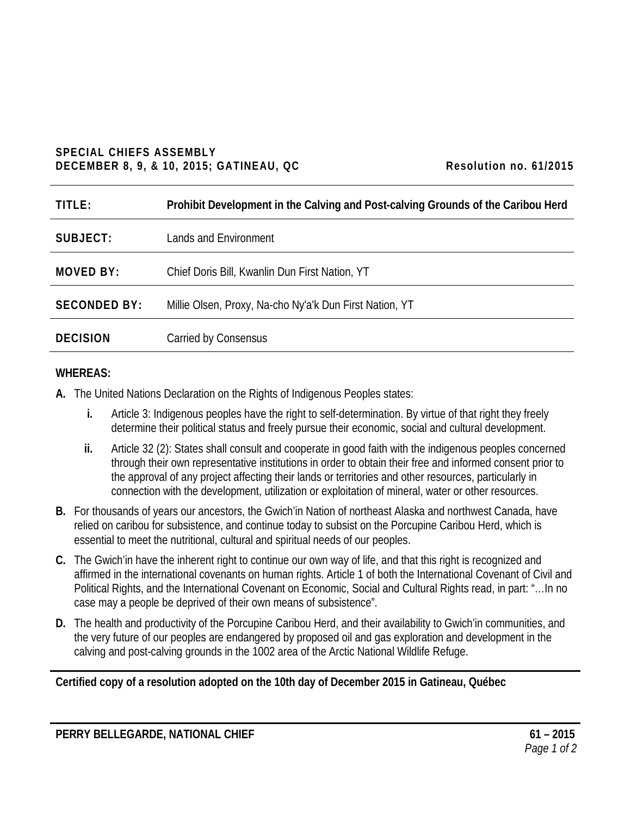#### **SPECIAL CHIEFS ASSEMBLY DECEMBER 8, 9, & 10, 2015; GATINEAU, QC Resolution no. 61/2015**

| Resolution no. 61/2015 |  |  |
|------------------------|--|--|
|------------------------|--|--|

| TITLE:              | Prohibit Development in the Calving and Post-calving Grounds of the Caribou Herd |
|---------------------|----------------------------------------------------------------------------------|
| SUBJECT:            | Lands and Environment                                                            |
| <b>MOVED BY:</b>    | Chief Doris Bill, Kwanlin Dun First Nation, YT                                   |
| <b>SECONDED BY:</b> | Millie Olsen, Proxy, Na-cho Ny'a'k Dun First Nation, YT                          |
| <b>DECISION</b>     | Carried by Consensus                                                             |

### **WHEREAS:**

- **A.** The United Nations Declaration on the Rights of Indigenous Peoples states:
	- **i.** Article 3: Indigenous peoples have the right to self-determination. By virtue of that right they freely determine their political status and freely pursue their economic, social and cultural development.
	- **ii.** Article 32 (2): States shall consult and cooperate in good faith with the indigenous peoples concerned through their own representative institutions in order to obtain their free and informed consent prior to the approval of any project affecting their lands or territories and other resources, particularly in connection with the development, utilization or exploitation of mineral, water or other resources.
- **B.** For thousands of years our ancestors, the Gwich'in Nation of northeast Alaska and northwest Canada, have relied on caribou for subsistence, and continue today to subsist on the Porcupine Caribou Herd, which is essential to meet the nutritional, cultural and spiritual needs of our peoples.
- **C.** The Gwich'in have the inherent right to continue our own way of life, and that this right is recognized and affirmed in the international covenants on human rights. Article 1 of both the International Covenant of Civil and Political Rights, and the International Covenant on Economic, Social and Cultural Rights read, in part: "…In no case may a people be deprived of their own means of subsistence".
- **D.** The health and productivity of the Porcupine Caribou Herd, and their availability to Gwich'in communities, and the very future of our peoples are endangered by proposed oil and gas exploration and development in the calving and post-calving grounds in the 1002 area of the Arctic National Wildlife Refuge.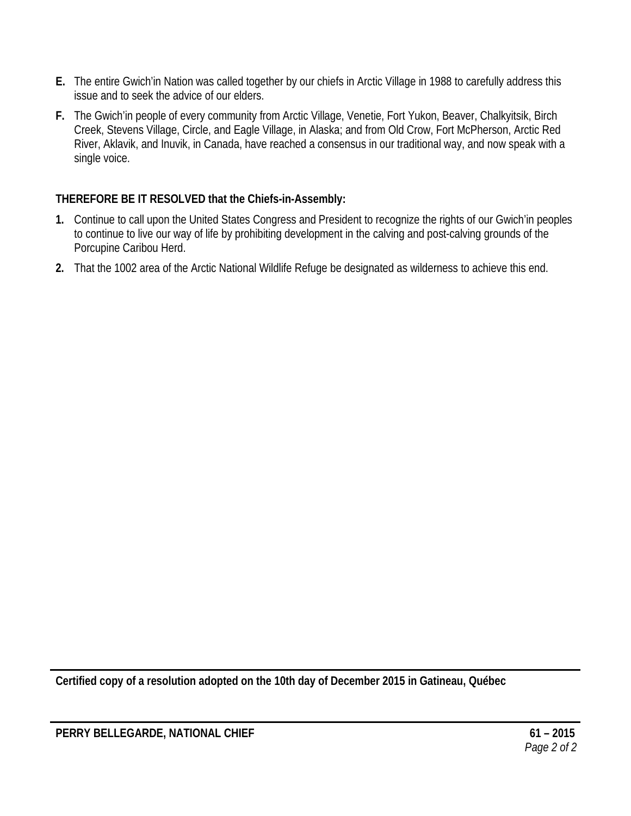- **E.** The entire Gwich'in Nation was called together by our chiefs in Arctic Village in 1988 to carefully address this issue and to seek the advice of our elders.
- **F.** The Gwich'in people of every community from Arctic Village, Venetie, Fort Yukon, Beaver, Chalkyitsik, Birch Creek, Stevens Village, Circle, and Eagle Village, in Alaska; and from Old Crow, Fort McPherson, Arctic Red River, Aklavik, and Inuvik, in Canada, have reached a consensus in our traditional way, and now speak with a single voice.

- **1.** Continue to call upon the United States Congress and President to recognize the rights of our Gwich'in peoples to continue to live our way of life by prohibiting development in the calving and post-calving grounds of the Porcupine Caribou Herd.
- **2.** That the 1002 area of the Arctic National Wildlife Refuge be designated as wilderness to achieve this end.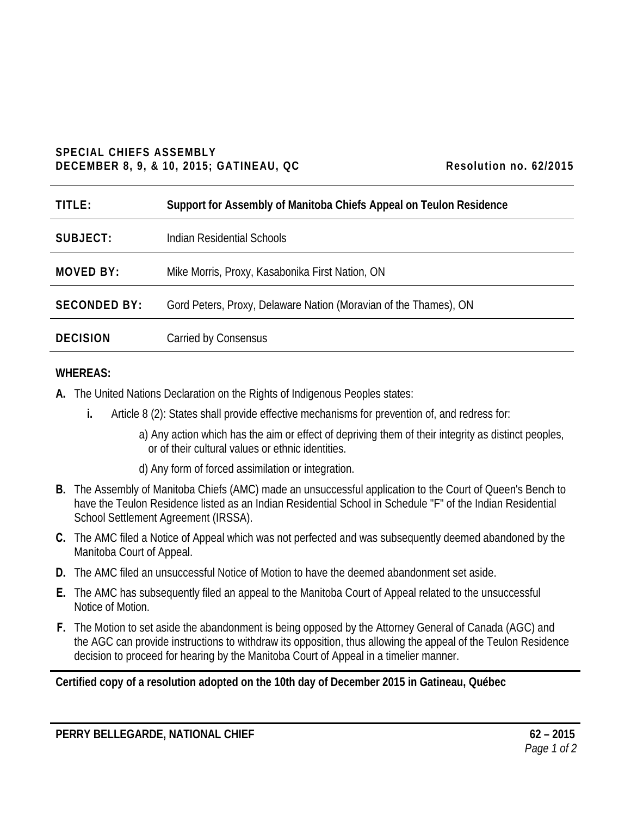#### **SPECIAL CHIEFS ASSEMBLY DECEMBER 8, 9, & 10, 2015; GATINEAU, QC Resolution no. 62/2015**

| TITLE:              | Support for Assembly of Manitoba Chiefs Appeal on Teulon Residence |
|---------------------|--------------------------------------------------------------------|
| SUBJECT:            | Indian Residential Schools                                         |
| <b>MOVED BY:</b>    | Mike Morris, Proxy, Kasabonika First Nation, ON                    |
| <b>SECONDED BY:</b> | Gord Peters, Proxy, Delaware Nation (Moravian of the Thames), ON   |
| <b>DECISION</b>     | Carried by Consensus                                               |

#### **WHEREAS:**

- **A.** The United Nations Declaration on the Rights of Indigenous Peoples states:
	- **i.** Article 8 (2): States shall provide effective mechanisms for prevention of, and redress for:
		- a) Any action which has the aim or effect of depriving them of their integrity as distinct peoples, or of their cultural values or ethnic identities.
		- d) Any form of forced assimilation or integration.
- **B.** The Assembly of Manitoba Chiefs (AMC) made an unsuccessful application to the Court of Queen's Bench to have the Teulon Residence listed as an Indian Residential School in Schedule "F" of the Indian Residential School Settlement Agreement (IRSSA).
- **C.** The AMC filed a Notice of Appeal which was not perfected and was subsequently deemed abandoned by the Manitoba Court of Appeal.
- **D.** The AMC filed an unsuccessful Notice of Motion to have the deemed abandonment set aside.
- **E.** The AMC has subsequently filed an appeal to the Manitoba Court of Appeal related to the unsuccessful Notice of Motion.
- **F.** The Motion to set aside the abandonment is being opposed by the Attorney General of Canada (AGC) and the AGC can provide instructions to withdraw its opposition, thus allowing the appeal of the Teulon Residence decision to proceed for hearing by the Manitoba Court of Appeal in a timelier manner.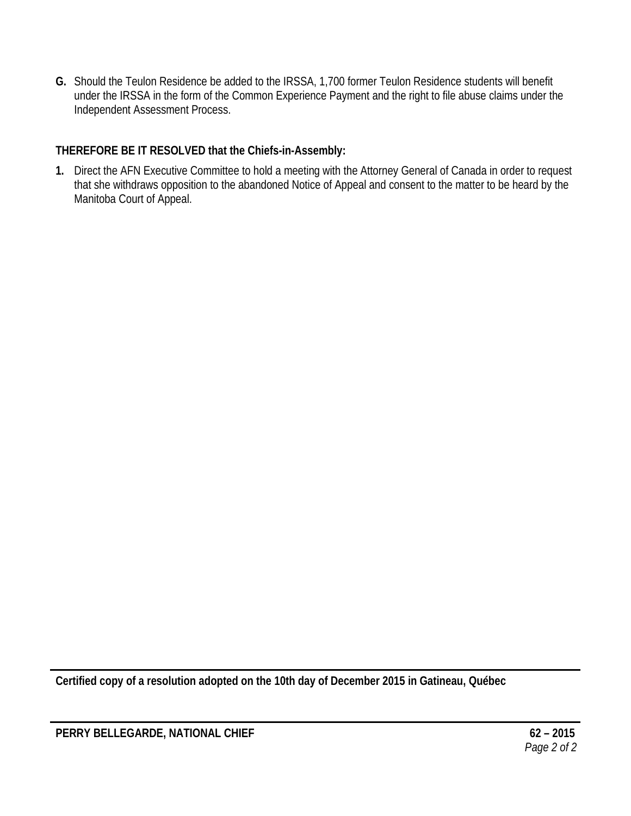**G.** Should the Teulon Residence be added to the IRSSA, 1,700 former Teulon Residence students will benefit under the IRSSA in the form of the Common Experience Payment and the right to file abuse claims under the Independent Assessment Process.

## **THEREFORE BE IT RESOLVED that the Chiefs-in-Assembly:**

**1.** Direct the AFN Executive Committee to hold a meeting with the Attorney General of Canada in order to request that she withdraws opposition to the abandoned Notice of Appeal and consent to the matter to be heard by the Manitoba Court of Appeal.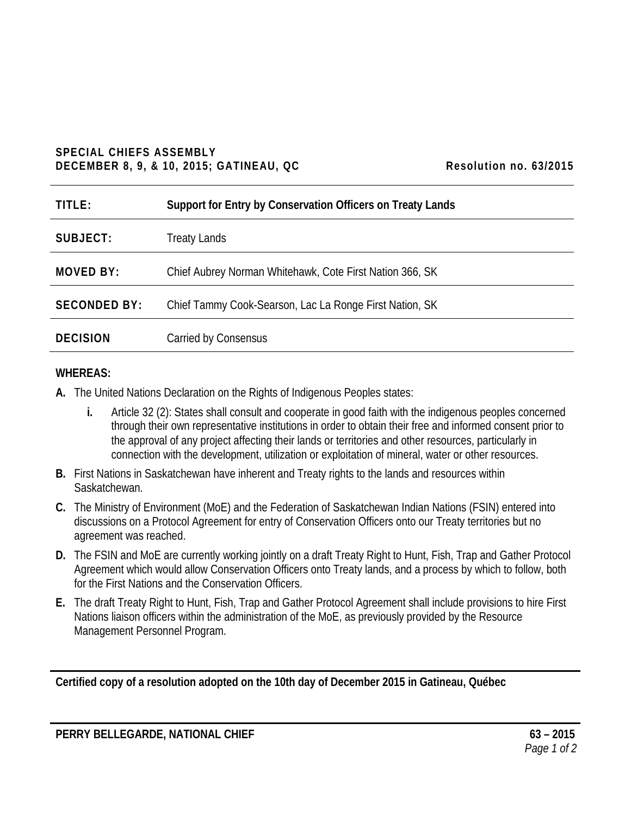#### **SPECIAL CHIEFS ASSEMBLY DECEMBER 8, 9, & 10, 2015; GATINEAU, QC Resolution no. 63/2015**

| TITLE:              | Support for Entry by Conservation Officers on Treaty Lands |
|---------------------|------------------------------------------------------------|
| SUBJECT:            | <b>Treaty Lands</b>                                        |
| <b>MOVED BY:</b>    | Chief Aubrey Norman Whitehawk, Cote First Nation 366, SK   |
| <b>SECONDED BY:</b> | Chief Tammy Cook-Searson, Lac La Ronge First Nation, SK    |
| <b>DECISION</b>     | Carried by Consensus                                       |

#### **WHEREAS:**

- **A.** The United Nations Declaration on the Rights of Indigenous Peoples states:
	- **i.** Article 32 (2): States shall consult and cooperate in good faith with the indigenous peoples concerned through their own representative institutions in order to obtain their free and informed consent prior to the approval of any project affecting their lands or territories and other resources, particularly in connection with the development, utilization or exploitation of mineral, water or other resources.
- **B.** First Nations in Saskatchewan have inherent and Treaty rights to the lands and resources within Saskatchewan.
- **C.** The Ministry of Environment (MoE) and the Federation of Saskatchewan Indian Nations (FSIN) entered into discussions on a Protocol Agreement for entry of Conservation Officers onto our Treaty territories but no agreement was reached.
- **D.** The FSIN and MoE are currently working jointly on a draft Treaty Right to Hunt, Fish, Trap and Gather Protocol Agreement which would allow Conservation Officers onto Treaty lands, and a process by which to follow, both for the First Nations and the Conservation Officers.
- **E.** The draft Treaty Right to Hunt, Fish, Trap and Gather Protocol Agreement shall include provisions to hire First Nations liaison officers within the administration of the MoE, as previously provided by the Resource Management Personnel Program.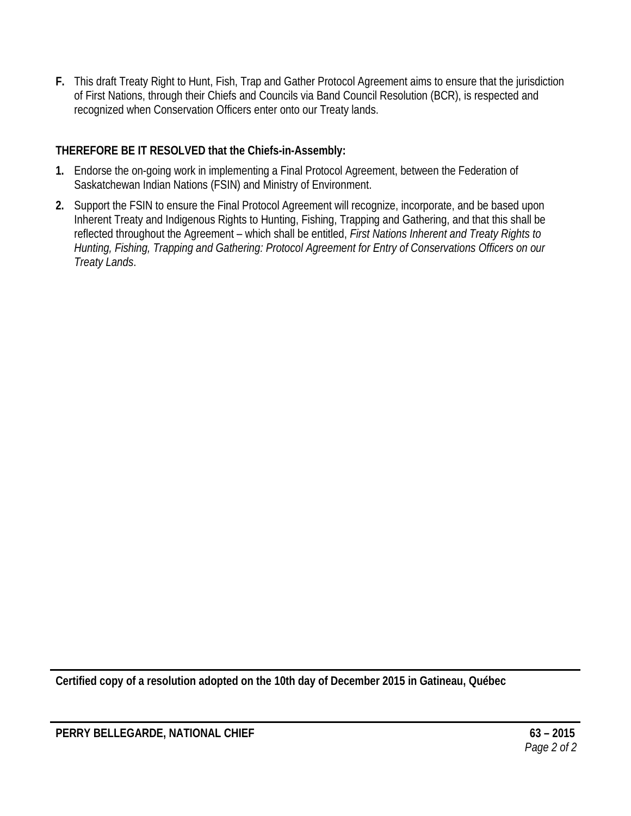**F.** This draft Treaty Right to Hunt, Fish, Trap and Gather Protocol Agreement aims to ensure that the jurisdiction of First Nations, through their Chiefs and Councils via Band Council Resolution (BCR), is respected and recognized when Conservation Officers enter onto our Treaty lands.

## **THEREFORE BE IT RESOLVED that the Chiefs-in-Assembly:**

- **1.** Endorse the on-going work in implementing a Final Protocol Agreement, between the Federation of Saskatchewan Indian Nations (FSIN) and Ministry of Environment.
- **2.** Support the FSIN to ensure the Final Protocol Agreement will recognize, incorporate, and be based upon Inherent Treaty and Indigenous Rights to Hunting, Fishing, Trapping and Gathering, and that this shall be reflected throughout the Agreement – which shall be entitled, *First Nations Inherent and Treaty Rights to Hunting, Fishing, Trapping and Gathering: Protocol Agreement for Entry of Conservations Officers on our Treaty Lands*.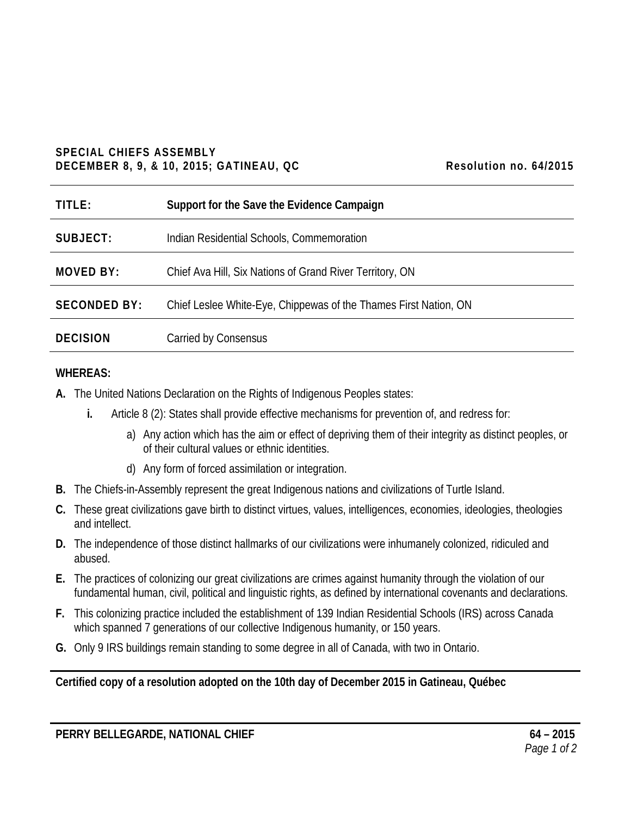#### **SPECIAL CHIEFS ASSEMBLY DECEMBER 8, 9, & 10, 2015; GATINEAU, QC Resolution no. 64/2015**

| Resolution no. 64/2015 |  |  |
|------------------------|--|--|
|------------------------|--|--|

| TITLE:              | Support for the Save the Evidence Campaign                       |
|---------------------|------------------------------------------------------------------|
| SUBJECT:            | Indian Residential Schools, Commemoration                        |
| MOVED BY:           | Chief Ava Hill, Six Nations of Grand River Territory, ON         |
| <b>SECONDED BY:</b> | Chief Leslee White-Eye, Chippewas of the Thames First Nation, ON |
| <b>DECISION</b>     | Carried by Consensus                                             |

#### **WHEREAS:**

- **A.** The United Nations Declaration on the Rights of Indigenous Peoples states:
	- **i.** Article 8 (2): States shall provide effective mechanisms for prevention of, and redress for:
		- a) Any action which has the aim or effect of depriving them of their integrity as distinct peoples, or of their cultural values or ethnic identities.
		- d) Any form of forced assimilation or integration.
- **B.** The Chiefs-in-Assembly represent the great Indigenous nations and civilizations of Turtle Island.
- **C.** These great civilizations gave birth to distinct virtues, values, intelligences, economies, ideologies, theologies and intellect.
- **D.** The independence of those distinct hallmarks of our civilizations were inhumanely colonized, ridiculed and abused.
- **E.** The practices of colonizing our great civilizations are crimes against humanity through the violation of our fundamental human, civil, political and linguistic rights, as defined by international covenants and declarations.
- **F.** This colonizing practice included the establishment of 139 Indian Residential Schools (IRS) across Canada which spanned 7 generations of our collective Indigenous humanity, or 150 years.
- **G.** Only 9 IRS buildings remain standing to some degree in all of Canada, with two in Ontario.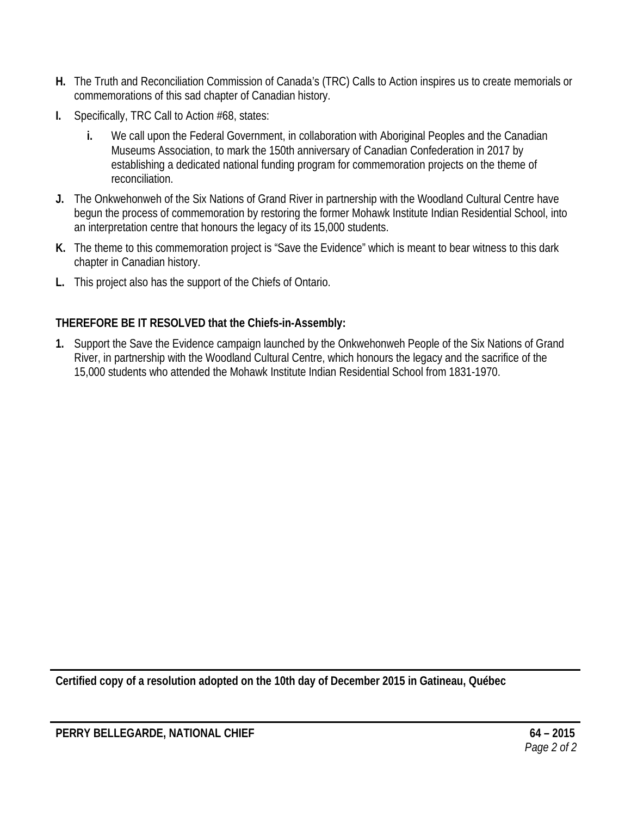- **H.** The Truth and Reconciliation Commission of Canada's (TRC) Calls to Action inspires us to create memorials or commemorations of this sad chapter of Canadian history.
- **I.** Specifically, TRC Call to Action #68, states:
	- **i.** We call upon the Federal Government, in collaboration with Aboriginal Peoples and the Canadian Museums Association, to mark the 150th anniversary of Canadian Confederation in 2017 by establishing a dedicated national funding program for commemoration projects on the theme of reconciliation.
- **J.** The Onkwehonweh of the Six Nations of Grand River in partnership with the Woodland Cultural Centre have begun the process of commemoration by restoring the former Mohawk Institute Indian Residential School, into an interpretation centre that honours the legacy of its 15,000 students.
- **K.** The theme to this commemoration project is "Save the Evidence" which is meant to bear witness to this dark chapter in Canadian history.
- **L.** This project also has the support of the Chiefs of Ontario.

**1.** Support the Save the Evidence campaign launched by the Onkwehonweh People of the Six Nations of Grand River, in partnership with the Woodland Cultural Centre, which honours the legacy and the sacrifice of the 15,000 students who attended the Mohawk Institute Indian Residential School from 1831-1970.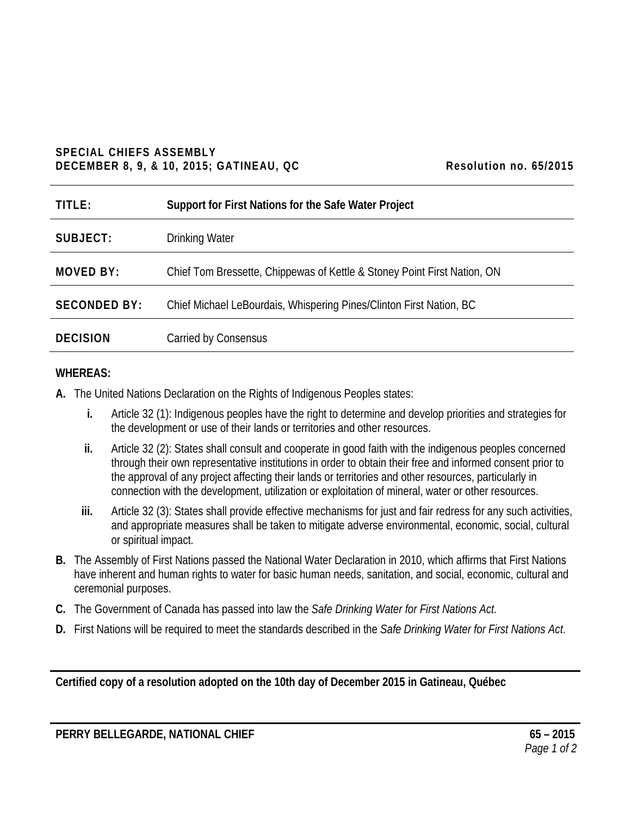#### **SPECIAL CHIEFS ASSEMBLY DECEMBER 8, 9, & 10, 2015; GATINEAU, QC** Resolution no. 65/2015

| TITLE:              | Support for First Nations for the Safe Water Project                     |
|---------------------|--------------------------------------------------------------------------|
| SUBJECT:            | <b>Drinking Water</b>                                                    |
| <b>MOVED BY:</b>    | Chief Tom Bressette, Chippewas of Kettle & Stoney Point First Nation, ON |
| <b>SECONDED BY:</b> | Chief Michael LeBourdais, Whispering Pines/Clinton First Nation, BC      |
| <b>DECISION</b>     | <b>Carried by Consensus</b>                                              |

#### **WHEREAS:**

- **A.** The United Nations Declaration on the Rights of Indigenous Peoples states:
	- **i.** Article 32 (1): Indigenous peoples have the right to determine and develop priorities and strategies for the development or use of their lands or territories and other resources.
	- **ii.** Article 32 (2): States shall consult and cooperate in good faith with the indigenous peoples concerned through their own representative institutions in order to obtain their free and informed consent prior to the approval of any project affecting their lands or territories and other resources, particularly in connection with the development, utilization or exploitation of mineral, water or other resources.
	- **iii.** Article 32 (3): States shall provide effective mechanisms for just and fair redress for any such activities, and appropriate measures shall be taken to mitigate adverse environmental, economic, social, cultural or spiritual impact.
- **B.** The Assembly of First Nations passed the National Water Declaration in 2010, which affirms that First Nations have inherent and human rights to water for basic human needs, sanitation, and social, economic, cultural and ceremonial purposes.
- **C.** The Government of Canada has passed into law the *Safe Drinking Water for First Nations Act.*
- **D.** First Nations will be required to meet the standards described in the *Safe Drinking Water for First Nations Act*.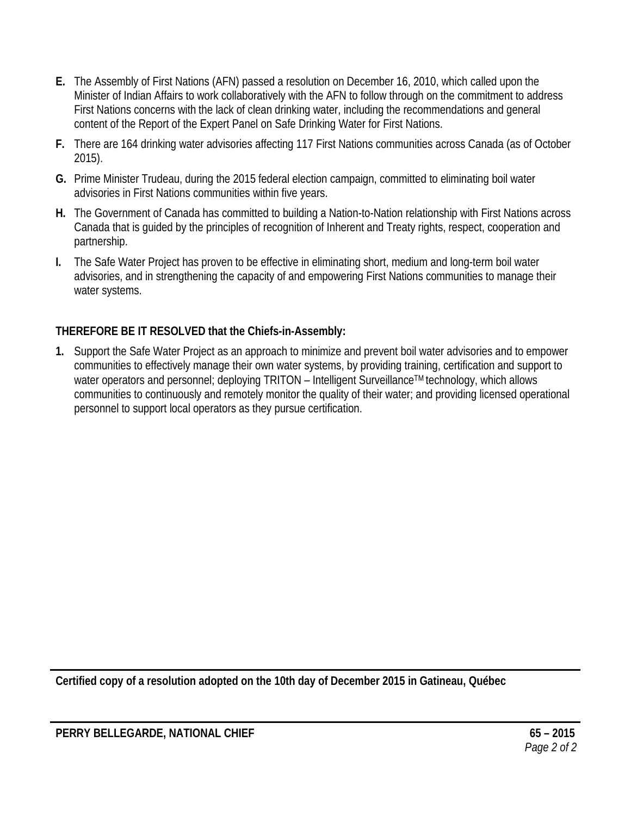- **E.** The Assembly of First Nations (AFN) passed a resolution on December 16, 2010, which called upon the Minister of Indian Affairs to work collaboratively with the AFN to follow through on the commitment to address First Nations concerns with the lack of clean drinking water, including the recommendations and general content of the Report of the Expert Panel on Safe Drinking Water for First Nations.
- **F.** There are 164 drinking water advisories affecting 117 First Nations communities across Canada (as of October 2015).
- **G.** Prime Minister Trudeau, during the 2015 federal election campaign, committed to eliminating boil water advisories in First Nations communities within five years.
- **H.** The Government of Canada has committed to building a Nation-to-Nation relationship with First Nations across Canada that is guided by the principles of recognition of Inherent and Treaty rights, respect, cooperation and partnership.
- **I.** The Safe Water Project has proven to be effective in eliminating short, medium and long-term boil water advisories, and in strengthening the capacity of and empowering First Nations communities to manage their water systems.

**1.** Support the Safe Water Project as an approach to minimize and prevent boil water advisories and to empower communities to effectively manage their own water systems, by providing training, certification and support to water operators and personnel; deploying TRITON – Intelligent Surveillance™ technology, which allows communities to continuously and remotely monitor the quality of their water; and providing licensed operational personnel to support local operators as they pursue certification.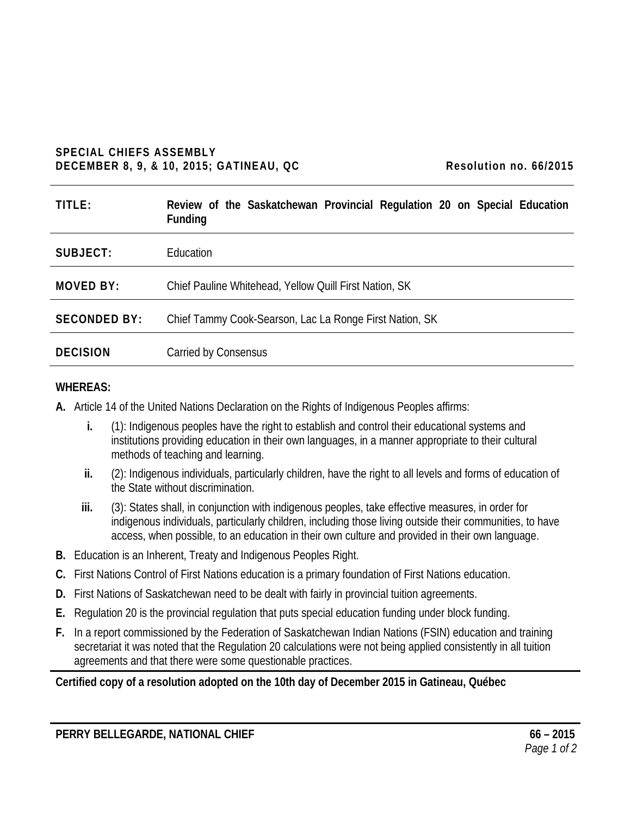#### **SPECIAL CHIEFS ASSEMBLY DECEMBER 8, 9, & 10, 2015; GATINEAU, QC Resolution no. 66/2015**

| TITLE:              | Review of the Saskatchewan Provincial Regulation 20 on Special Education<br><b>Funding</b> |
|---------------------|--------------------------------------------------------------------------------------------|
| SUBJECT:            | Education                                                                                  |
| <b>MOVED BY:</b>    | Chief Pauline Whitehead, Yellow Quill First Nation, SK                                     |
| <b>SECONDED BY:</b> | Chief Tammy Cook-Searson, Lac La Ronge First Nation, SK                                    |
| <b>DECISION</b>     | Carried by Consensus                                                                       |

#### **WHEREAS:**

- **A.** Article 14 of the United Nations Declaration on the Rights of Indigenous Peoples affirms:
	- **i.** (1): Indigenous peoples have the right to establish and control their educational systems and institutions providing education in their own languages, in a manner appropriate to their cultural methods of teaching and learning.
	- **ii.** (2): Indigenous individuals, particularly children, have the right to all levels and forms of education of the State without discrimination.
	- **iii.** (3): States shall, in conjunction with indigenous peoples, take effective measures, in order for indigenous individuals, particularly children, including those living outside their communities, to have access, when possible, to an education in their own culture and provided in their own language.
- **B.** Education is an Inherent, Treaty and Indigenous Peoples Right.
- **C.** First Nations Control of First Nations education is a primary foundation of First Nations education.
- **D.** First Nations of Saskatchewan need to be dealt with fairly in provincial tuition agreements.
- **E.** Regulation 20 is the provincial regulation that puts special education funding under block funding.
- **F.** In a report commissioned by the Federation of Saskatchewan Indian Nations (FSIN) education and training secretariat it was noted that the Regulation 20 calculations were not being applied consistently in all tuition agreements and that there were some questionable practices.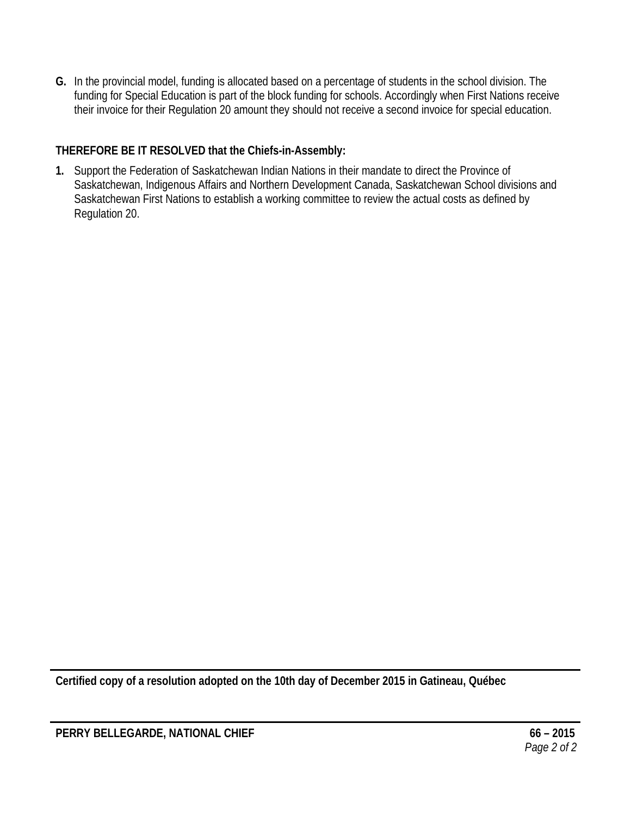**G.** In the provincial model, funding is allocated based on a percentage of students in the school division. The funding for Special Education is part of the block funding for schools. Accordingly when First Nations receive their invoice for their Regulation 20 amount they should not receive a second invoice for special education.

## **THEREFORE BE IT RESOLVED that the Chiefs-in-Assembly:**

**1.** Support the Federation of Saskatchewan Indian Nations in their mandate to direct the Province of Saskatchewan, Indigenous Affairs and Northern Development Canada, Saskatchewan School divisions and Saskatchewan First Nations to establish a working committee to review the actual costs as defined by Regulation 20.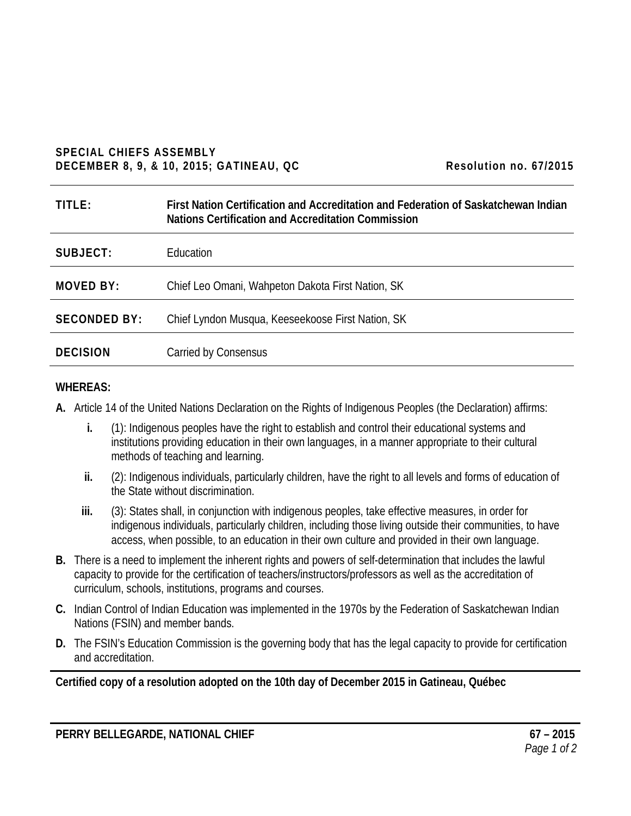#### **SPECIAL CHIEFS ASSEMBLY DECEMBER 8, 9, & 10, 2015; GATINEAU, QC** Resolution no. 67/2015

| TITLE:              | First Nation Certification and Accreditation and Federation of Saskatchewan Indian<br>Nations Certification and Accreditation Commission |
|---------------------|------------------------------------------------------------------------------------------------------------------------------------------|
| SUBJECT:            | Education                                                                                                                                |
| <b>MOVED BY:</b>    | Chief Leo Omani, Wahpeton Dakota First Nation, SK                                                                                        |
| <b>SECONDED BY:</b> | Chief Lyndon Musqua, Keeseekoose First Nation, SK                                                                                        |
| <b>DECISION</b>     | Carried by Consensus                                                                                                                     |

#### **WHEREAS:**

**A.** Article 14 of the United Nations Declaration on the Rights of Indigenous Peoples (the Declaration) affirms:

- **i.** (1): Indigenous peoples have the right to establish and control their educational systems and institutions providing education in their own languages, in a manner appropriate to their cultural methods of teaching and learning.
- **ii.** (2): Indigenous individuals, particularly children, have the right to all levels and forms of education of the State without discrimination.
- **iii.** (3): States shall, in conjunction with indigenous peoples, take effective measures, in order for indigenous individuals, particularly children, including those living outside their communities, to have access, when possible, to an education in their own culture and provided in their own language.
- **B.** There is a need to implement the inherent rights and powers of self-determination that includes the lawful capacity to provide for the certification of teachers/instructors/professors as well as the accreditation of curriculum, schools, institutions, programs and courses.
- **C.** Indian Control of Indian Education was implemented in the 1970s by the Federation of Saskatchewan Indian Nations (FSIN) and member bands.
- **D.** The FSIN's Education Commission is the governing body that has the legal capacity to provide for certification and accreditation.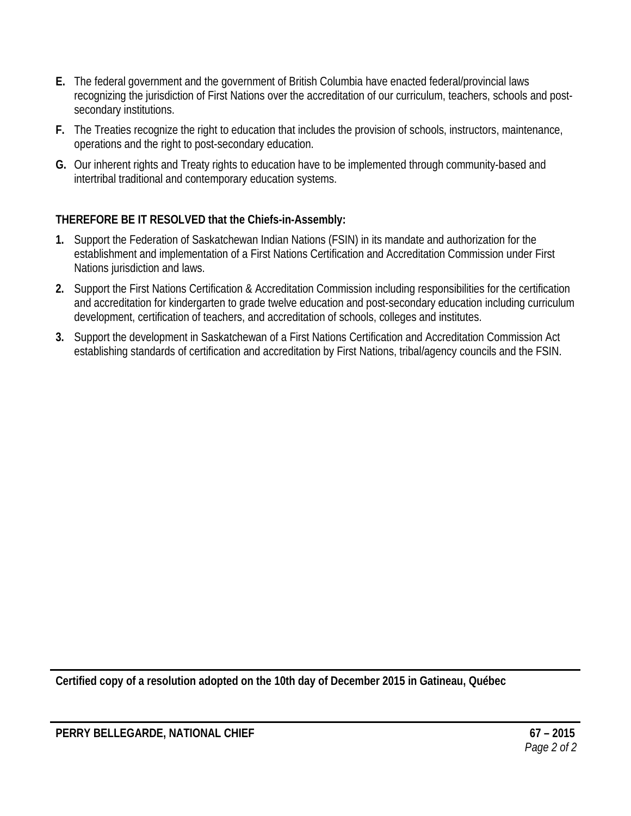- **E.** The federal government and the government of British Columbia have enacted federal/provincial laws recognizing the jurisdiction of First Nations over the accreditation of our curriculum, teachers, schools and postsecondary institutions.
- **F.** The Treaties recognize the right to education that includes the provision of schools, instructors, maintenance, operations and the right to post-secondary education.
- **G.** Our inherent rights and Treaty rights to education have to be implemented through community-based and intertribal traditional and contemporary education systems.

- **1.** Support the Federation of Saskatchewan Indian Nations (FSIN) in its mandate and authorization for the establishment and implementation of a First Nations Certification and Accreditation Commission under First Nations jurisdiction and laws.
- **2.** Support the First Nations Certification & Accreditation Commission including responsibilities for the certification and accreditation for kindergarten to grade twelve education and post-secondary education including curriculum development, certification of teachers, and accreditation of schools, colleges and institutes.
- **3.** Support the development in Saskatchewan of a First Nations Certification and Accreditation Commission Act establishing standards of certification and accreditation by First Nations, tribal/agency councils and the FSIN.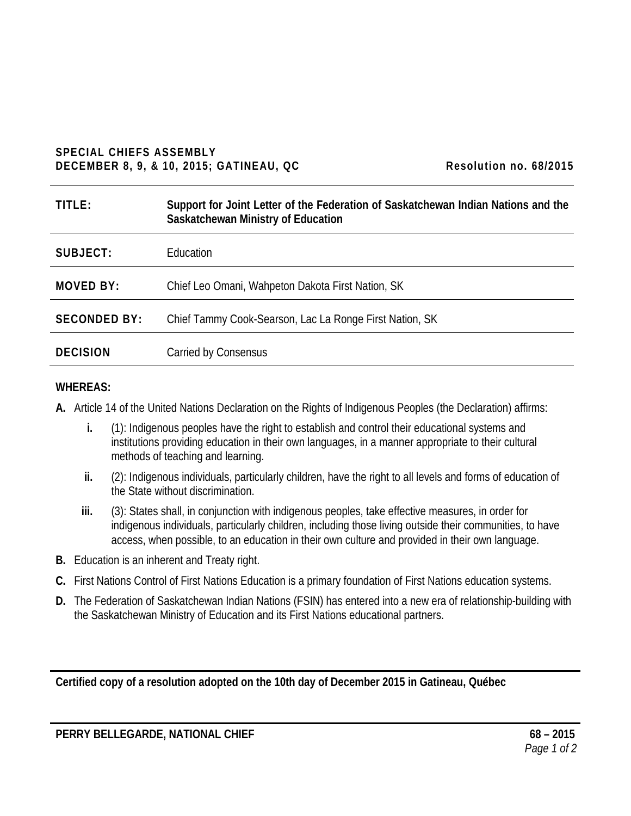#### **SPECIAL CHIEFS ASSEMBLY DECEMBER 8, 9, & 10, 2015; GATINEAU, QC Resolution no. 68/2015**

| TITLE:              | Support for Joint Letter of the Federation of Saskatchewan Indian Nations and the<br>Saskatchewan Ministry of Education |
|---------------------|-------------------------------------------------------------------------------------------------------------------------|
| SUBJECT:            | Education                                                                                                               |
| MOVED BY:           | Chief Leo Omani, Wahpeton Dakota First Nation, SK                                                                       |
| <b>SECONDED BY:</b> | Chief Tammy Cook-Searson, Lac La Ronge First Nation, SK                                                                 |
| <b>DECISION</b>     | Carried by Consensus                                                                                                    |

#### **WHEREAS:**

**A.** Article 14 of the United Nations Declaration on the Rights of Indigenous Peoples (the Declaration) affirms:

- **i.** (1): Indigenous peoples have the right to establish and control their educational systems and institutions providing education in their own languages, in a manner appropriate to their cultural methods of teaching and learning.
- **ii.** (2): Indigenous individuals, particularly children, have the right to all levels and forms of education of the State without discrimination.
- **iii.** (3): States shall, in conjunction with indigenous peoples, take effective measures, in order for indigenous individuals, particularly children, including those living outside their communities, to have access, when possible, to an education in their own culture and provided in their own language.
- **B.** Education is an inherent and Treaty right.
- **C.** First Nations Control of First Nations Education is a primary foundation of First Nations education systems.
- **D.** The Federation of Saskatchewan Indian Nations (FSIN) has entered into a new era of relationship-building with the Saskatchewan Ministry of Education and its First Nations educational partners.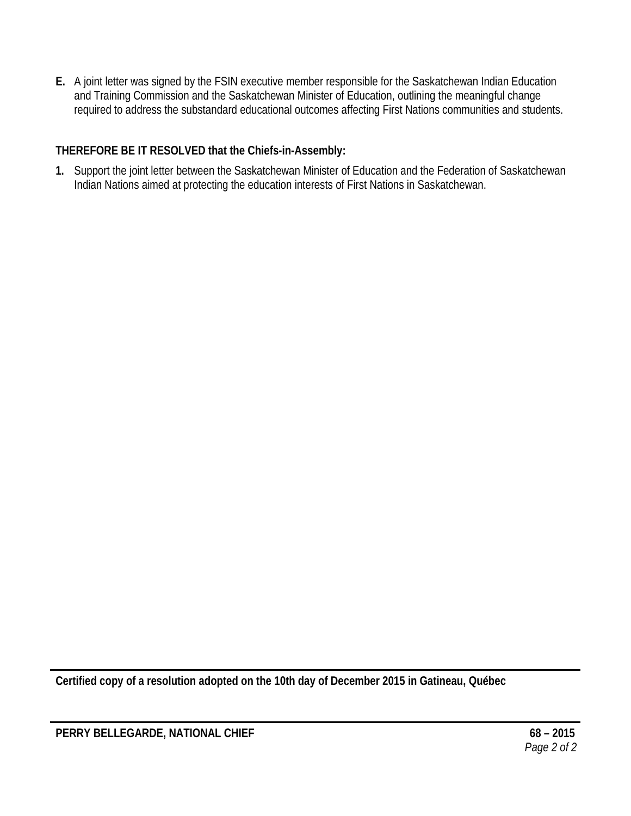**E.** A joint letter was signed by the FSIN executive member responsible for the Saskatchewan Indian Education and Training Commission and the Saskatchewan Minister of Education, outlining the meaningful change required to address the substandard educational outcomes affecting First Nations communities and students.

## **THEREFORE BE IT RESOLVED that the Chiefs-in-Assembly:**

**1.** Support the joint letter between the Saskatchewan Minister of Education and the Federation of Saskatchewan Indian Nations aimed at protecting the education interests of First Nations in Saskatchewan.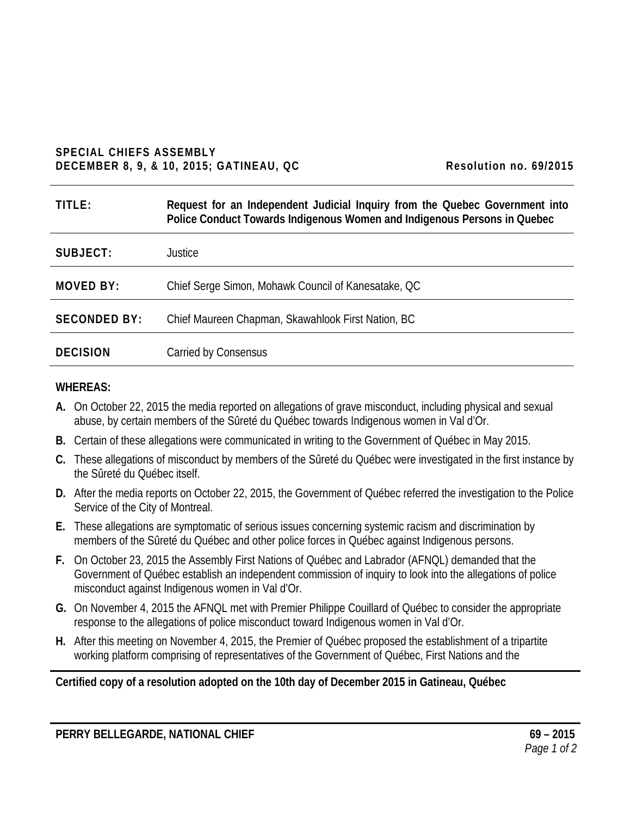#### **SPECIAL CHIEFS ASSEMBLY DECEMBER 8, 9, & 10, 2015; GATINEAU, QC Resolution no. 69/2015**

| TITLE:              | Request for an Independent Judicial Inquiry from the Quebec Government into<br>Police Conduct Towards Indigenous Women and Indigenous Persons in Quebec |
|---------------------|---------------------------------------------------------------------------------------------------------------------------------------------------------|
| SUBJECT:            | Justice                                                                                                                                                 |
| MOVED BY:           | Chief Serge Simon, Mohawk Council of Kanesatake, QC                                                                                                     |
| <b>SECONDED BY:</b> | Chief Maureen Chapman, Skawahlook First Nation, BC                                                                                                      |
| <b>DECISION</b>     | Carried by Consensus                                                                                                                                    |

#### **WHEREAS:**

- **A.** On October 22, 2015 the media reported on allegations of grave misconduct, including physical and sexual abuse, by certain members of the Sûreté du Québec towards Indigenous women in Val d'Or.
- **B.** Certain of these allegations were communicated in writing to the Government of Québec in May 2015.
- **C.** These allegations of misconduct by members of the Sûreté du Québec were investigated in the first instance by the Sûreté du Québec itself.
- **D.** After the media reports on October 22, 2015, the Government of Québec referred the investigation to the Police Service of the City of Montreal.
- **E.** These allegations are symptomatic of serious issues concerning systemic racism and discrimination by members of the Sûreté du Québec and other police forces in Québec against Indigenous persons.
- **F.** On October 23, 2015 the Assembly First Nations of Québec and Labrador (AFNQL) demanded that the Government of Québec establish an independent commission of inquiry to look into the allegations of police misconduct against Indigenous women in Val d'Or.
- **G.** On November 4, 2015 the AFNQL met with Premier Philippe Couillard of Québec to consider the appropriate response to the allegations of police misconduct toward Indigenous women in Val d'Or.
- **H.** After this meeting on November 4, 2015, the Premier of Québec proposed the establishment of a tripartite working platform comprising of representatives of the Government of Québec, First Nations and the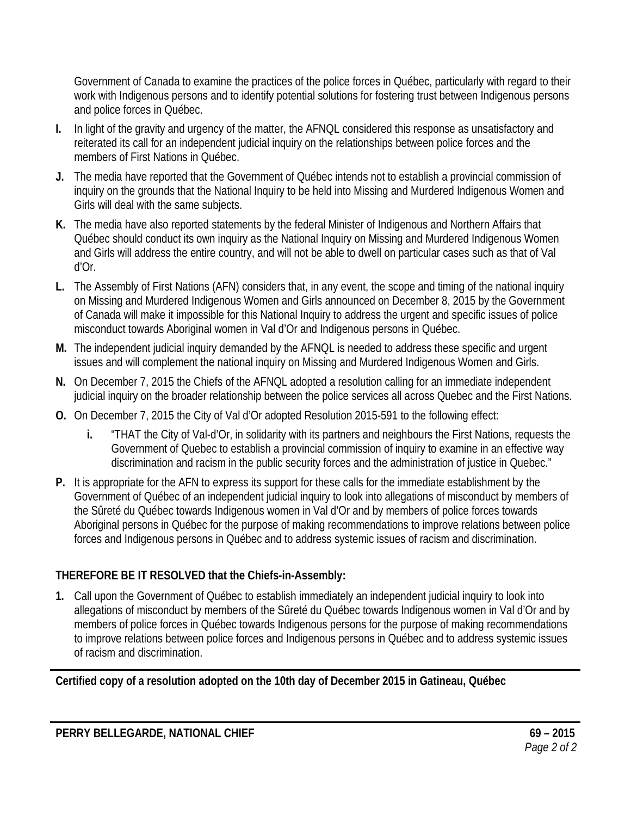Government of Canada to examine the practices of the police forces in Québec, particularly with regard to their work with Indigenous persons and to identify potential solutions for fostering trust between Indigenous persons and police forces in Québec.

- **I.** In light of the gravity and urgency of the matter, the AFNQL considered this response as unsatisfactory and reiterated its call for an independent judicial inquiry on the relationships between police forces and the members of First Nations in Québec.
- **J.** The media have reported that the Government of Québec intends not to establish a provincial commission of inquiry on the grounds that the National Inquiry to be held into Missing and Murdered Indigenous Women and Girls will deal with the same subjects.
- **K.** The media have also reported statements by the federal Minister of Indigenous and Northern Affairs that Québec should conduct its own inquiry as the National Inquiry on Missing and Murdered Indigenous Women and Girls will address the entire country, and will not be able to dwell on particular cases such as that of Val d'Or.
- **L.** The Assembly of First Nations (AFN) considers that, in any event, the scope and timing of the national inquiry on Missing and Murdered Indigenous Women and Girls announced on December 8, 2015 by the Government of Canada will make it impossible for this National Inquiry to address the urgent and specific issues of police misconduct towards Aboriginal women in Val d'Or and Indigenous persons in Québec.
- **M.** The independent judicial inquiry demanded by the AFNQL is needed to address these specific and urgent issues and will complement the national inquiry on Missing and Murdered Indigenous Women and Girls.
- **N.** On December 7, 2015 the Chiefs of the AFNQL adopted a resolution calling for an immediate independent judicial inquiry on the broader relationship between the police services all across Quebec and the First Nations.
- **O.** On December 7, 2015 the City of Val d'Or adopted Resolution 2015-591 to the following effect:
	- **i.** "THAT the City of Val-d'Or, in solidarity with its partners and neighbours the First Nations, requests the Government of Quebec to establish a provincial commission of inquiry to examine in an effective way discrimination and racism in the public security forces and the administration of justice in Quebec."
- **P.** It is appropriate for the AFN to express its support for these calls for the immediate establishment by the Government of Québec of an independent judicial inquiry to look into allegations of misconduct by members of the Sûreté du Québec towards Indigenous women in Val d'Or and by members of police forces towards Aboriginal persons in Québec for the purpose of making recommendations to improve relations between police forces and Indigenous persons in Québec and to address systemic issues of racism and discrimination.

## **THEREFORE BE IT RESOLVED that the Chiefs-in-Assembly:**

**1.** Call upon the Government of Québec to establish immediately an independent judicial inquiry to look into allegations of misconduct by members of the Sûreté du Québec towards Indigenous women in Val d'Or and by members of police forces in Québec towards Indigenous persons for the purpose of making recommendations to improve relations between police forces and Indigenous persons in Québec and to address systemic issues of racism and discrimination.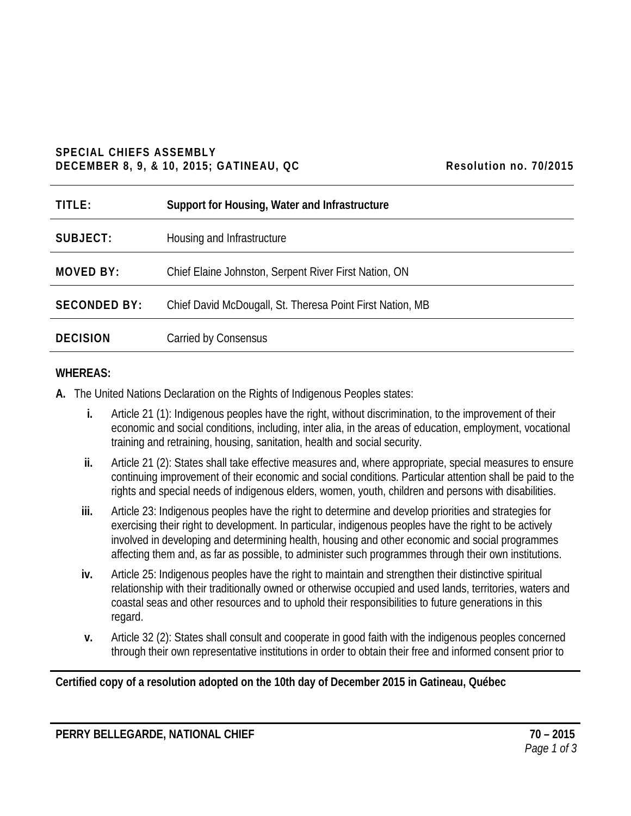#### **SPECIAL CHIEFS ASSEMBLY DECEMBER 8, 9, & 10, 2015; GATINEAU, QC Resolution no. 70/2015**

| Resolution no. 70/2015 |  |  |
|------------------------|--|--|
|------------------------|--|--|

| TITLE:              | Support for Housing, Water and Infrastructure             |
|---------------------|-----------------------------------------------------------|
| SUBJECT:            | Housing and Infrastructure                                |
| <b>MOVED BY:</b>    | Chief Elaine Johnston, Serpent River First Nation, ON     |
| <b>SECONDED BY:</b> | Chief David McDougall, St. Theresa Point First Nation, MB |
| <b>DECISION</b>     | <b>Carried by Consensus</b>                               |

#### **WHEREAS:**

- **A.** The United Nations Declaration on the Rights of Indigenous Peoples states:
	- **i.** Article 21 (1): Indigenous peoples have the right, without discrimination, to the improvement of their economic and social conditions, including, inter alia, in the areas of education, employment, vocational training and retraining, housing, sanitation, health and social security.
	- **ii.** Article 21 (2): States shall take effective measures and, where appropriate, special measures to ensure continuing improvement of their economic and social conditions. Particular attention shall be paid to the rights and special needs of indigenous elders, women, youth, children and persons with disabilities.
	- **iii.** Article 23: Indigenous peoples have the right to determine and develop priorities and strategies for exercising their right to development. In particular, indigenous peoples have the right to be actively involved in developing and determining health, housing and other economic and social programmes affecting them and, as far as possible, to administer such programmes through their own institutions.
	- **iv.** Article 25: Indigenous peoples have the right to maintain and strengthen their distinctive spiritual relationship with their traditionally owned or otherwise occupied and used lands, territories, waters and coastal seas and other resources and to uphold their responsibilities to future generations in this regard.
	- **v.** Article 32 (2): States shall consult and cooperate in good faith with the indigenous peoples concerned through their own representative institutions in order to obtain their free and informed consent prior to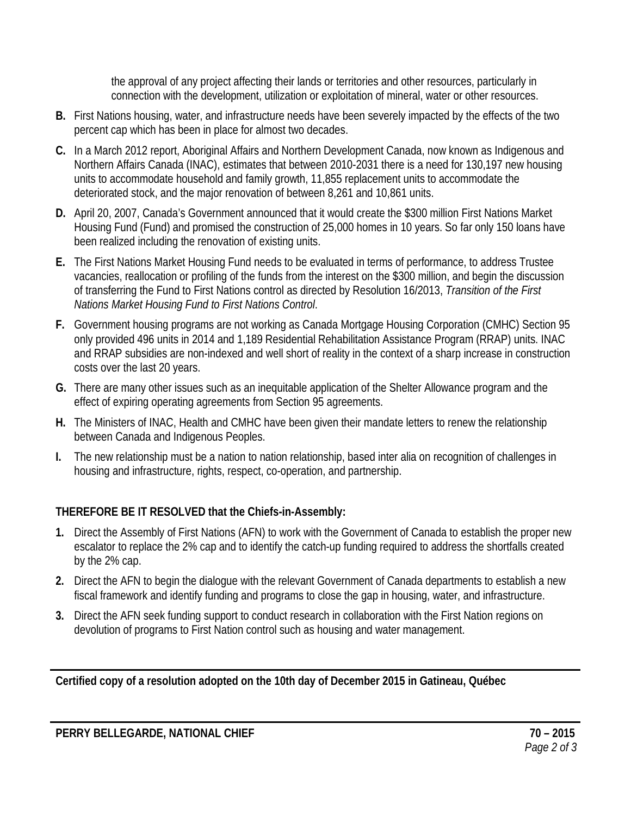the approval of any project affecting their lands or territories and other resources, particularly in connection with the development, utilization or exploitation of mineral, water or other resources.

- **B.** First Nations housing, water, and infrastructure needs have been severely impacted by the effects of the two percent cap which has been in place for almost two decades.
- **C.** In a March 2012 report, Aboriginal Affairs and Northern Development Canada, now known as Indigenous and Northern Affairs Canada (INAC), estimates that between 2010-2031 there is a need for 130,197 new housing units to accommodate household and family growth, 11,855 replacement units to accommodate the deteriorated stock, and the major renovation of between 8,261 and 10,861 units.
- **D.** April 20, 2007, Canada's Government announced that it would create the \$300 million First Nations Market Housing Fund (Fund) and promised the construction of 25,000 homes in 10 years. So far only 150 loans have been realized including the renovation of existing units.
- **E.** The First Nations Market Housing Fund needs to be evaluated in terms of performance, to address Trustee vacancies, reallocation or profiling of the funds from the interest on the \$300 million, and begin the discussion of transferring the Fund to First Nations control as directed by Resolution 16/2013, *Transition of the First Nations Market Housing Fund to First Nations Control*.
- **F.** Government housing programs are not working as Canada Mortgage Housing Corporation (CMHC) Section 95 only provided 496 units in 2014 and 1,189 Residential Rehabilitation Assistance Program (RRAP) units. INAC and RRAP subsidies are non-indexed and well short of reality in the context of a sharp increase in construction costs over the last 20 years.
- **G.** There are many other issues such as an inequitable application of the Shelter Allowance program and the effect of expiring operating agreements from Section 95 agreements.
- **H.** The Ministers of INAC, Health and CMHC have been given their mandate letters to renew the relationship between Canada and Indigenous Peoples.
- **I.** The new relationship must be a nation to nation relationship, based inter alia on recognition of challenges in housing and infrastructure, rights, respect, co-operation, and partnership.

## **THEREFORE BE IT RESOLVED that the Chiefs-in-Assembly:**

- **1.** Direct the Assembly of First Nations (AFN) to work with the Government of Canada to establish the proper new escalator to replace the 2% cap and to identify the catch-up funding required to address the shortfalls created by the 2% cap.
- **2.** Direct the AFN to begin the dialogue with the relevant Government of Canada departments to establish a new fiscal framework and identify funding and programs to close the gap in housing, water, and infrastructure.
- **3.** Direct the AFN seek funding support to conduct research in collaboration with the First Nation regions on devolution of programs to First Nation control such as housing and water management.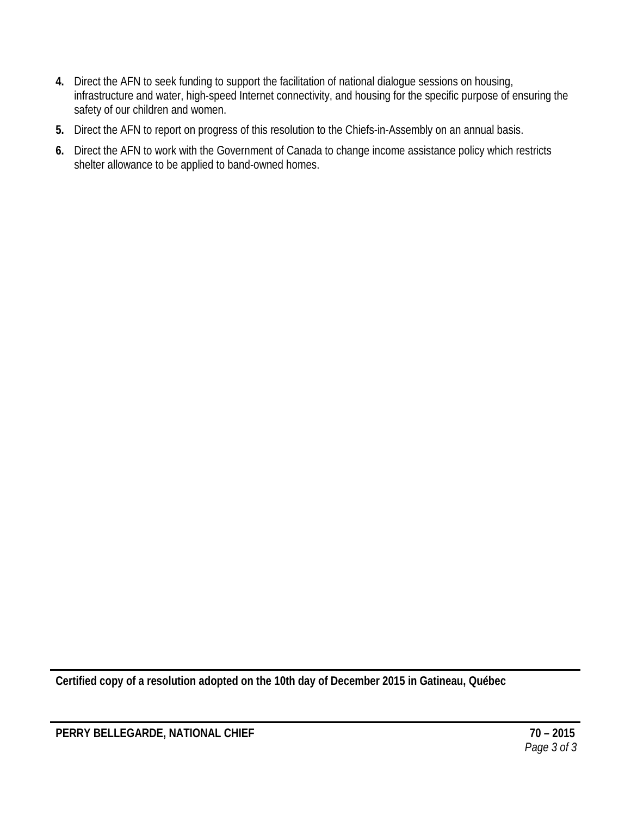- **4.** Direct the AFN to seek funding to support the facilitation of national dialogue sessions on housing, infrastructure and water, high-speed Internet connectivity, and housing for the specific purpose of ensuring the safety of our children and women.
- **5.** Direct the AFN to report on progress of this resolution to the Chiefs-in-Assembly on an annual basis.
- **6.** Direct the AFN to work with the Government of Canada to change income assistance policy which restricts shelter allowance to be applied to band-owned homes.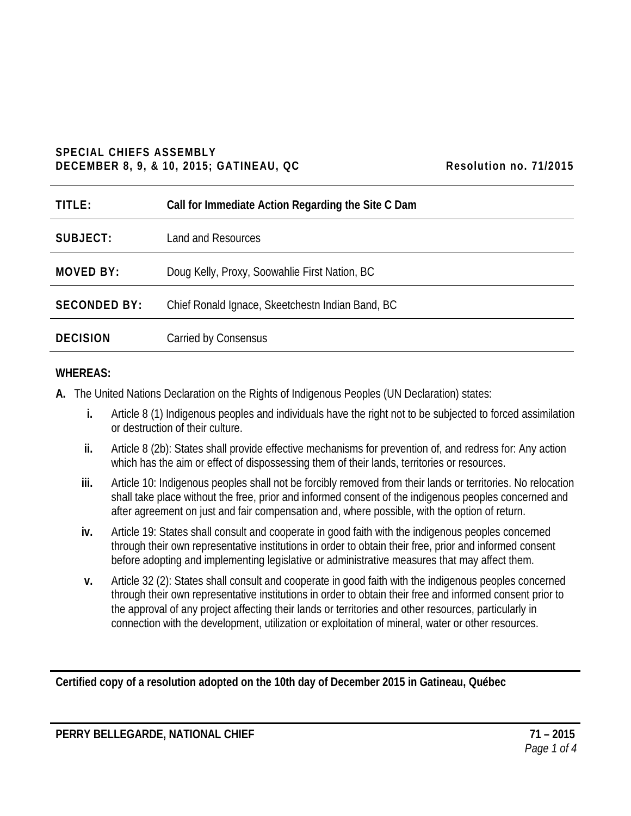#### **SPECIAL CHIEFS ASSEMBLY DECEMBER 8, 9, & 10, 2015; GATINEAU, QC Resolution no. 71/2015**

| TITLE:              | Call for Immediate Action Regarding the Site C Dam |
|---------------------|----------------------------------------------------|
| SUBJECT:            | Land and Resources                                 |
| <b>MOVED BY:</b>    | Doug Kelly, Proxy, Soowahlie First Nation, BC      |
| <b>SECONDED BY:</b> | Chief Ronald Ignace, Skeetchestn Indian Band, BC   |
| <b>DECISION</b>     | Carried by Consensus                               |

#### **WHEREAS:**

- **A.** The United Nations Declaration on the Rights of Indigenous Peoples (UN Declaration) states:
	- **i.** Article 8 (1) Indigenous peoples and individuals have the right not to be subjected to forced assimilation or destruction of their culture.
	- **ii.** Article 8 (2b): States shall provide effective mechanisms for prevention of, and redress for: Any action which has the aim or effect of dispossessing them of their lands, territories or resources.
	- **iii.** Article 10: Indigenous peoples shall not be forcibly removed from their lands or territories. No relocation shall take place without the free, prior and informed consent of the indigenous peoples concerned and after agreement on just and fair compensation and, where possible, with the option of return.
	- **iv.** Article 19: States shall consult and cooperate in good faith with the indigenous peoples concerned through their own representative institutions in order to obtain their free, prior and informed consent before adopting and implementing legislative or administrative measures that may affect them.
	- **v.** Article 32 (2): States shall consult and cooperate in good faith with the indigenous peoples concerned through their own representative institutions in order to obtain their free and informed consent prior to the approval of any project affecting their lands or territories and other resources, particularly in connection with the development, utilization or exploitation of mineral, water or other resources.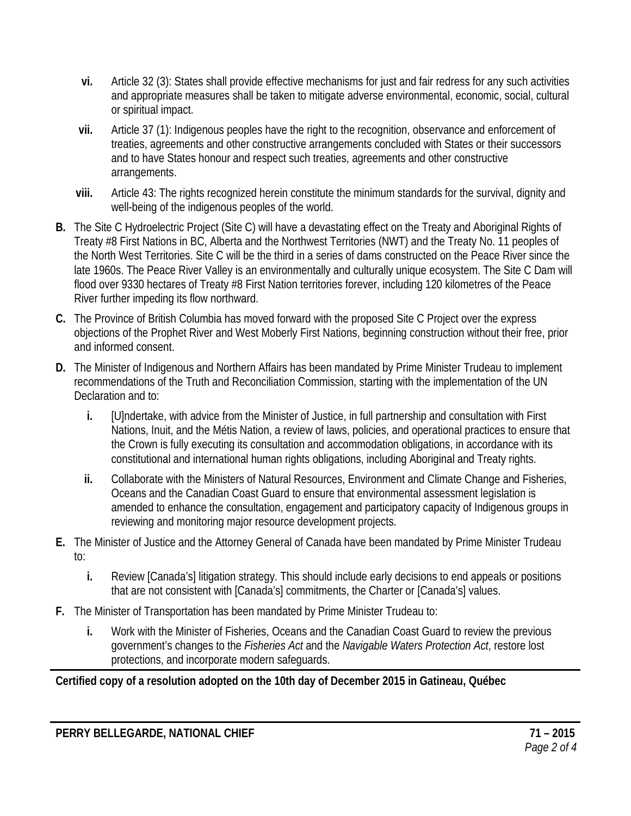- **vi.** Article 32 (3): States shall provide effective mechanisms for just and fair redress for any such activities and appropriate measures shall be taken to mitigate adverse environmental, economic, social, cultural or spiritual impact.
- **vii.** Article 37 (1): Indigenous peoples have the right to the recognition, observance and enforcement of treaties, agreements and other constructive arrangements concluded with States or their successors and to have States honour and respect such treaties, agreements and other constructive arrangements.
- **viii.** Article 43: The rights recognized herein constitute the minimum standards for the survival, dignity and well-being of the indigenous peoples of the world.
- **B.** The Site C Hydroelectric Project (Site C) will have a devastating effect on the Treaty and Aboriginal Rights of Treaty #8 First Nations in BC, Alberta and the Northwest Territories (NWT) and the Treaty No. 11 peoples of the North West Territories. Site C will be the third in a series of dams constructed on the Peace River since the late 1960s. The Peace River Valley is an environmentally and culturally unique ecosystem. The Site C Dam will flood over 9330 hectares of Treaty #8 First Nation territories forever, including 120 kilometres of the Peace River further impeding its flow northward.
- **C.** The Province of British Columbia has moved forward with the proposed Site C Project over the express objections of the Prophet River and West Moberly First Nations, beginning construction without their free, prior and informed consent.
- **D.** The Minister of Indigenous and Northern Affairs has been mandated by Prime Minister Trudeau to implement recommendations of the Truth and Reconciliation Commission, starting with the implementation of the UN Declaration and to:
	- **i.** [U]ndertake, with advice from the Minister of Justice, in full partnership and consultation with First Nations, Inuit, and the Métis Nation, a review of laws, policies, and operational practices to ensure that the Crown is fully executing its consultation and accommodation obligations, in accordance with its constitutional and international human rights obligations, including Aboriginal and Treaty rights.
	- **ii.** Collaborate with the Ministers of Natural Resources, Environment and Climate Change and Fisheries, Oceans and the Canadian Coast Guard to ensure that environmental assessment legislation is amended to enhance the consultation, engagement and participatory capacity of Indigenous groups in reviewing and monitoring major resource development projects.
- **E.** The Minister of Justice and the Attorney General of Canada have been mandated by Prime Minister Trudeau to:
	- **i.** Review [Canada's] litigation strategy. This should include early decisions to end appeals or positions that are not consistent with [Canada's] commitments, the Charter or [Canada's] values.
- **F.** The Minister of Transportation has been mandated by Prime Minister Trudeau to:
	- **i.** Work with the Minister of Fisheries, Oceans and the Canadian Coast Guard to review the previous government's changes to the *Fisheries Act* and the *Navigable Waters Protection Act*, restore lost protections, and incorporate modern safeguards.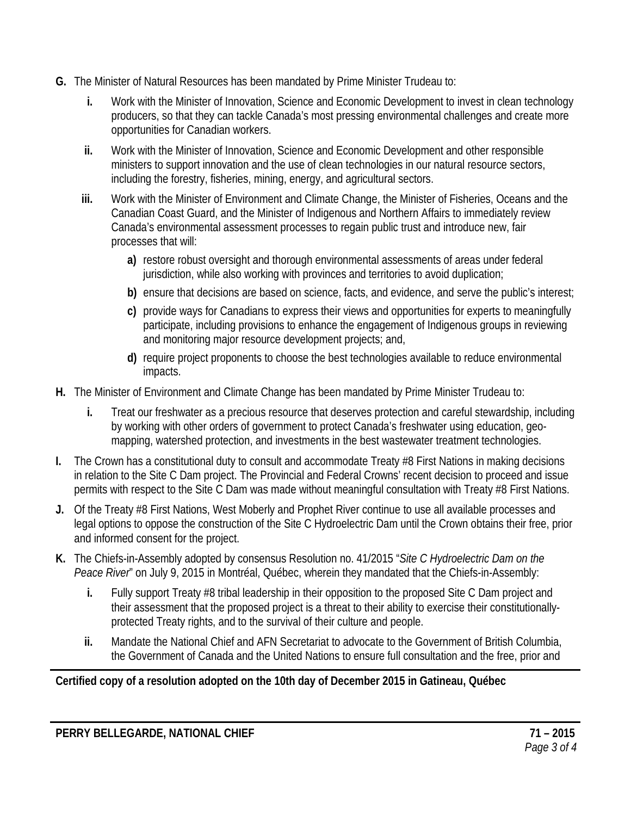- **G.** The Minister of Natural Resources has been mandated by Prime Minister Trudeau to:
	- **i.** Work with the Minister of Innovation, Science and Economic Development to invest in clean technology producers, so that they can tackle Canada's most pressing environmental challenges and create more opportunities for Canadian workers.
	- **ii.** Work with the Minister of Innovation, Science and Economic Development and other responsible ministers to support innovation and the use of clean technologies in our natural resource sectors, including the forestry, fisheries, mining, energy, and agricultural sectors.
	- **iii.** Work with the Minister of Environment and Climate Change, the Minister of Fisheries, Oceans and the Canadian Coast Guard, and the Minister of Indigenous and Northern Affairs to immediately review Canada's environmental assessment processes to regain public trust and introduce new, fair processes that will:
		- **a)** restore robust oversight and thorough environmental assessments of areas under federal jurisdiction, while also working with provinces and territories to avoid duplication;
		- **b)** ensure that decisions are based on science, facts, and evidence, and serve the public's interest;
		- **c)** provide ways for Canadians to express their views and opportunities for experts to meaningfully participate, including provisions to enhance the engagement of Indigenous groups in reviewing and monitoring major resource development projects; and,
		- **d)** require project proponents to choose the best technologies available to reduce environmental impacts.
- **H.** The Minister of Environment and Climate Change has been mandated by Prime Minister Trudeau to:
	- **i.** Treat our freshwater as a precious resource that deserves protection and careful stewardship, including by working with other orders of government to protect Canada's freshwater using education, geomapping, watershed protection, and investments in the best wastewater treatment technologies.
- **I.** The Crown has a constitutional duty to consult and accommodate Treaty #8 First Nations in making decisions in relation to the Site C Dam project. The Provincial and Federal Crowns' recent decision to proceed and issue permits with respect to the Site C Dam was made without meaningful consultation with Treaty #8 First Nations.
- **J.** Of the Treaty #8 First Nations, West Moberly and Prophet River continue to use all available processes and legal options to oppose the construction of the Site C Hydroelectric Dam until the Crown obtains their free, prior and informed consent for the project.
- **K.** The Chiefs-in-Assembly adopted by consensus Resolution no. 41/2015 "*Site C Hydroelectric Dam on the Peace River*" on July 9, 2015 in Montréal, Québec, wherein they mandated that the Chiefs-in-Assembly:
	- **i.** Fully support Treaty #8 tribal leadership in their opposition to the proposed Site C Dam project and their assessment that the proposed project is a threat to their ability to exercise their constitutionallyprotected Treaty rights, and to the survival of their culture and people.
	- **ii.** Mandate the National Chief and AFN Secretariat to advocate to the Government of British Columbia, the Government of Canada and the United Nations to ensure full consultation and the free, prior and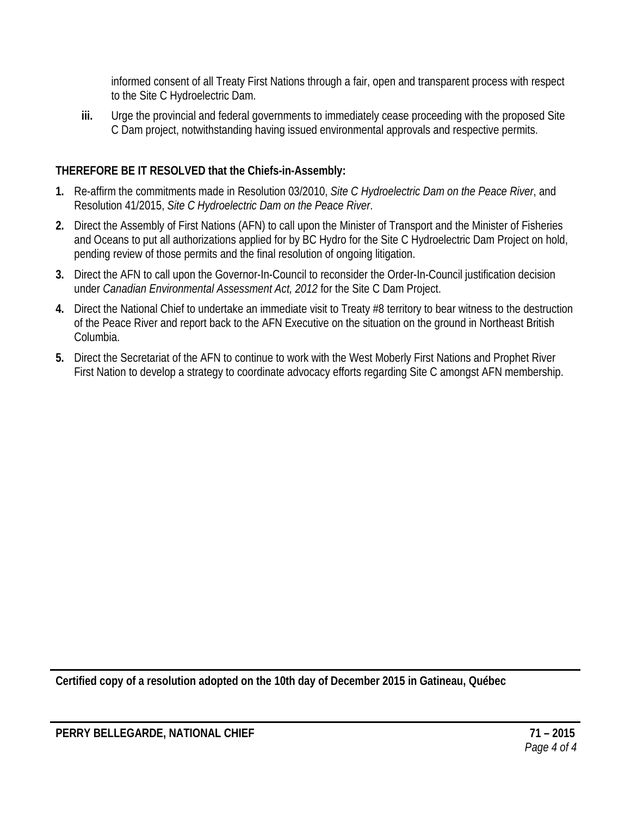informed consent of all Treaty First Nations through a fair, open and transparent process with respect to the Site C Hydroelectric Dam.

**iii.** Urge the provincial and federal governments to immediately cease proceeding with the proposed Site C Dam project, notwithstanding having issued environmental approvals and respective permits.

# **THEREFORE BE IT RESOLVED that the Chiefs-in-Assembly:**

- **1.** Re-affirm the commitments made in Resolution 03/2010, *Site C Hydroelectric Dam on the Peace River*, and Resolution 41/2015, *Site C Hydroelectric Dam on the Peace River*.
- **2.** Direct the Assembly of First Nations (AFN) to call upon the Minister of Transport and the Minister of Fisheries and Oceans to put all authorizations applied for by BC Hydro for the Site C Hydroelectric Dam Project on hold, pending review of those permits and the final resolution of ongoing litigation.
- **3.** Direct the AFN to call upon the Governor-In-Council to reconsider the Order-In-Council justification decision under *Canadian Environmental Assessment Act, 2012* for the Site C Dam Project.
- **4.** Direct the National Chief to undertake an immediate visit to Treaty #8 territory to bear witness to the destruction of the Peace River and report back to the AFN Executive on the situation on the ground in Northeast British Columbia.
- **5.** Direct the Secretariat of the AFN to continue to work with the West Moberly First Nations and Prophet River First Nation to develop a strategy to coordinate advocacy efforts regarding Site C amongst AFN membership.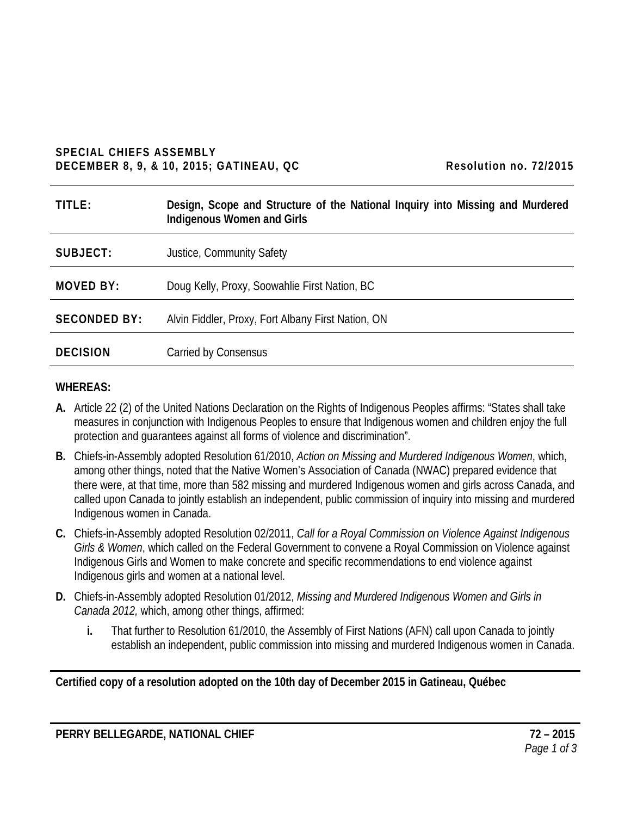#### **SPECIAL CHIEFS ASSEMBLY DECEMBER 8, 9, & 10, 2015; GATINEAU, QC Resolution no. 72/2015**

| Resolution no. 72/2015 |  |  |
|------------------------|--|--|
|------------------------|--|--|

| TITLE:              | Design, Scope and Structure of the National Inquiry into Missing and Murdered<br>Indigenous Women and Girls |
|---------------------|-------------------------------------------------------------------------------------------------------------|
| SUBJECT:            | Justice, Community Safety                                                                                   |
| MOVED BY:           | Doug Kelly, Proxy, Soowahlie First Nation, BC                                                               |
| <b>SECONDED BY:</b> | Alvin Fiddler, Proxy, Fort Albany First Nation, ON                                                          |
| <b>DECISION</b>     | Carried by Consensus                                                                                        |

#### **WHEREAS:**

- **A.** Article 22 (2) of the United Nations Declaration on the Rights of Indigenous Peoples affirms: "States shall take measures in conjunction with Indigenous Peoples to ensure that Indigenous women and children enjoy the full protection and guarantees against all forms of violence and discrimination".
- **B.** Chiefs-in-Assembly adopted Resolution 61/2010, *Action on Missing and Murdered Indigenous Women*, which, among other things, noted that the Native Women's Association of Canada (NWAC) prepared evidence that there were, at that time, more than 582 missing and murdered Indigenous women and girls across Canada, and called upon Canada to jointly establish an independent, public commission of inquiry into missing and murdered Indigenous women in Canada.
- **C.** Chiefs-in-Assembly adopted Resolution 02/2011, *Call for a Royal Commission on Violence Against Indigenous Girls & Women*, which called on the Federal Government to convene a Royal Commission on Violence against Indigenous Girls and Women to make concrete and specific recommendations to end violence against Indigenous girls and women at a national level.
- **D.** Chiefs-in-Assembly adopted Resolution 01/2012, *Missing and Murdered Indigenous Women and Girls in Canada 2012,* which, among other things, affirmed:
	- **i.** That further to Resolution 61/2010, the Assembly of First Nations (AFN) call upon Canada to jointly establish an independent, public commission into missing and murdered Indigenous women in Canada.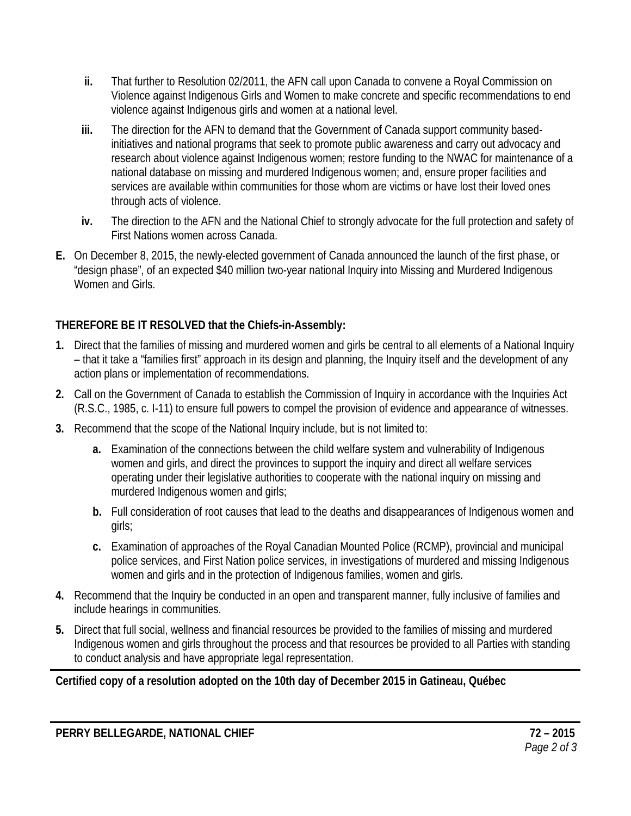- **ii.** That further to Resolution 02/2011, the AFN call upon Canada to convene a Royal Commission on Violence against Indigenous Girls and Women to make concrete and specific recommendations to end violence against Indigenous girls and women at a national level.
- **iii.** The direction for the AFN to demand that the Government of Canada support community basedinitiatives and national programs that seek to promote public awareness and carry out advocacy and research about violence against Indigenous women; restore funding to the NWAC for maintenance of a national database on missing and murdered Indigenous women; and, ensure proper facilities and services are available within communities for those whom are victims or have lost their loved ones through acts of violence.
- **iv.** The direction to the AFN and the National Chief to strongly advocate for the full protection and safety of First Nations women across Canada.
- **E.** On December 8, 2015, the newly-elected government of Canada announced the launch of the first phase, or "design phase", of an expected \$40 million two-year national Inquiry into Missing and Murdered Indigenous Women and Girls.

- **1.** Direct that the families of missing and murdered women and girls be central to all elements of a National Inquiry – that it take a "families first" approach in its design and planning, the Inquiry itself and the development of any action plans or implementation of recommendations.
- **2.** Call on the Government of Canada to establish the Commission of Inquiry in accordance with the Inquiries Act (R.S.C., 1985, c. I-11) to ensure full powers to compel the provision of evidence and appearance of witnesses.
- **3.** Recommend that the scope of the National Inquiry include, but is not limited to:
	- **a.** Examination of the connections between the child welfare system and vulnerability of Indigenous women and girls, and direct the provinces to support the inquiry and direct all welfare services operating under their legislative authorities to cooperate with the national inquiry on missing and murdered Indigenous women and girls;
	- **b.** Full consideration of root causes that lead to the deaths and disappearances of Indigenous women and girls;
	- **c.** Examination of approaches of the Royal Canadian Mounted Police (RCMP), provincial and municipal police services, and First Nation police services, in investigations of murdered and missing Indigenous women and girls and in the protection of Indigenous families, women and girls.
- **4.** Recommend that the Inquiry be conducted in an open and transparent manner, fully inclusive of families and include hearings in communities.
- **5.** Direct that full social, wellness and financial resources be provided to the families of missing and murdered Indigenous women and girls throughout the process and that resources be provided to all Parties with standing to conduct analysis and have appropriate legal representation.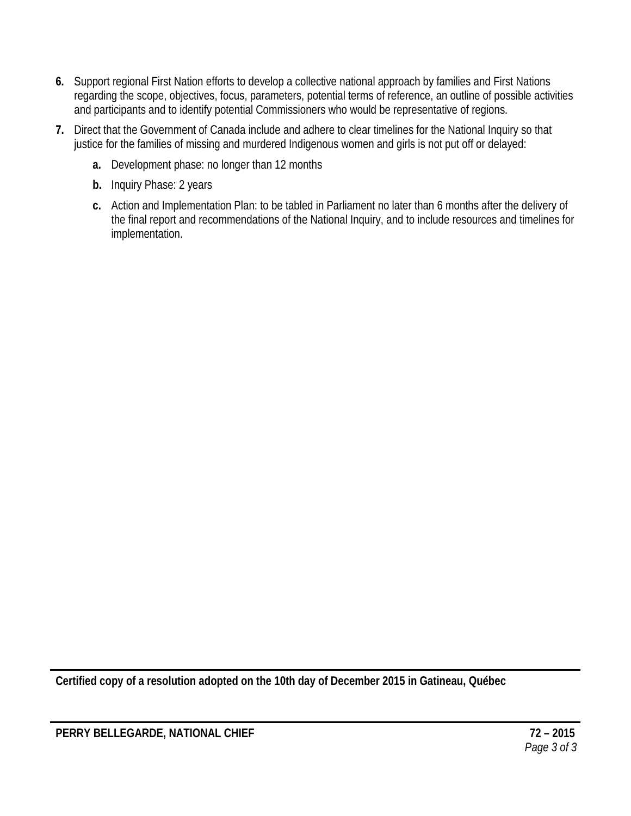- **6.** Support regional First Nation efforts to develop a collective national approach by families and First Nations regarding the scope, objectives, focus, parameters, potential terms of reference, an outline of possible activities and participants and to identify potential Commissioners who would be representative of regions.
- **7.** Direct that the Government of Canada include and adhere to clear timelines for the National Inquiry so that justice for the families of missing and murdered Indigenous women and girls is not put off or delayed:
	- **a.** Development phase: no longer than 12 months
	- **b.** Inquiry Phase: 2 years
	- **c.** Action and Implementation Plan: to be tabled in Parliament no later than 6 months after the delivery of the final report and recommendations of the National Inquiry, and to include resources and timelines for implementation.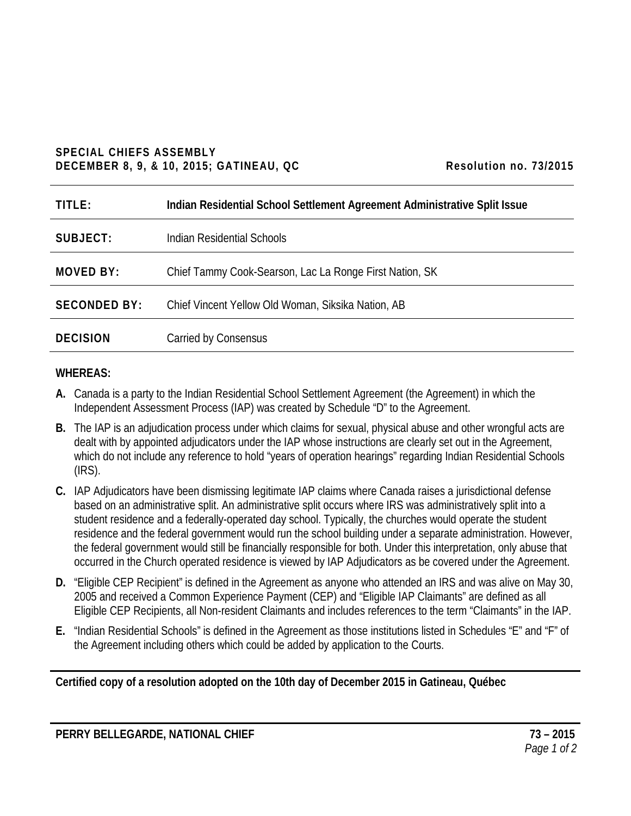#### **SPECIAL CHIEFS ASSEMBLY DECEMBER 8, 9, & 10, 2015; GATINEAU, QC Resolution no. 73/2015**

| Resolution no. 73/2015 |  |  |
|------------------------|--|--|
|------------------------|--|--|

| TITLE:              | Indian Residential School Settlement Agreement Administrative Split Issue |
|---------------------|---------------------------------------------------------------------------|
| SUBJECT:            | Indian Residential Schools                                                |
| <b>MOVED BY:</b>    | Chief Tammy Cook-Searson, Lac La Ronge First Nation, SK                   |
| <b>SECONDED BY:</b> | Chief Vincent Yellow Old Woman, Siksika Nation, AB                        |
| <b>DECISION</b>     | Carried by Consensus                                                      |

#### **WHEREAS:**

- **A.** Canada is a party to the Indian Residential School Settlement Agreement (the Agreement) in which the Independent Assessment Process (IAP) was created by Schedule "D" to the Agreement.
- **B.** The IAP is an adjudication process under which claims for sexual, physical abuse and other wrongful acts are dealt with by appointed adjudicators under the IAP whose instructions are clearly set out in the Agreement, which do not include any reference to hold "years of operation hearings" regarding Indian Residential Schools (IRS).
- **C.** IAP Adjudicators have been dismissing legitimate IAP claims where Canada raises a jurisdictional defense based on an administrative split. An administrative split occurs where IRS was administratively split into a student residence and a federally-operated day school. Typically, the churches would operate the student residence and the federal government would run the school building under a separate administration. However, the federal government would still be financially responsible for both. Under this interpretation, only abuse that occurred in the Church operated residence is viewed by IAP Adjudicators as be covered under the Agreement.
- **D.** "Eligible CEP Recipient" is defined in the Agreement as anyone who attended an IRS and was alive on May 30, 2005 and received a Common Experience Payment (CEP) and "Eligible IAP Claimants" are defined as all Eligible CEP Recipients, all Non-resident Claimants and includes references to the term "Claimants" in the IAP.
- **E.** "Indian Residential Schools" is defined in the Agreement as those institutions listed in Schedules "E" and "F" of the Agreement including others which could be added by application to the Courts.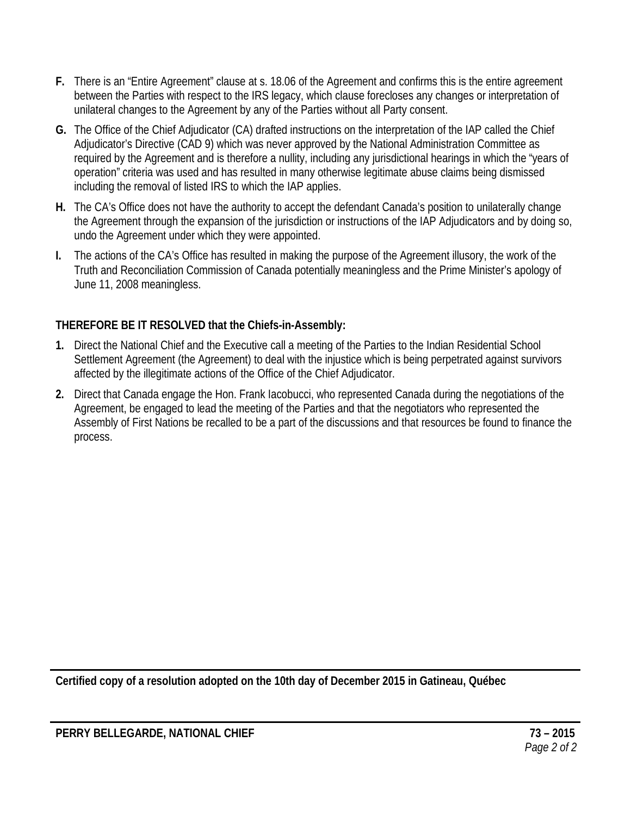- **F.** There is an "Entire Agreement" clause at s. 18.06 of the Agreement and confirms this is the entire agreement between the Parties with respect to the IRS legacy, which clause forecloses any changes or interpretation of unilateral changes to the Agreement by any of the Parties without all Party consent.
- **G.** The Office of the Chief Adjudicator (CA) drafted instructions on the interpretation of the IAP called the Chief Adjudicator's Directive (CAD 9) which was never approved by the National Administration Committee as required by the Agreement and is therefore a nullity, including any jurisdictional hearings in which the "years of operation" criteria was used and has resulted in many otherwise legitimate abuse claims being dismissed including the removal of listed IRS to which the IAP applies.
- **H.** The CA's Office does not have the authority to accept the defendant Canada's position to unilaterally change the Agreement through the expansion of the jurisdiction or instructions of the IAP Adjudicators and by doing so, undo the Agreement under which they were appointed.
- **I.** The actions of the CA's Office has resulted in making the purpose of the Agreement illusory, the work of the Truth and Reconciliation Commission of Canada potentially meaningless and the Prime Minister's apology of June 11, 2008 meaningless.

- **1.** Direct the National Chief and the Executive call a meeting of the Parties to the Indian Residential School Settlement Agreement (the Agreement) to deal with the injustice which is being perpetrated against survivors affected by the illegitimate actions of the Office of the Chief Adjudicator.
- **2.** Direct that Canada engage the Hon. Frank Iacobucci, who represented Canada during the negotiations of the Agreement, be engaged to lead the meeting of the Parties and that the negotiators who represented the Assembly of First Nations be recalled to be a part of the discussions and that resources be found to finance the process.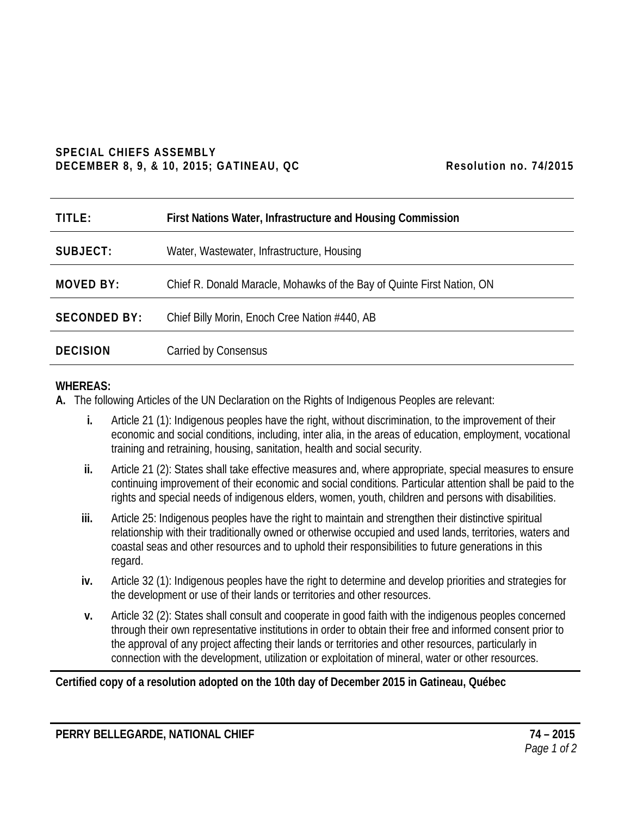#### **SPECIAL CHIEFS ASSEMBLY** DECEMBER 8, 9, & 10, 2015; GATINEAU, QC Resolution no. 74/2015

| TITLE:              | First Nations Water, Infrastructure and Housing Commission             |
|---------------------|------------------------------------------------------------------------|
| SUBJECT:            | Water, Wastewater, Infrastructure, Housing                             |
| <b>MOVED BY:</b>    | Chief R. Donald Maracle, Mohawks of the Bay of Quinte First Nation, ON |
| <b>SECONDED BY:</b> | Chief Billy Morin, Enoch Cree Nation #440, AB                          |
| <b>DECISION</b>     | Carried by Consensus                                                   |

#### **WHEREAS:**

- **A.** The following Articles of the UN Declaration on the Rights of Indigenous Peoples are relevant:
	- **i.** Article 21 (1): Indigenous peoples have the right, without discrimination, to the improvement of their economic and social conditions, including, inter alia, in the areas of education, employment, vocational training and retraining, housing, sanitation, health and social security.
	- **ii.** Article 21 (2): States shall take effective measures and, where appropriate, special measures to ensure continuing improvement of their economic and social conditions. Particular attention shall be paid to the rights and special needs of indigenous elders, women, youth, children and persons with disabilities.
	- **iii.** Article 25: Indigenous peoples have the right to maintain and strengthen their distinctive spiritual relationship with their traditionally owned or otherwise occupied and used lands, territories, waters and coastal seas and other resources and to uphold their responsibilities to future generations in this regard.
	- **iv.** Article 32 (1): Indigenous peoples have the right to determine and develop priorities and strategies for the development or use of their lands or territories and other resources.
	- **v.** Article 32 (2): States shall consult and cooperate in good faith with the indigenous peoples concerned through their own representative institutions in order to obtain their free and informed consent prior to the approval of any project affecting their lands or territories and other resources, particularly in connection with the development, utilization or exploitation of mineral, water or other resources.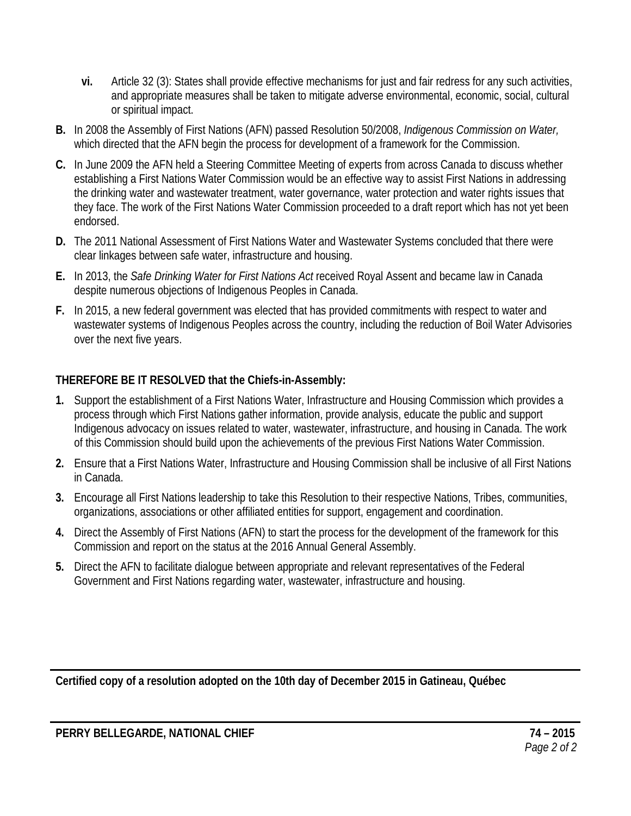- **vi.** Article 32 (3): States shall provide effective mechanisms for just and fair redress for any such activities, and appropriate measures shall be taken to mitigate adverse environmental, economic, social, cultural or spiritual impact.
- **B.** In 2008 the Assembly of First Nations (AFN) passed Resolution 50/2008, *Indigenous Commission on Water,*  which directed that the AFN begin the process for development of a framework for the Commission.
- **C.** In June 2009 the AFN held a Steering Committee Meeting of experts from across Canada to discuss whether establishing a First Nations Water Commission would be an effective way to assist First Nations in addressing the drinking water and wastewater treatment, water governance, water protection and water rights issues that they face. The work of the First Nations Water Commission proceeded to a draft report which has not yet been endorsed.
- **D.** The 2011 National Assessment of First Nations Water and Wastewater Systems concluded that there were clear linkages between safe water, infrastructure and housing.
- **E.** In 2013, the *Safe Drinking Water for First Nations Act* received Royal Assent and became law in Canada despite numerous objections of Indigenous Peoples in Canada.
- **F.** In 2015, a new federal government was elected that has provided commitments with respect to water and wastewater systems of Indigenous Peoples across the country, including the reduction of Boil Water Advisories over the next five years.

- **1.** Support the establishment of a First Nations Water, Infrastructure and Housing Commission which provides a process through which First Nations gather information, provide analysis, educate the public and support Indigenous advocacy on issues related to water, wastewater, infrastructure, and housing in Canada. The work of this Commission should build upon the achievements of the previous First Nations Water Commission.
- **2.** Ensure that a First Nations Water, Infrastructure and Housing Commission shall be inclusive of all First Nations in Canada.
- **3.** Encourage all First Nations leadership to take this Resolution to their respective Nations, Tribes, communities, organizations, associations or other affiliated entities for support, engagement and coordination.
- **4.** Direct the Assembly of First Nations (AFN) to start the process for the development of the framework for this Commission and report on the status at the 2016 Annual General Assembly.
- **5.** Direct the AFN to facilitate dialogue between appropriate and relevant representatives of the Federal Government and First Nations regarding water, wastewater, infrastructure and housing.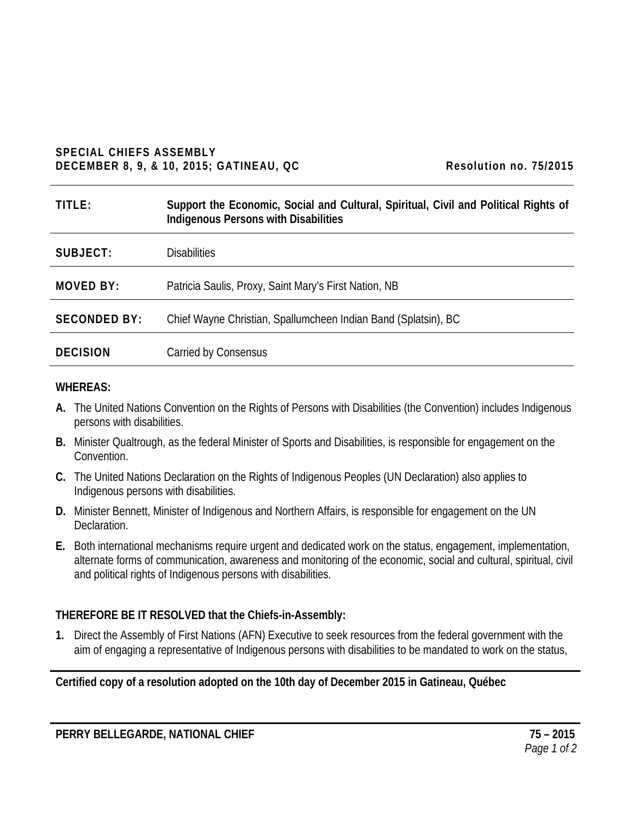#### **SPECIAL CHIEFS ASSEMBLY DECEMBER 8, 9, & 10, 2015; GATINEAU, QC** Resolution no. 75/2015

| TITLE:              | Support the Economic, Social and Cultural, Spiritual, Civil and Political Rights of<br><b>Indigenous Persons with Disabilities</b> |
|---------------------|------------------------------------------------------------------------------------------------------------------------------------|
| SUBJECT:            | <b>Disabilities</b>                                                                                                                |
| MOVED BY:           | Patricia Saulis, Proxy, Saint Mary's First Nation, NB                                                                              |
| <b>SECONDED BY:</b> | Chief Wayne Christian, Spallumcheen Indian Band (Splatsin), BC                                                                     |
| <b>DECISION</b>     | Carried by Consensus                                                                                                               |

#### **WHEREAS:**

- **A.** The United Nations Convention on the Rights of Persons with Disabilities (the Convention) includes Indigenous persons with disabilities.
- **B.** Minister Qualtrough, as the federal Minister of Sports and Disabilities, is responsible for engagement on the Convention.
- **C.** The United Nations Declaration on the Rights of Indigenous Peoples (UN Declaration) also applies to Indigenous persons with disabilities.
- **D.** Minister Bennett, Minister of Indigenous and Northern Affairs, is responsible for engagement on the UN Declaration.
- **E.** Both international mechanisms require urgent and dedicated work on the status, engagement, implementation, alternate forms of communication, awareness and monitoring of the economic, social and cultural, spiritual, civil and political rights of Indigenous persons with disabilities.

### **THEREFORE BE IT RESOLVED that the Chiefs-in-Assembly:**

**1.** Direct the Assembly of First Nations (AFN) Executive to seek resources from the federal government with the aim of engaging a representative of Indigenous persons with disabilities to be mandated to work on the status,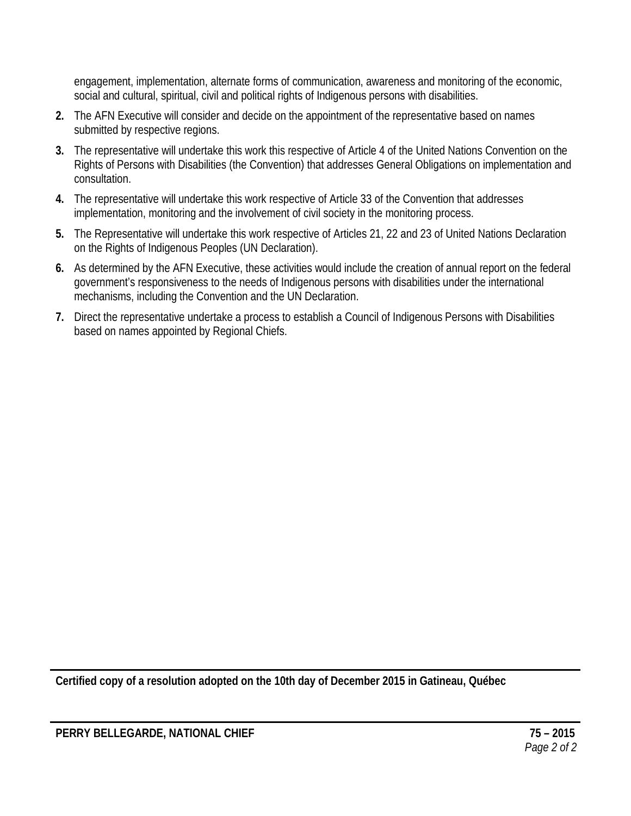engagement, implementation, alternate forms of communication, awareness and monitoring of the economic, social and cultural, spiritual, civil and political rights of Indigenous persons with disabilities.

- **2.** The AFN Executive will consider and decide on the appointment of the representative based on names submitted by respective regions.
- **3.** The representative will undertake this work this respective of Article 4 of the United Nations Convention on the Rights of Persons with Disabilities (the Convention) that addresses General Obligations on implementation and consultation.
- **4.** The representative will undertake this work respective of Article 33 of the Convention that addresses implementation, monitoring and the involvement of civil society in the monitoring process.
- **5.** The Representative will undertake this work respective of Articles 21, 22 and 23 of United Nations Declaration on the Rights of Indigenous Peoples (UN Declaration).
- **6.** As determined by the AFN Executive, these activities would include the creation of annual report on the federal government's responsiveness to the needs of Indigenous persons with disabilities under the international mechanisms, including the Convention and the UN Declaration.
- **7.** Direct the representative undertake a process to establish a Council of Indigenous Persons with Disabilities based on names appointed by Regional Chiefs.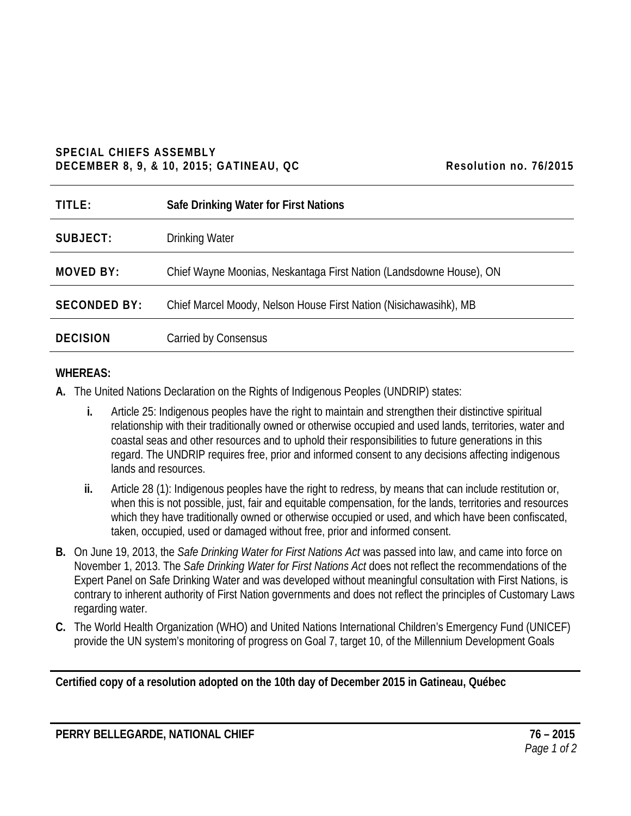#### **SPECIAL CHIEFS ASSEMBLY DECEMBER 8, 9, & 10, 2015; GATINEAU, QC** Resolution no. 76/2015

| TITLE:              | Safe Drinking Water for First Nations                               |
|---------------------|---------------------------------------------------------------------|
| SUBJECT:            | <b>Drinking Water</b>                                               |
| <b>MOVED BY:</b>    | Chief Wayne Moonias, Neskantaga First Nation (Landsdowne House), ON |
| <b>SECONDED BY:</b> | Chief Marcel Moody, Nelson House First Nation (Nisichawasihk), MB   |
| <b>DECISION</b>     | Carried by Consensus                                                |

### **WHEREAS:**

- **A.** The United Nations Declaration on the Rights of Indigenous Peoples (UNDRIP) states:
	- **i.** Article 25: Indigenous peoples have the right to maintain and strengthen their distinctive spiritual relationship with their traditionally owned or otherwise occupied and used lands, territories, water and coastal seas and other resources and to uphold their responsibilities to future generations in this regard. The UNDRIP requires free, prior and informed consent to any decisions affecting indigenous lands and resources.
	- **ii.** Article 28 (1): Indigenous peoples have the right to redress, by means that can include restitution or, when this is not possible, just, fair and equitable compensation, for the lands, territories and resources which they have traditionally owned or otherwise occupied or used, and which have been confiscated, taken, occupied, used or damaged without free, prior and informed consent.
- **B.** On June 19, 2013, the *Safe Drinking Water for First Nations Act* was passed into law, and came into force on November 1, 2013. The *Safe Drinking Water for First Nations Act* does not reflect the recommendations of the Expert Panel on Safe Drinking Water and was developed without meaningful consultation with First Nations, is contrary to inherent authority of First Nation governments and does not reflect the principles of Customary Laws regarding water.
- **C.** The World Health Organization (WHO) and United Nations International Children's Emergency Fund (UNICEF) provide the UN system's monitoring of progress on Goal 7, target 10, of the Millennium Development Goals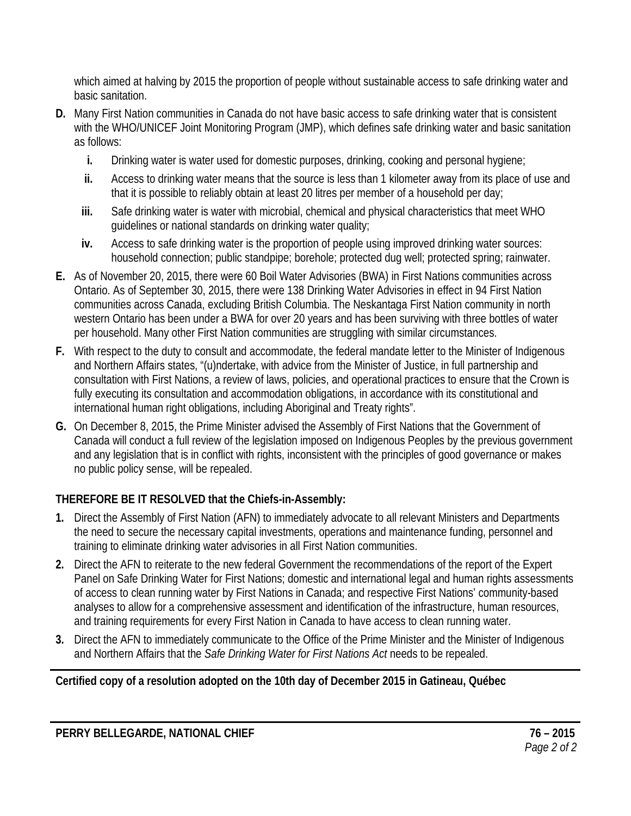which aimed at halving by 2015 the proportion of people without sustainable access to safe drinking water and basic sanitation.

- **D.** Many First Nation communities in Canada do not have basic access to safe drinking water that is consistent with the WHO/UNICEF Joint Monitoring Program (JMP), which defines safe drinking water and basic sanitation as follows:
	- **i.** Drinking water is water used for domestic purposes, drinking, cooking and personal hygiene;
	- **ii.** Access to drinking water means that the source is less than 1 kilometer away from its place of use and that it is possible to reliably obtain at least 20 litres per member of a household per day;
	- **iii.** Safe drinking water is water with microbial, chemical and physical characteristics that meet WHO guidelines or national standards on drinking water quality;
	- **iv.** Access to safe drinking water is the proportion of people using improved drinking water sources: household connection; public standpipe; borehole; protected dug well; protected spring; rainwater.
- **E.** As of November 20, 2015, there were 60 Boil Water Advisories (BWA) in First Nations communities across Ontario. As of September 30, 2015, there were 138 Drinking Water Advisories in effect in 94 First Nation communities across Canada, excluding British Columbia. The Neskantaga First Nation community in north western Ontario has been under a BWA for over 20 years and has been surviving with three bottles of water per household. Many other First Nation communities are struggling with similar circumstances.
- **F.** With respect to the duty to consult and accommodate, the federal mandate letter to the Minister of Indigenous and Northern Affairs states, "(u)ndertake, with advice from the Minister of Justice, in full partnership and consultation with First Nations, a review of laws, policies, and operational practices to ensure that the Crown is fully executing its consultation and accommodation obligations, in accordance with its constitutional and international human right obligations, including Aboriginal and Treaty rights".
- **G.** On December 8, 2015, the Prime Minister advised the Assembly of First Nations that the Government of Canada will conduct a full review of the legislation imposed on Indigenous Peoples by the previous government and any legislation that is in conflict with rights, inconsistent with the principles of good governance or makes no public policy sense, will be repealed.

## **THEREFORE BE IT RESOLVED that the Chiefs-in-Assembly:**

- **1.** Direct the Assembly of First Nation (AFN) to immediately advocate to all relevant Ministers and Departments the need to secure the necessary capital investments, operations and maintenance funding, personnel and training to eliminate drinking water advisories in all First Nation communities.
- **2.** Direct the AFN to reiterate to the new federal Government the recommendations of the report of the Expert Panel on Safe Drinking Water for First Nations; domestic and international legal and human rights assessments of access to clean running water by First Nations in Canada; and respective First Nations' community-based analyses to allow for a comprehensive assessment and identification of the infrastructure, human resources, and training requirements for every First Nation in Canada to have access to clean running water.
- **3.** Direct the AFN to immediately communicate to the Office of the Prime Minister and the Minister of Indigenous and Northern Affairs that the *Safe Drinking Water for First Nations Act* needs to be repealed.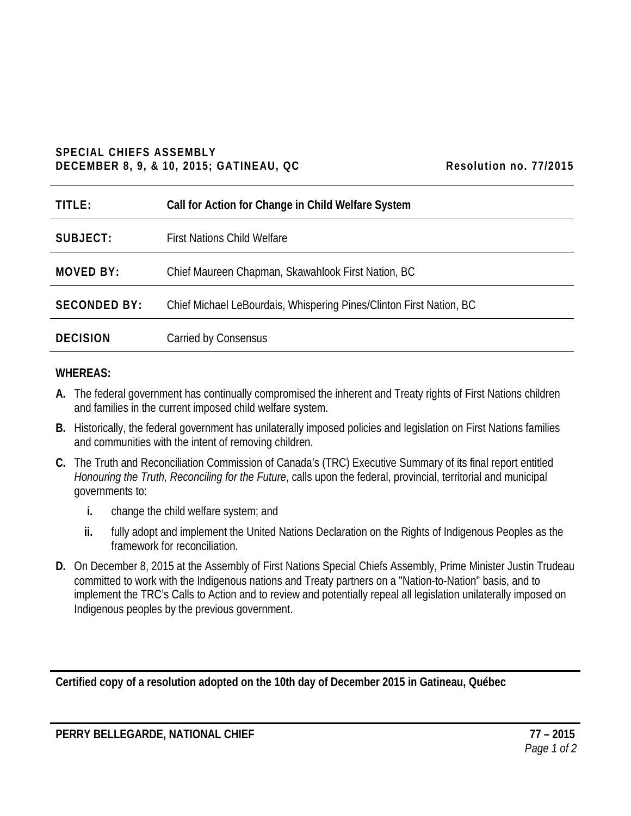#### **SPECIAL CHIEFS ASSEMBLY DECEMBER 8, 9, & 10, 2015; GATINEAU, QC Resolution no. 77/2015**

| TITLE:              | Call for Action for Change in Child Welfare System                  |
|---------------------|---------------------------------------------------------------------|
| SUBJECT:            | <b>First Nations Child Welfare</b>                                  |
| <b>MOVED BY:</b>    | Chief Maureen Chapman, Skawahlook First Nation, BC                  |
| <b>SECONDED BY:</b> | Chief Michael LeBourdais, Whispering Pines/Clinton First Nation, BC |
| <b>DECISION</b>     | Carried by Consensus                                                |

#### **WHEREAS:**

- **A.** The federal government has continually compromised the inherent and Treaty rights of First Nations children and families in the current imposed child welfare system.
- **B.** Historically, the federal government has unilaterally imposed policies and legislation on First Nations families and communities with the intent of removing children.
- **C.** The Truth and Reconciliation Commission of Canada's (TRC) Executive Summary of its final report entitled *Honouring the Truth, Reconciling for the Future*, calls upon the federal, provincial, territorial and municipal governments to:
	- **i.** change the child welfare system; and
	- **ii.** fully adopt and implement the United Nations Declaration on the Rights of Indigenous Peoples as the framework for reconciliation.
- **D.** On December 8, 2015 at the Assembly of First Nations Special Chiefs Assembly, Prime Minister Justin Trudeau committed to work with the Indigenous nations and Treaty partners on a "Nation-to-Nation" basis, and to implement the TRC's Calls to Action and to review and potentially repeal all legislation unilaterally imposed on Indigenous peoples by the previous government.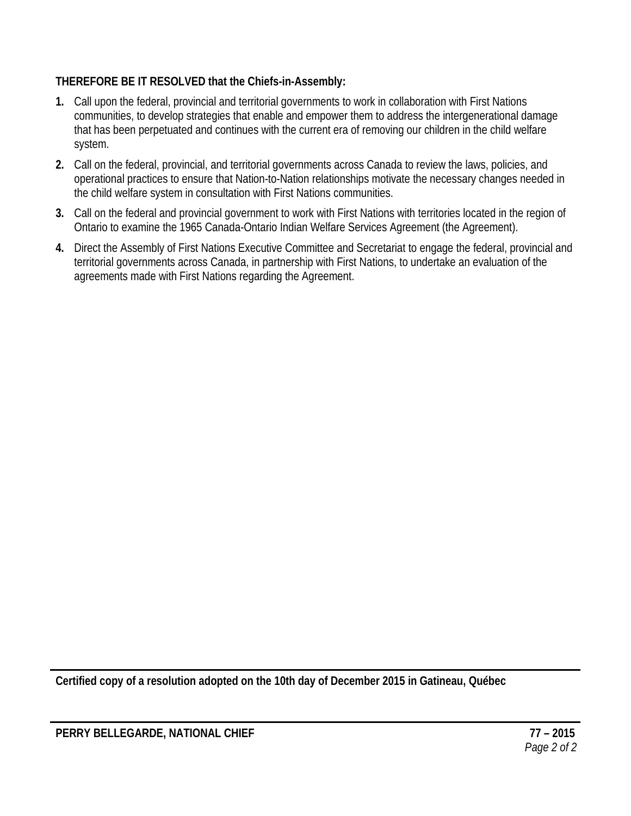- **1.** Call upon the federal, provincial and territorial governments to work in collaboration with First Nations communities, to develop strategies that enable and empower them to address the intergenerational damage that has been perpetuated and continues with the current era of removing our children in the child welfare system.
- **2.** Call on the federal, provincial, and territorial governments across Canada to review the laws, policies, and operational practices to ensure that Nation-to-Nation relationships motivate the necessary changes needed in the child welfare system in consultation with First Nations communities.
- **3.** Call on the federal and provincial government to work with First Nations with territories located in the region of Ontario to examine the 1965 Canada-Ontario Indian Welfare Services Agreement (the Agreement).
- **4.** Direct the Assembly of First Nations Executive Committee and Secretariat to engage the federal, provincial and territorial governments across Canada, in partnership with First Nations, to undertake an evaluation of the agreements made with First Nations regarding the Agreement.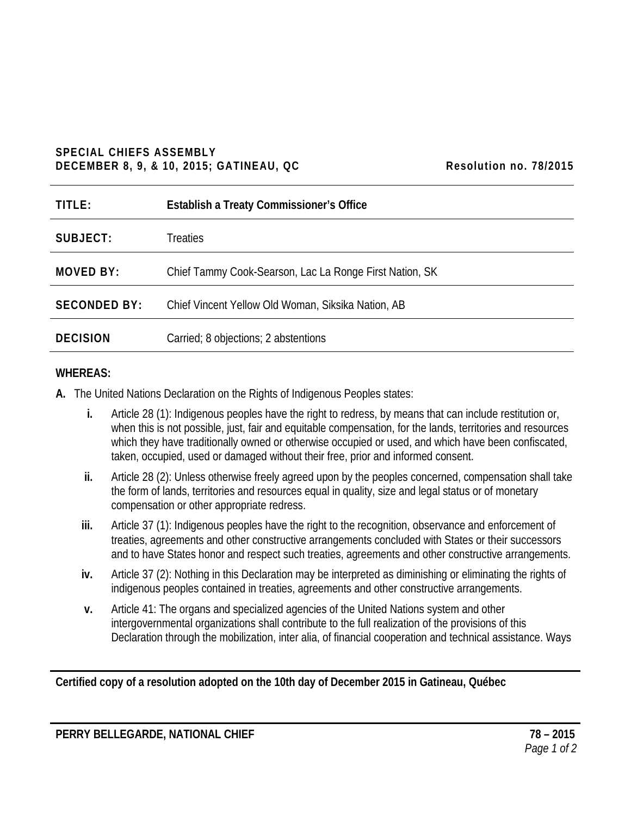#### **SPECIAL CHIEFS ASSEMBLY DECEMBER 8, 9, & 10, 2015; GATINEAU, QC** Resolution no. 78/2015

| TITLE:              | <b>Establish a Treaty Commissioner's Office</b>         |
|---------------------|---------------------------------------------------------|
| SUBJECT:            | <b>Treaties</b>                                         |
| <b>MOVED BY:</b>    | Chief Tammy Cook-Searson, Lac La Ronge First Nation, SK |
| <b>SECONDED BY:</b> | Chief Vincent Yellow Old Woman, Siksika Nation, AB      |
| <b>DECISION</b>     | Carried; 8 objections; 2 abstentions                    |

#### **WHEREAS:**

**A.** The United Nations Declaration on the Rights of Indigenous Peoples states:

- **i.** Article 28 (1): Indigenous peoples have the right to redress, by means that can include restitution or, when this is not possible, just, fair and equitable compensation, for the lands, territories and resources which they have traditionally owned or otherwise occupied or used, and which have been confiscated, taken, occupied, used or damaged without their free, prior and informed consent.
- **ii.** Article 28 (2): Unless otherwise freely agreed upon by the peoples concerned, compensation shall take the form of lands, territories and resources equal in quality, size and legal status or of monetary compensation or other appropriate redress.
- **iii.** Article 37 (1): Indigenous peoples have the right to the recognition, observance and enforcement of treaties, agreements and other constructive arrangements concluded with States or their successors and to have States honor and respect such treaties, agreements and other constructive arrangements.
- **iv.** Article 37 (2): Nothing in this Declaration may be interpreted as diminishing or eliminating the rights of indigenous peoples contained in treaties, agreements and other constructive arrangements.
- **v.** Article 41: The organs and specialized agencies of the United Nations system and other intergovernmental organizations shall contribute to the full realization of the provisions of this Declaration through the mobilization, inter alia, of financial cooperation and technical assistance. Ways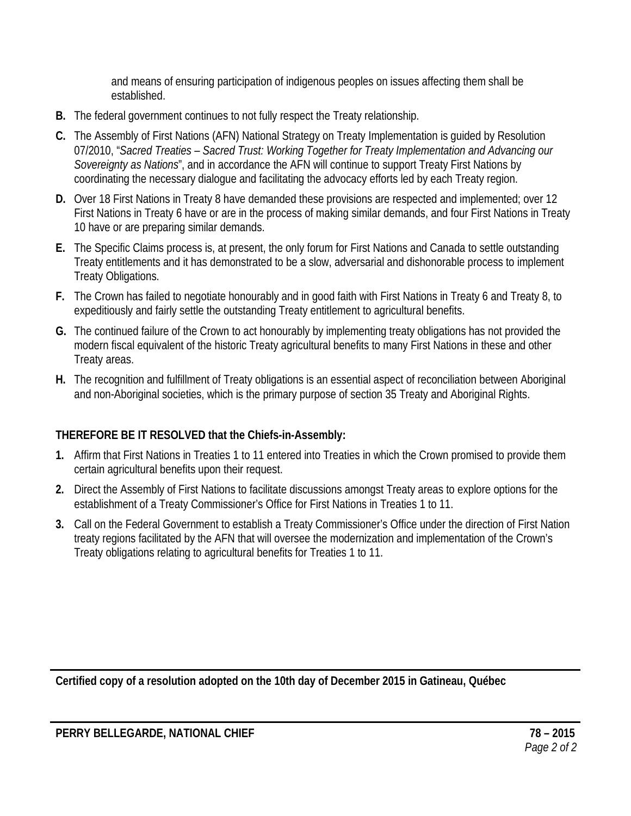and means of ensuring participation of indigenous peoples on issues affecting them shall be established.

- **B.** The federal government continues to not fully respect the Treaty relationship.
- **C.** The Assembly of First Nations (AFN) National Strategy on Treaty Implementation is guided by Resolution 07/2010, "*Sacred Treaties – Sacred Trust: Working Together for Treaty Implementation and Advancing our Sovereignty as Nations*", and in accordance the AFN will continue to support Treaty First Nations by coordinating the necessary dialogue and facilitating the advocacy efforts led by each Treaty region.
- **D.** Over 18 First Nations in Treaty 8 have demanded these provisions are respected and implemented; over 12 First Nations in Treaty 6 have or are in the process of making similar demands, and four First Nations in Treaty 10 have or are preparing similar demands.
- **E.** The Specific Claims process is, at present, the only forum for First Nations and Canada to settle outstanding Treaty entitlements and it has demonstrated to be a slow, adversarial and dishonorable process to implement Treaty Obligations.
- **F.** The Crown has failed to negotiate honourably and in good faith with First Nations in Treaty 6 and Treaty 8, to expeditiously and fairly settle the outstanding Treaty entitlement to agricultural benefits.
- **G.** The continued failure of the Crown to act honourably by implementing treaty obligations has not provided the modern fiscal equivalent of the historic Treaty agricultural benefits to many First Nations in these and other Treaty areas.
- **H.** The recognition and fulfillment of Treaty obligations is an essential aspect of reconciliation between Aboriginal and non-Aboriginal societies, which is the primary purpose of section 35 Treaty and Aboriginal Rights.

# **THEREFORE BE IT RESOLVED that the Chiefs-in-Assembly:**

- **1.** Affirm that First Nations in Treaties 1 to 11 entered into Treaties in which the Crown promised to provide them certain agricultural benefits upon their request.
- **2.** Direct the Assembly of First Nations to facilitate discussions amongst Treaty areas to explore options for the establishment of a Treaty Commissioner's Office for First Nations in Treaties 1 to 11.
- **3.** Call on the Federal Government to establish a Treaty Commissioner's Office under the direction of First Nation treaty regions facilitated by the AFN that will oversee the modernization and implementation of the Crown's Treaty obligations relating to agricultural benefits for Treaties 1 to 11.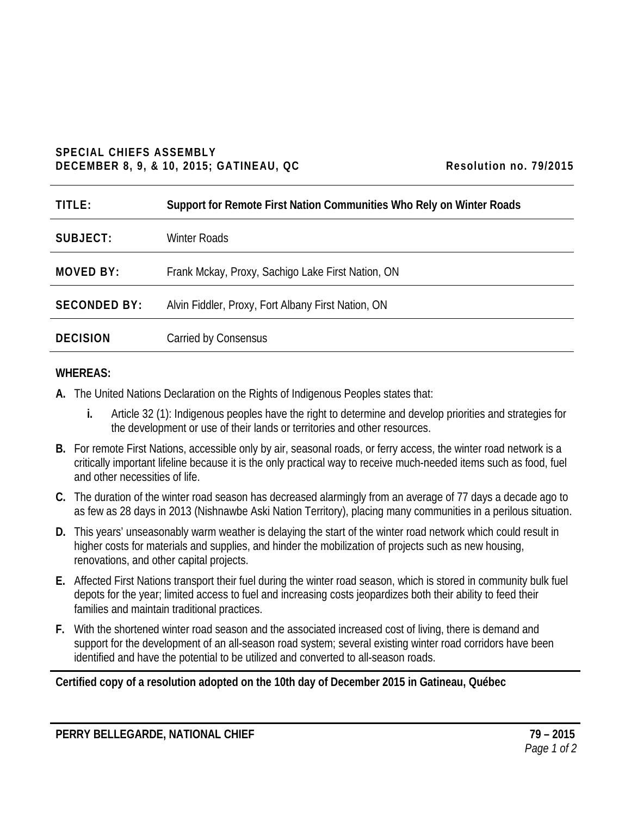#### **SPECIAL CHIEFS ASSEMBLY DECEMBER 8, 9, & 10, 2015; GATINEAU, QC** Resolution no. 79/2015

| TITLE:              | Support for Remote First Nation Communities Who Rely on Winter Roads |
|---------------------|----------------------------------------------------------------------|
| SUBJECT:            | <b>Winter Roads</b>                                                  |
| <b>MOVED BY:</b>    | Frank Mckay, Proxy, Sachigo Lake First Nation, ON                    |
| <b>SECONDED BY:</b> | Alvin Fiddler, Proxy, Fort Albany First Nation, ON                   |
| <b>DECISION</b>     | Carried by Consensus                                                 |

#### **WHEREAS:**

- **A.** The United Nations Declaration on the Rights of Indigenous Peoples states that:
	- **i.** Article 32 (1): Indigenous peoples have the right to determine and develop priorities and strategies for the development or use of their lands or territories and other resources.
- **B.** For remote First Nations, accessible only by air, seasonal roads, or ferry access, the winter road network is a critically important lifeline because it is the only practical way to receive much-needed items such as food, fuel and other necessities of life.
- **C.** The duration of the winter road season has decreased alarmingly from an average of 77 days a decade ago to as few as 28 days in 2013 (Nishnawbe Aski Nation Territory), placing many communities in a perilous situation.
- **D.** This years' unseasonably warm weather is delaying the start of the winter road network which could result in higher costs for materials and supplies, and hinder the mobilization of projects such as new housing, renovations, and other capital projects.
- **E.** Affected First Nations transport their fuel during the winter road season, which is stored in community bulk fuel depots for the year; limited access to fuel and increasing costs jeopardizes both their ability to feed their families and maintain traditional practices.
- **F.** With the shortened winter road season and the associated increased cost of living, there is demand and support for the development of an all-season road system; several existing winter road corridors have been identified and have the potential to be utilized and converted to all-season roads.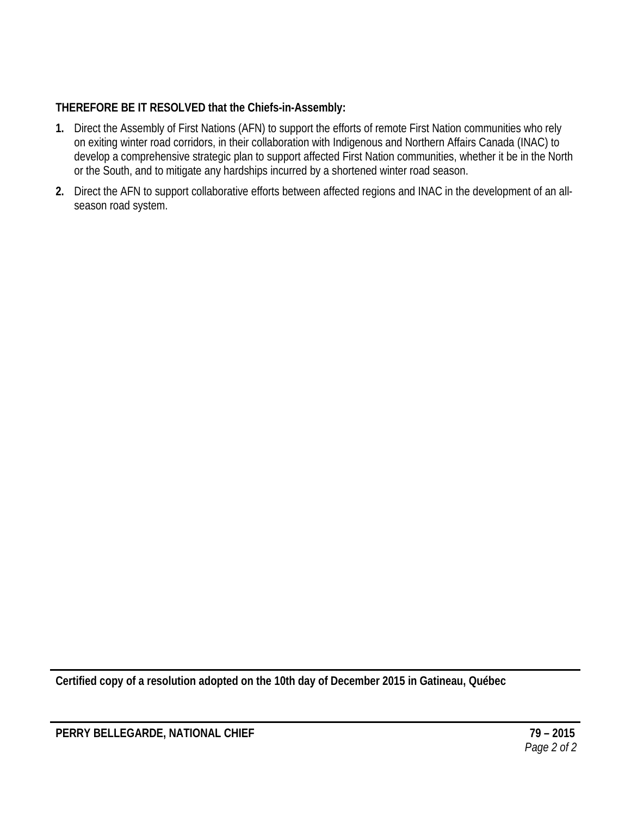- **1.** Direct the Assembly of First Nations (AFN) to support the efforts of remote First Nation communities who rely on exiting winter road corridors, in their collaboration with Indigenous and Northern Affairs Canada (INAC) to develop a comprehensive strategic plan to support affected First Nation communities, whether it be in the North or the South, and to mitigate any hardships incurred by a shortened winter road season.
- **2.** Direct the AFN to support collaborative efforts between affected regions and INAC in the development of an allseason road system.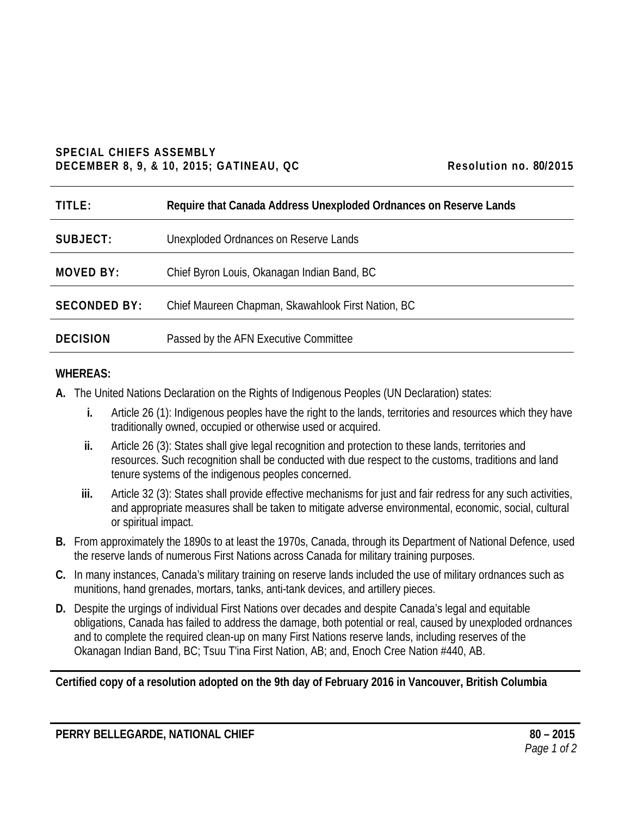#### **SPECIAL CHIEFS ASSEMBLY DECEMBER 8, 9, & 10, 2015; GATINEAU, QC Resolution no. 80/2015**

| Resolution no. 80/2015 |  |
|------------------------|--|
|------------------------|--|

| TITLE:              | Require that Canada Address Unexploded Ordnances on Reserve Lands |
|---------------------|-------------------------------------------------------------------|
| SUBJECT:            | Unexploded Ordnances on Reserve Lands                             |
| <b>MOVED BY:</b>    | Chief Byron Louis, Okanagan Indian Band, BC                       |
| <b>SECONDED BY:</b> | Chief Maureen Chapman, Skawahlook First Nation, BC                |
| <b>DECISION</b>     | Passed by the AFN Executive Committee                             |

### **WHEREAS:**

- **A.** The United Nations Declaration on the Rights of Indigenous Peoples (UN Declaration) states:
	- **i.** Article 26 (1): Indigenous peoples have the right to the lands, territories and resources which they have traditionally owned, occupied or otherwise used or acquired.
	- **ii.** Article 26 (3): States shall give legal recognition and protection to these lands, territories and resources. Such recognition shall be conducted with due respect to the customs, traditions and land tenure systems of the indigenous peoples concerned.
	- **iii.** Article 32 (3): States shall provide effective mechanisms for just and fair redress for any such activities, and appropriate measures shall be taken to mitigate adverse environmental, economic, social, cultural or spiritual impact.
- **B.** From approximately the 1890s to at least the 1970s, Canada, through its Department of National Defence, used the reserve lands of numerous First Nations across Canada for military training purposes.
- **C.** In many instances, Canada's military training on reserve lands included the use of military ordnances such as munitions, hand grenades, mortars, tanks, anti-tank devices, and artillery pieces.
- **D.** Despite the urgings of individual First Nations over decades and despite Canada's legal and equitable obligations, Canada has failed to address the damage, both potential or real, caused by unexploded ordnances and to complete the required clean-up on many First Nations reserve lands, including reserves of the Okanagan Indian Band, BC; Tsuu T'ina First Nation, AB; and, Enoch Cree Nation #440, AB.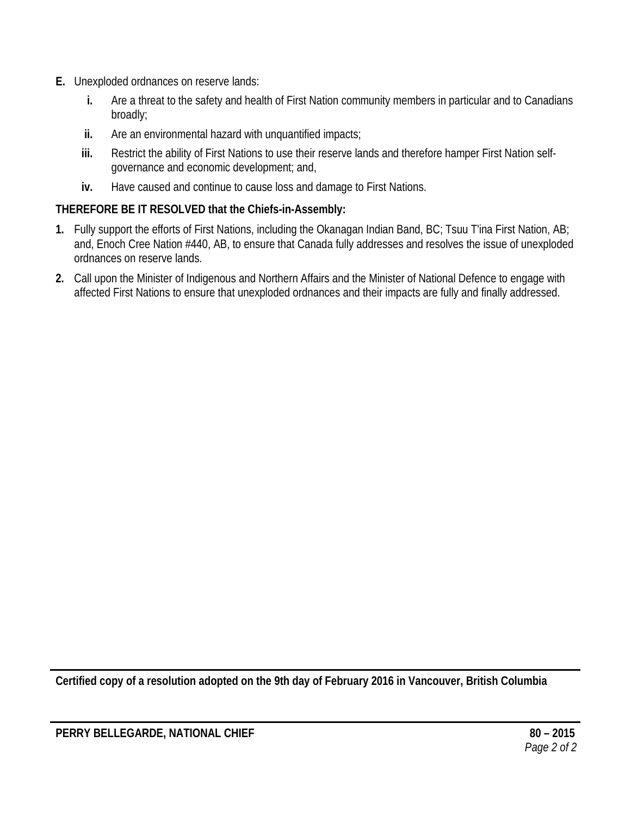- **E.** Unexploded ordnances on reserve lands:
	- **i.** Are a threat to the safety and health of First Nation community members in particular and to Canadians broadly;
	- **ii.** Are an environmental hazard with unquantified impacts;
	- **iii.** Restrict the ability of First Nations to use their reserve lands and therefore hamper First Nation selfgovernance and economic development; and,
	- **iv.** Have caused and continue to cause loss and damage to First Nations.

- **1.** Fully support the efforts of First Nations, including the Okanagan Indian Band, BC; Tsuu T'ina First Nation, AB; and, Enoch Cree Nation #440, AB, to ensure that Canada fully addresses and resolves the issue of unexploded ordnances on reserve lands.
- **2.** Call upon the Minister of Indigenous and Northern Affairs and the Minister of National Defence to engage with affected First Nations to ensure that unexploded ordnances and their impacts are fully and finally addressed.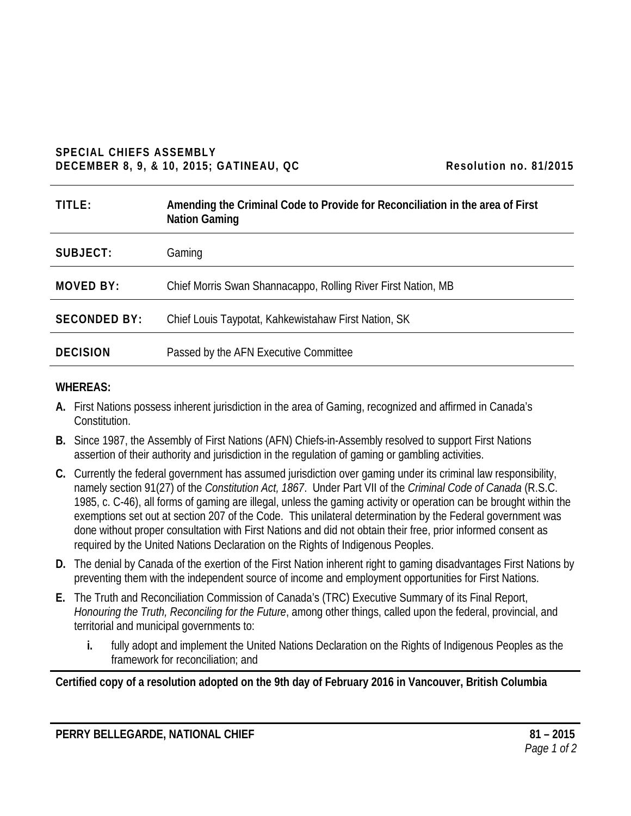#### **SPECIAL CHIEFS ASSEMBLY DECEMBER 8, 9, & 10, 2015; GATINEAU, QC Resolution no. 81/2015**

| TITLE:              | Amending the Criminal Code to Provide for Reconciliation in the area of First<br><b>Nation Gaming</b> |
|---------------------|-------------------------------------------------------------------------------------------------------|
| SUBJECT:            | Gaming                                                                                                |
| <b>MOVED BY:</b>    | Chief Morris Swan Shannacappo, Rolling River First Nation, MB                                         |
| <b>SECONDED BY:</b> | Chief Louis Taypotat, Kahkewistahaw First Nation, SK                                                  |
| <b>DECISION</b>     | Passed by the AFN Executive Committee                                                                 |

#### **WHEREAS:**

- **A.** First Nations possess inherent jurisdiction in the area of Gaming, recognized and affirmed in Canada's Constitution.
- **B.** Since 1987, the Assembly of First Nations (AFN) Chiefs-in-Assembly resolved to support First Nations assertion of their authority and jurisdiction in the regulation of gaming or gambling activities.
- **C.** Currently the federal government has assumed jurisdiction over gaming under its criminal law responsibility, namely section 91(27) of the *Constitution Act, 1867*. Under Part VII of the *Criminal Code of Canada* (R.S.C. 1985, c. C-46), all forms of gaming are illegal, unless the gaming activity or operation can be brought within the exemptions set out at section 207 of the Code. This unilateral determination by the Federal government was done without proper consultation with First Nations and did not obtain their free, prior informed consent as required by the United Nations Declaration on the Rights of Indigenous Peoples.
- **D.** The denial by Canada of the exertion of the First Nation inherent right to gaming disadvantages First Nations by preventing them with the independent source of income and employment opportunities for First Nations.
- **E.** The Truth and Reconciliation Commission of Canada's (TRC) Executive Summary of its Final Report, *Honouring the Truth, Reconciling for the Future*, among other things, called upon the federal, provincial, and territorial and municipal governments to:
	- **i.** fully adopt and implement the United Nations Declaration on the Rights of Indigenous Peoples as the framework for reconciliation; and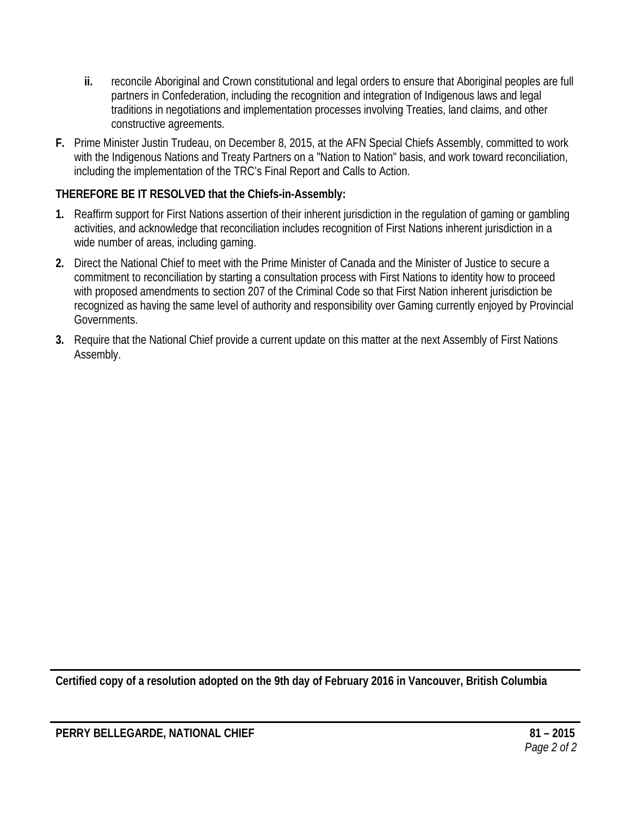- **ii.** reconcile Aboriginal and Crown constitutional and legal orders to ensure that Aboriginal peoples are full partners in Confederation, including the recognition and integration of Indigenous laws and legal traditions in negotiations and implementation processes involving Treaties, land claims, and other constructive agreements.
- **F.** Prime Minister Justin Trudeau, on December 8, 2015, at the AFN Special Chiefs Assembly, committed to work with the Indigenous Nations and Treaty Partners on a "Nation to Nation" basis, and work toward reconciliation, including the implementation of the TRC's Final Report and Calls to Action.

- **1.** Reaffirm support for First Nations assertion of their inherent jurisdiction in the regulation of gaming or gambling activities, and acknowledge that reconciliation includes recognition of First Nations inherent jurisdiction in a wide number of areas, including gaming.
- **2.** Direct the National Chief to meet with the Prime Minister of Canada and the Minister of Justice to secure a commitment to reconciliation by starting a consultation process with First Nations to identity how to proceed with proposed amendments to section 207 of the Criminal Code so that First Nation inherent jurisdiction be recognized as having the same level of authority and responsibility over Gaming currently enjoyed by Provincial Governments.
- **3.** Require that the National Chief provide a current update on this matter at the next Assembly of First Nations Assembly.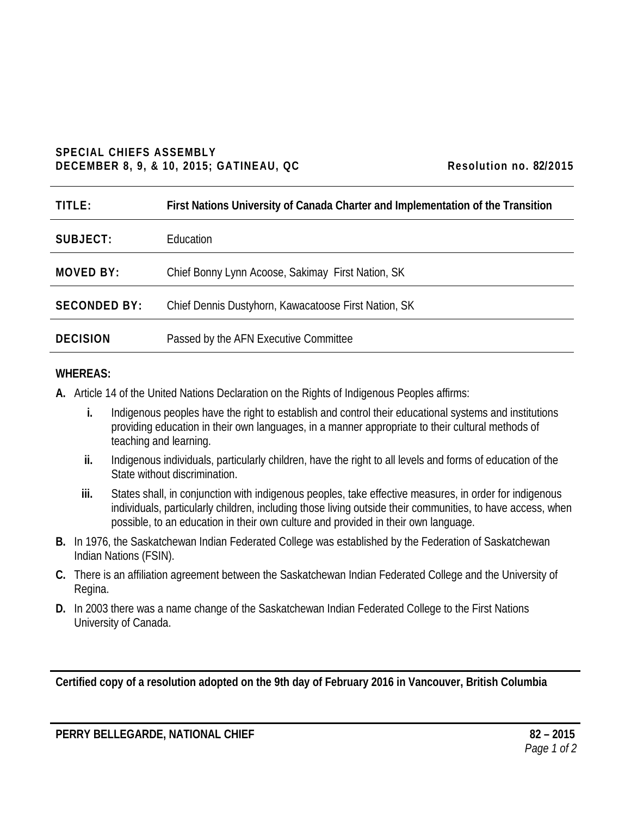#### **SPECIAL CHIEFS ASSEMBLY DECEMBER 8, 9, & 10, 2015; GATINEAU, QC Resolution no. 82/2015**

| TITLE:              | First Nations University of Canada Charter and Implementation of the Transition |
|---------------------|---------------------------------------------------------------------------------|
| SUBJECT:            | <b>Education</b>                                                                |
| <b>MOVED BY:</b>    | Chief Bonny Lynn Acoose, Sakimay First Nation, SK                               |
| <b>SECONDED BY:</b> | Chief Dennis Dustyhorn, Kawacatoose First Nation, SK                            |
| <b>DECISION</b>     | Passed by the AFN Executive Committee                                           |

### **WHEREAS:**

**A.** Article 14 of the United Nations Declaration on the Rights of Indigenous Peoples affirms:

- **i.** Indigenous peoples have the right to establish and control their educational systems and institutions providing education in their own languages, in a manner appropriate to their cultural methods of teaching and learning.
- **ii.** Indigenous individuals, particularly children, have the right to all levels and forms of education of the State without discrimination.
- **iii.** States shall, in conjunction with indigenous peoples, take effective measures, in order for indigenous individuals, particularly children, including those living outside their communities, to have access, when possible, to an education in their own culture and provided in their own language.
- **B.** In 1976, the Saskatchewan Indian Federated College was established by the Federation of Saskatchewan Indian Nations (FSIN).
- **C.** There is an affiliation agreement between the Saskatchewan Indian Federated College and the University of Regina.
- **D.** In 2003 there was a name change of the Saskatchewan Indian Federated College to the First Nations University of Canada.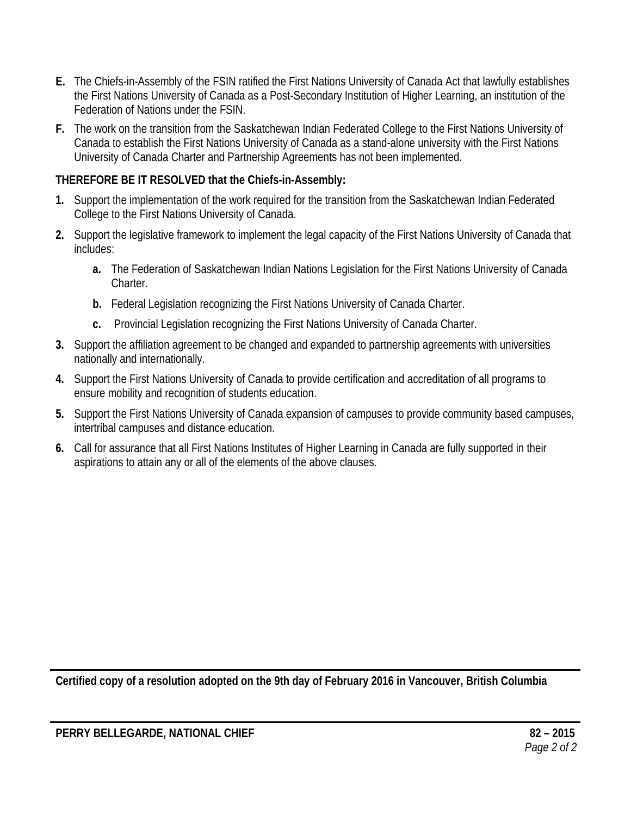- **E.** The Chiefs-in-Assembly of the FSIN ratified the First Nations University of Canada Act that lawfully establishes the First Nations University of Canada as a Post-Secondary Institution of Higher Learning, an institution of the Federation of Nations under the FSIN.
- **F.** The work on the transition from the Saskatchewan Indian Federated College to the First Nations University of Canada to establish the First Nations University of Canada as a stand-alone university with the First Nations University of Canada Charter and Partnership Agreements has not been implemented.

- **1.** Support the implementation of the work required for the transition from the Saskatchewan Indian Federated College to the First Nations University of Canada.
- **2.** Support the legislative framework to implement the legal capacity of the First Nations University of Canada that includes:
	- **a.** The Federation of Saskatchewan Indian Nations Legislation for the First Nations University of Canada Charter.
	- **b.** Federal Legislation recognizing the First Nations University of Canada Charter.
	- **c.** Provincial Legislation recognizing the First Nations University of Canada Charter.
- **3.** Support the affiliation agreement to be changed and expanded to partnership agreements with universities nationally and internationally.
- **4.** Support the First Nations University of Canada to provide certification and accreditation of all programs to ensure mobility and recognition of students education.
- **5.** Support the First Nations University of Canada expansion of campuses to provide community based campuses, intertribal campuses and distance education.
- **6.** Call for assurance that all First Nations Institutes of Higher Learning in Canada are fully supported in their aspirations to attain any or all of the elements of the above clauses.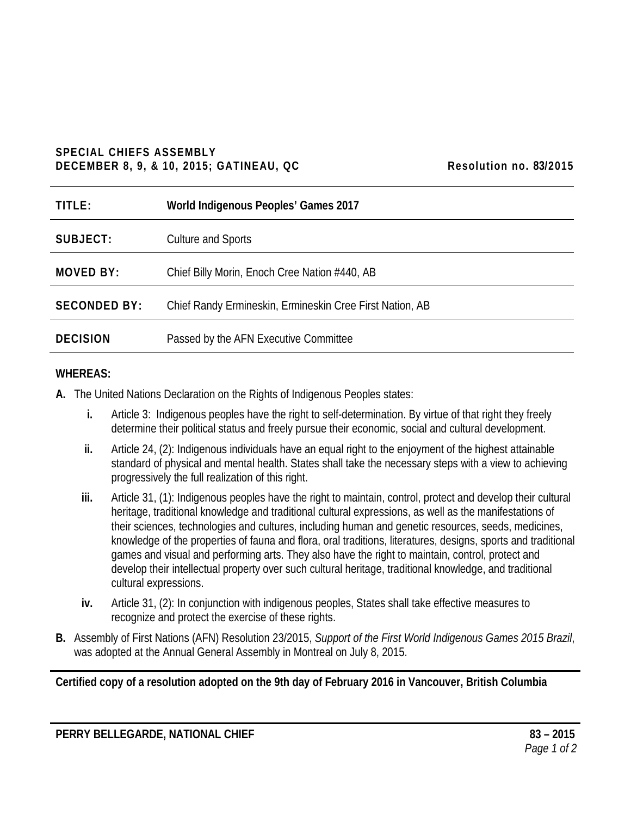#### **SPECIAL CHIEFS ASSEMBLY DECEMBER 8, 9, & 10, 2015; GATINEAU, QC Resolution no. 83/2015**

| Resolution no. 83/2015 |  |
|------------------------|--|
|------------------------|--|

| TITLE:              | World Indigenous Peoples' Games 2017                     |
|---------------------|----------------------------------------------------------|
| SUBJECT:            | <b>Culture and Sports</b>                                |
| <b>MOVED BY:</b>    | Chief Billy Morin, Enoch Cree Nation #440, AB            |
| <b>SECONDED BY:</b> | Chief Randy Ermineskin, Ermineskin Cree First Nation, AB |
| <b>DECISION</b>     | Passed by the AFN Executive Committee                    |

#### **WHEREAS:**

- **A.** The United Nations Declaration on the Rights of Indigenous Peoples states:
	- **i.** Article 3: Indigenous peoples have the right to self-determination. By virtue of that right they freely determine their political status and freely pursue their economic, social and cultural development.
	- **ii.** Article 24, (2): Indigenous individuals have an equal right to the enjoyment of the highest attainable standard of physical and mental health. States shall take the necessary steps with a view to achieving progressively the full realization of this right.
	- **iii.** Article 31, (1): Indigenous peoples have the right to maintain, control, protect and develop their cultural heritage, traditional knowledge and traditional cultural expressions, as well as the manifestations of their sciences, technologies and cultures, including human and genetic resources, seeds, medicines, knowledge of the properties of fauna and flora, oral traditions, literatures, designs, sports and traditional games and visual and performing arts. They also have the right to maintain, control, protect and develop their intellectual property over such cultural heritage, traditional knowledge, and traditional cultural expressions.
	- **iv.** Article 31, (2): In conjunction with indigenous peoples, States shall take effective measures to recognize and protect the exercise of these rights.
- **B.** Assembly of First Nations (AFN) Resolution 23/2015, *Support of the First World Indigenous Games 2015 Brazil*, was adopted at the Annual General Assembly in Montreal on July 8, 2015.